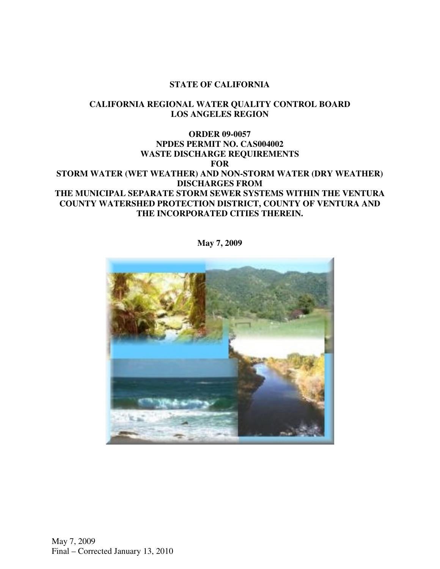#### **STATE OF CALIFORNIA**

### **CALIFORNIA REGIONAL WATER QUALITY CONTROL BOARD LOS ANGELES REGION**

### **ORDER 09-0057 NPDES PERMIT NO. CAS004002 WASTE DISCHARGE REQUIREMENTS FOR STORM WATER (WET WEATHER) AND NON-STORM WATER (DRY WEATHER) DISCHARGES FROM THE MUNICIPAL SEPARATE STORM SEWER SYSTEMS WITHIN THE VENTURA COUNTY WATERSHED PROTECTION DISTRICT, COUNTY OF VENTURA AND THE INCORPORATED CITIES THEREIN.**



**May 7, 2009**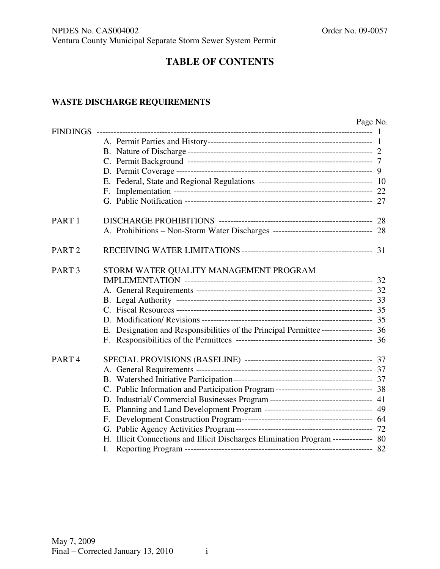# **TABLE OF CONTENTS**

### **WASTE DISCHARGE REQUIREMENTS**

|                   |                                                                                     | Page No. |
|-------------------|-------------------------------------------------------------------------------------|----------|
| <b>FINDINGS</b>   |                                                                                     |          |
|                   |                                                                                     |          |
|                   |                                                                                     |          |
|                   |                                                                                     |          |
|                   |                                                                                     |          |
|                   |                                                                                     |          |
|                   |                                                                                     |          |
|                   |                                                                                     |          |
| PART <sub>1</sub> |                                                                                     |          |
|                   | A. Prohibitions - Non-Storm Water Discharges ----------------------------------- 28 |          |
| PART <sub>2</sub> |                                                                                     |          |
| PART <sub>3</sub> | STORM WATER QUALITY MANAGEMENT PROGRAM                                              |          |
|                   |                                                                                     |          |
|                   |                                                                                     |          |
|                   |                                                                                     |          |
|                   |                                                                                     |          |
|                   |                                                                                     |          |
|                   | E. Designation and Responsibilities of the Principal Permittee------------------ 36 |          |
|                   |                                                                                     |          |
| PART <sub>4</sub> |                                                                                     |          |
|                   |                                                                                     |          |
|                   |                                                                                     |          |
|                   | C. Public Information and Participation Program -------------------------------- 38 |          |
|                   | D. Industrial/ Commercial Businesses Program ----------------------------------- 41 |          |
|                   |                                                                                     |          |
|                   |                                                                                     |          |
|                   |                                                                                     |          |
|                   | H. Illicit Connections and Illicit Discharges Elimination Program -------------- 80 |          |
|                   |                                                                                     |          |
|                   |                                                                                     |          |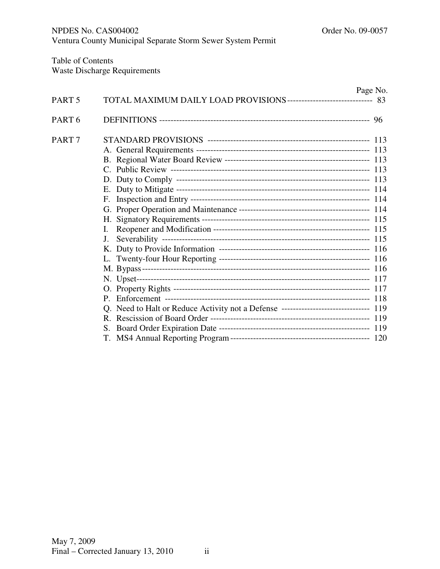Table of Contents Waste Discharge Requirements

|        |                                                                                     | Page No. |
|--------|-------------------------------------------------------------------------------------|----------|
| PART 5 |                                                                                     |          |
| PART 6 |                                                                                     |          |
| PART 7 |                                                                                     |          |
|        |                                                                                     |          |
|        |                                                                                     |          |
|        |                                                                                     |          |
|        |                                                                                     |          |
|        |                                                                                     |          |
|        |                                                                                     |          |
|        |                                                                                     |          |
|        |                                                                                     |          |
|        |                                                                                     |          |
|        | J.                                                                                  |          |
|        |                                                                                     |          |
|        |                                                                                     |          |
|        |                                                                                     |          |
|        |                                                                                     |          |
|        |                                                                                     |          |
|        |                                                                                     |          |
|        | Q. Need to Halt or Reduce Activity not a Defense ------------------------------ 119 |          |
|        |                                                                                     |          |
|        |                                                                                     |          |
|        |                                                                                     |          |
|        |                                                                                     |          |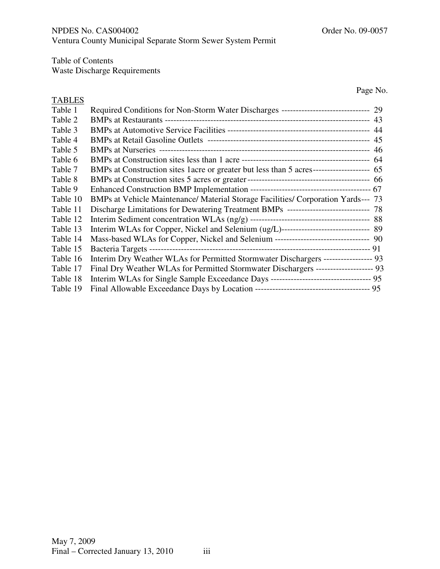Table of Contents

Waste Discharge Requirements

Page No.

| <b>TABLES</b> |                                                                                           |  |
|---------------|-------------------------------------------------------------------------------------------|--|
| Table 1       | Required Conditions for Non-Storm Water Discharges ------------------------------ 29      |  |
| Table 2       |                                                                                           |  |
| Table 3       |                                                                                           |  |
| Table 4       |                                                                                           |  |
| Table 5       |                                                                                           |  |
| Table 6       |                                                                                           |  |
| Table 7       | BMPs at Construction sites 1 acre or greater but less than 5 acres-------------------- 65 |  |
| Table 8       |                                                                                           |  |
| Table 9       |                                                                                           |  |
| Table 10      | BMPs at Vehicle Maintenance/ Material Storage Facilities/ Corporation Yards--- 73         |  |
| Table 11      | Discharge Limitations for Dewatering Treatment BMPs ---------------------------- 78       |  |
| Table 12      |                                                                                           |  |
| Table 13      | Interim WLAs for Copper, Nickel and Selenium (ug/L)------------------------------ 89      |  |
| Table 14      | Mass-based WLAs for Copper, Nickel and Selenium -------------------------------- 90       |  |
| Table 15      |                                                                                           |  |
| Table 16      | Interim Dry Weather WLAs for Permitted Stormwater Dischargers ----------------- 93        |  |
| Table 17      | Final Dry Weather WLAs for Permitted Stormwater Dischargers -------------------- 93       |  |
| Table 18      | Interim WLAs for Single Sample Exceedance Days ---------------------------------- 95      |  |
| Table 19      |                                                                                           |  |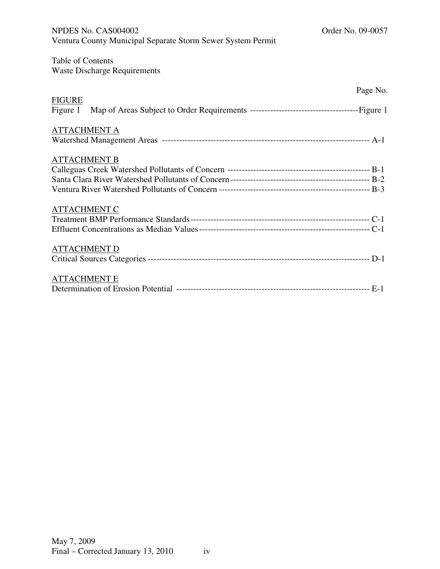| Ventura County Municipal Separate Storm Sewer System Permit |
|-------------------------------------------------------------|
| Table of Contents<br><b>Waste Discharge Requirements</b>    |
| Page No.                                                    |
| <b>FIGURE</b><br>Figure 1                                   |
| <b>ATTACHMENT A</b>                                         |
| <b>ATTACHMENT B</b>                                         |
| <b>ATTACHMENT C</b>                                         |
| <b>ATTACHMENT D</b>                                         |
| <b>ATTACHMENT E</b>                                         |

NPDES No. CAS004002 Order No. 09-0057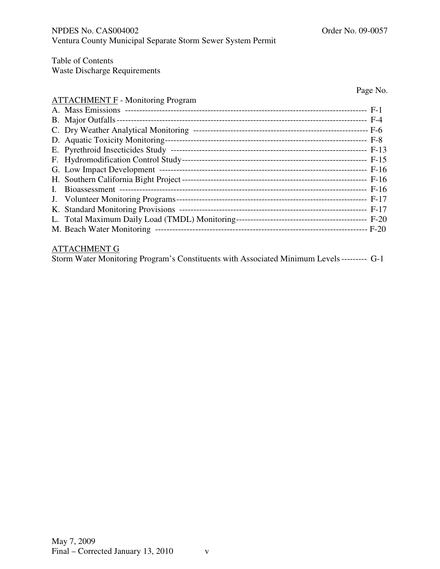Table of Contents

Waste Discharge Requirements

Page No.

# ATTACHMENT F - Monitoring Program

| $\mathbf{I}$ . |  |
|----------------|--|
|                |  |
|                |  |
|                |  |
|                |  |

# ATTACHMENT G

| Storm Water Monitoring Program's Constituents with Associated Minimum Levels --------- G-1 |  |  |
|--------------------------------------------------------------------------------------------|--|--|
|--------------------------------------------------------------------------------------------|--|--|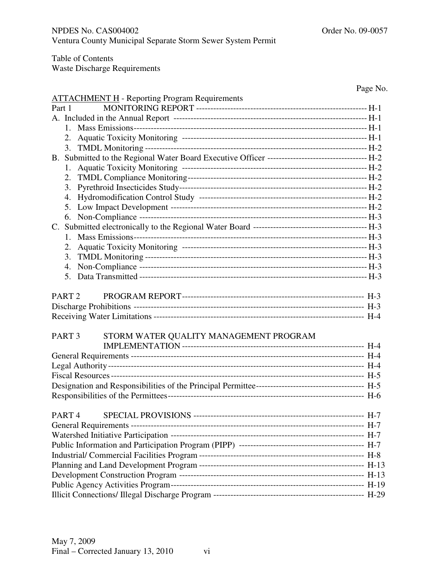Table of Contents

Waste Discharge Requirements

|                                                             | Page No. |
|-------------------------------------------------------------|----------|
| <b>ATTACHMENT H</b> - Reporting Program Requirements        |          |
| Part 1                                                      |          |
|                                                             |          |
| 1.                                                          |          |
|                                                             |          |
| 3.                                                          |          |
|                                                             |          |
| 1.                                                          |          |
|                                                             |          |
| 3.                                                          |          |
| 4.                                                          |          |
| 5.                                                          |          |
| 6.                                                          |          |
|                                                             |          |
| 1.                                                          |          |
| 2.                                                          |          |
| 3.                                                          |          |
| 4.                                                          |          |
| 5.                                                          |          |
|                                                             |          |
| PART <sub>2</sub>                                           |          |
|                                                             |          |
|                                                             |          |
| STORM WATER QUALITY MANAGEMENT PROGRAM<br>PART <sub>3</sub> |          |
|                                                             |          |
|                                                             |          |
|                                                             |          |
|                                                             |          |
|                                                             |          |
|                                                             |          |
|                                                             |          |
| PART <sub>4</sub>                                           |          |
|                                                             |          |
|                                                             |          |
|                                                             |          |
|                                                             |          |
|                                                             |          |
|                                                             |          |
|                                                             |          |
|                                                             |          |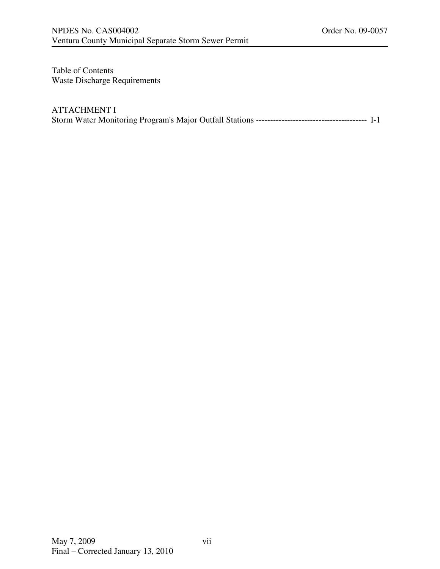Table of Contents Waste Discharge Requirements

# ATTACHMENT I

Storm Water Monitoring Program's Major Outfall Stations --------------------------------------- I-1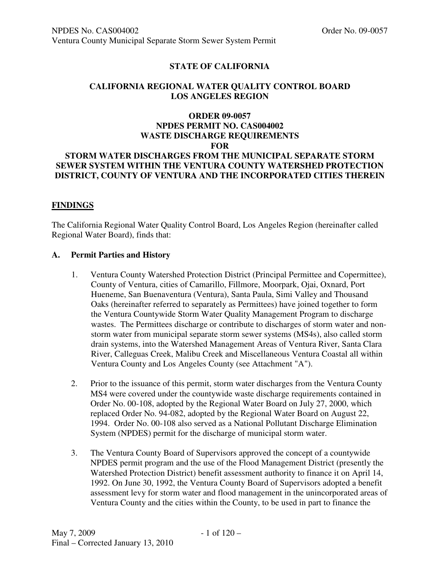## **STATE OF CALIFORNIA**

#### **CALIFORNIA REGIONAL WATER QUALITY CONTROL BOARD LOS ANGELES REGION**

### **ORDER 09-0057 NPDES PERMIT NO. CAS004002 WASTE DISCHARGE REQUIREMENTS FOR STORM WATER DISCHARGES FROM THE MUNICIPAL SEPARATE STORM SEWER SYSTEM WITHIN THE VENTURA COUNTY WATERSHED PROTECTION DISTRICT, COUNTY OF VENTURA AND THE INCORPORATED CITIES THEREIN**

#### **FINDINGS**

The California Regional Water Quality Control Board, Los Angeles Region (hereinafter called Regional Water Board), finds that:

#### **A. Permit Parties and History**

- 1. Ventura County Watershed Protection District (Principal Permittee and Copermittee), County of Ventura, cities of Camarillo, Fillmore, Moorpark, Ojai, Oxnard, Port Hueneme, San Buenaventura (Ventura), Santa Paula, Simi Valley and Thousand Oaks (hereinafter referred to separately as Permittees) have joined together to form the Ventura Countywide Storm Water Quality Management Program to discharge wastes. The Permittees discharge or contribute to discharges of storm water and nonstorm water from municipal separate storm sewer systems (MS4s), also called storm drain systems, into the Watershed Management Areas of Ventura River, Santa Clara River, Calleguas Creek, Malibu Creek and Miscellaneous Ventura Coastal all within Ventura County and Los Angeles County (see Attachment "A").
- 2. Prior to the issuance of this permit, storm water discharges from the Ventura County MS4 were covered under the countywide waste discharge requirements contained in Order No. 00-108, adopted by the Regional Water Board on July 27, 2000, which replaced Order No. 94-082, adopted by the Regional Water Board on August 22, 1994. Order No. 00-108 also served as a National Pollutant Discharge Elimination System (NPDES) permit for the discharge of municipal storm water.
- 3. The Ventura County Board of Supervisors approved the concept of a countywide NPDES permit program and the use of the Flood Management District (presently the Watershed Protection District) benefit assessment authority to finance it on April 14, 1992. On June 30, 1992, the Ventura County Board of Supervisors adopted a benefit assessment levy for storm water and flood management in the unincorporated areas of Ventura County and the cities within the County, to be used in part to finance the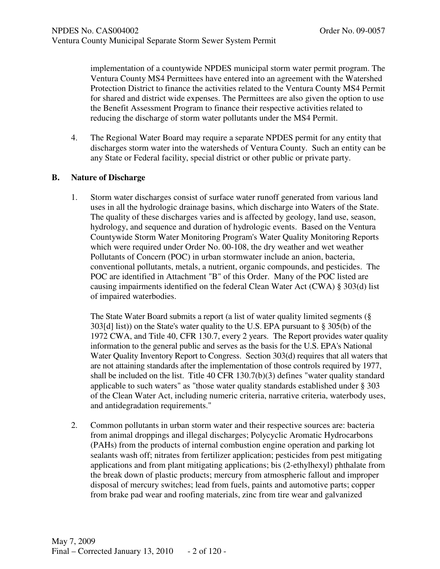implementation of a countywide NPDES municipal storm water permit program. The Ventura County MS4 Permittees have entered into an agreement with the Watershed Protection District to finance the activities related to the Ventura County MS4 Permit for shared and district wide expenses. The Permittees are also given the option to use the Benefit Assessment Program to finance their respective activities related to reducing the discharge of storm water pollutants under the MS4 Permit.

4. The Regional Water Board may require a separate NPDES permit for any entity that discharges storm water into the watersheds of Ventura County. Such an entity can be any State or Federal facility, special district or other public or private party.

#### **B. Nature of Discharge**

1. Storm water discharges consist of surface water runoff generated from various land uses in all the hydrologic drainage basins, which discharge into Waters of the State. The quality of these discharges varies and is affected by geology, land use, season, hydrology, and sequence and duration of hydrologic events. Based on the Ventura Countywide Storm Water Monitoring Program's Water Quality Monitoring Reports which were required under Order No. 00-108, the dry weather and wet weather Pollutants of Concern (POC) in urban stormwater include an anion, bacteria, conventional pollutants, metals, a nutrient, organic compounds, and pesticides. The POC are identified in Attachment "B" of this Order. Many of the POC listed are causing impairments identified on the federal Clean Water Act (CWA) § 303(d) list of impaired waterbodies.

The State Water Board submits a report (a list of water quality limited segments (§ 303[d] list)) on the State's water quality to the U.S. EPA pursuant to § 305(b) of the 1972 CWA, and Title 40, CFR 130.7, every 2 years. The Report provides water quality information to the general public and serves as the basis for the U.S. EPA's National Water Quality Inventory Report to Congress. Section 303(d) requires that all waters that are not attaining standards after the implementation of those controls required by 1977, shall be included on the list. Title 40 CFR 130.7(b)(3) defines "water quality standard applicable to such waters" as "those water quality standards established under § 303 of the Clean Water Act, including numeric criteria, narrative criteria, waterbody uses, and antidegradation requirements."

2. Common pollutants in urban storm water and their respective sources are: bacteria from animal droppings and illegal discharges; Polycyclic Aromatic Hydrocarbons (PAHs) from the products of internal combustion engine operation and parking lot sealants wash off; nitrates from fertilizer application; pesticides from pest mitigating applications and from plant mitigating applications; bis (2-ethylhexyl) phthalate from the break down of plastic products; mercury from atmospheric fallout and improper disposal of mercury switches; lead from fuels, paints and automotive parts; copper from brake pad wear and roofing materials, zinc from tire wear and galvanized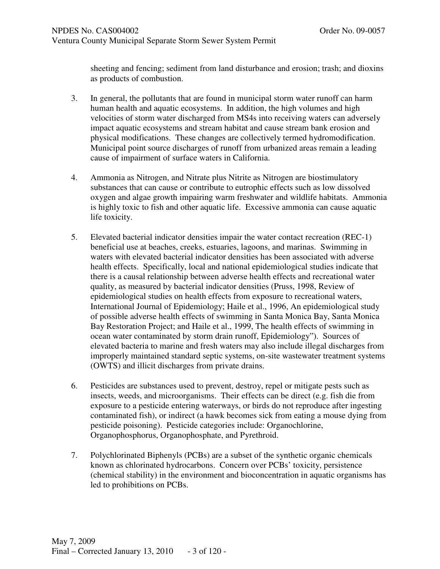sheeting and fencing; sediment from land disturbance and erosion; trash; and dioxins as products of combustion.

- 3. In general, the pollutants that are found in municipal storm water runoff can harm human health and aquatic ecosystems. In addition, the high volumes and high velocities of storm water discharged from MS4s into receiving waters can adversely impact aquatic ecosystems and stream habitat and cause stream bank erosion and physical modifications. These changes are collectively termed hydromodification. Municipal point source discharges of runoff from urbanized areas remain a leading cause of impairment of surface waters in California.
- 4. Ammonia as Nitrogen, and Nitrate plus Nitrite as Nitrogen are biostimulatory substances that can cause or contribute to eutrophic effects such as low dissolved oxygen and algae growth impairing warm freshwater and wildlife habitats. Ammonia is highly toxic to fish and other aquatic life. Excessive ammonia can cause aquatic life toxicity.
- 5. Elevated bacterial indicator densities impair the water contact recreation (REC-1) beneficial use at beaches, creeks, estuaries, lagoons, and marinas. Swimming in waters with elevated bacterial indicator densities has been associated with adverse health effects. Specifically, local and national epidemiological studies indicate that there is a causal relationship between adverse health effects and recreational water quality, as measured by bacterial indicator densities (Pruss, 1998, Review of epidemiological studies on health effects from exposure to recreational waters, International Journal of Epidemiology; Haile et al., 1996, An epidemiological study of possible adverse health effects of swimming in Santa Monica Bay, Santa Monica Bay Restoration Project; and Haile et al., 1999, The health effects of swimming in ocean water contaminated by storm drain runoff, Epidemiology"). Sources of elevated bacteria to marine and fresh waters may also include illegal discharges from improperly maintained standard septic systems, on-site wastewater treatment systems (OWTS) and illicit discharges from private drains.
- 6. Pesticides are substances used to prevent, destroy, repel or mitigate pests such as insects, weeds, and microorganisms. Their effects can be direct (e.g. fish die from exposure to a pesticide entering waterways, or birds do not reproduce after ingesting contaminated fish), or indirect (a hawk becomes sick from eating a mouse dying from pesticide poisoning). Pesticide categories include: Organochlorine, Organophosphorus, Organophosphate, and Pyrethroid.
- 7. Polychlorinated Biphenyls (PCBs) are a subset of the synthetic organic chemicals known as chlorinated hydrocarbons. Concern over PCBs' toxicity, persistence (chemical stability) in the environment and bioconcentration in aquatic organisms has led to prohibitions on PCBs.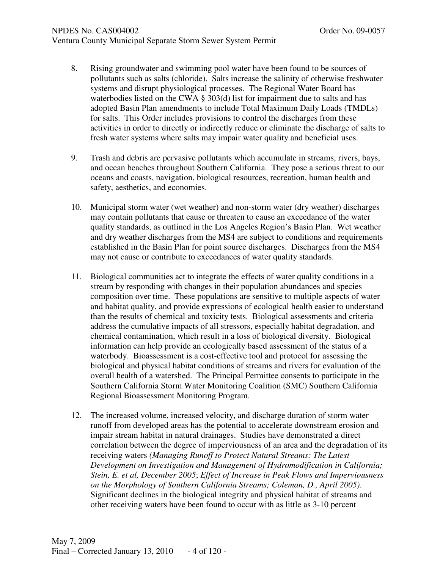#### NPDES No. CAS004002 COMPUTER NO. 09-0057 Ventura County Municipal Separate Storm Sewer System Permit

- 8. Rising groundwater and swimming pool water have been found to be sources of pollutants such as salts (chloride). Salts increase the salinity of otherwise freshwater systems and disrupt physiological processes. The Regional Water Board has waterbodies listed on the CWA  $\S$  303(d) list for impairment due to salts and has adopted Basin Plan amendments to include Total Maximum Daily Loads (TMDLs) for salts. This Order includes provisions to control the discharges from these activities in order to directly or indirectly reduce or eliminate the discharge of salts to fresh water systems where salts may impair water quality and beneficial uses.
- 9. Trash and debris are pervasive pollutants which accumulate in streams, rivers, bays, and ocean beaches throughout Southern California. They pose a serious threat to our oceans and coasts, navigation, biological resources, recreation, human health and safety, aesthetics, and economies.
- 10. Municipal storm water (wet weather) and non-storm water (dry weather) discharges may contain pollutants that cause or threaten to cause an exceedance of the water quality standards, as outlined in the Los Angeles Region's Basin Plan. Wet weather and dry weather discharges from the MS4 are subject to conditions and requirements established in the Basin Plan for point source discharges. Discharges from the MS4 may not cause or contribute to exceedances of water quality standards.
- 11. Biological communities act to integrate the effects of water quality conditions in a stream by responding with changes in their population abundances and species composition over time. These populations are sensitive to multiple aspects of water and habitat quality, and provide expressions of ecological health easier to understand than the results of chemical and toxicity tests. Biological assessments and criteria address the cumulative impacts of all stressors, especially habitat degradation, and chemical contamination, which result in a loss of biological diversity. Biological information can help provide an ecologically based assessment of the status of a waterbody. Bioassessment is a cost-effective tool and protocol for assessing the biological and physical habitat conditions of streams and rivers for evaluation of the overall health of a watershed. The Principal Permittee consents to participate in the Southern California Storm Water Monitoring Coalition (SMC) Southern California Regional Bioassessment Monitoring Program.
- 12. The increased volume, increased velocity, and discharge duration of storm water runoff from developed areas has the potential to accelerate downstream erosion and impair stream habitat in natural drainages. Studies have demonstrated a direct correlation between the degree of imperviousness of an area and the degradation of its receiving waters *(Managing Runoff to Protect Natural Streams: The Latest Development on Investigation and Management of Hydromodification in California; Stein, E. et al, December 2005*; *Effect of Increase in Peak Flows and Imperviousness on the Morphology of Southern California Streams; Coleman, D., April 2005)*. Significant declines in the biological integrity and physical habitat of streams and other receiving waters have been found to occur with as little as 3-10 percent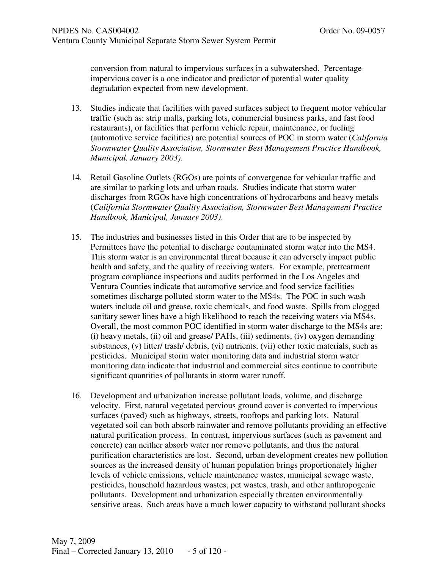conversion from natural to impervious surfaces in a subwatershed. Percentage impervious cover is a one indicator and predictor of potential water quality degradation expected from new development.

- 13. Studies indicate that facilities with paved surfaces subject to frequent motor vehicular traffic (such as: strip malls, parking lots, commercial business parks, and fast food restaurants), or facilities that perform vehicle repair, maintenance, or fueling (automotive service facilities) are potential sources of POC in storm water (*California Stormwater Quality Association, Stormwater Best Management Practice Handbook, Municipal, January 2003)*.
- 14. Retail Gasoline Outlets (RGOs) are points of convergence for vehicular traffic and are similar to parking lots and urban roads. Studies indicate that storm water discharges from RGOs have high concentrations of hydrocarbons and heavy metals (*California Stormwater Quality Association, Stormwater Best Management Practice Handbook, Municipal, January 2003)*.
- 15. The industries and businesses listed in this Order that are to be inspected by Permittees have the potential to discharge contaminated storm water into the MS4. This storm water is an environmental threat because it can adversely impact public health and safety, and the quality of receiving waters. For example, pretreatment program compliance inspections and audits performed in the Los Angeles and Ventura Counties indicate that automotive service and food service facilities sometimes discharge polluted storm water to the MS4s. The POC in such wash waters include oil and grease, toxic chemicals, and food waste. Spills from clogged sanitary sewer lines have a high likelihood to reach the receiving waters via MS4s. Overall, the most common POC identified in storm water discharge to the MS4s are: (i) heavy metals, (ii) oil and grease/ PAHs, (iii) sediments, (iv) oxygen demanding substances, (v) litter/ trash/ debris, (vi) nutrients, (vii) other toxic materials, such as pesticides. Municipal storm water monitoring data and industrial storm water monitoring data indicate that industrial and commercial sites continue to contribute significant quantities of pollutants in storm water runoff.
- 16. Development and urbanization increase pollutant loads, volume, and discharge velocity. First, natural vegetated pervious ground cover is converted to impervious surfaces (paved) such as highways, streets, rooftops and parking lots. Natural vegetated soil can both absorb rainwater and remove pollutants providing an effective natural purification process. In contrast, impervious surfaces (such as pavement and concrete) can neither absorb water nor remove pollutants, and thus the natural purification characteristics are lost. Second, urban development creates new pollution sources as the increased density of human population brings proportionately higher levels of vehicle emissions, vehicle maintenance wastes, municipal sewage waste, pesticides, household hazardous wastes, pet wastes, trash, and other anthropogenic pollutants. Development and urbanization especially threaten environmentally sensitive areas. Such areas have a much lower capacity to withstand pollutant shocks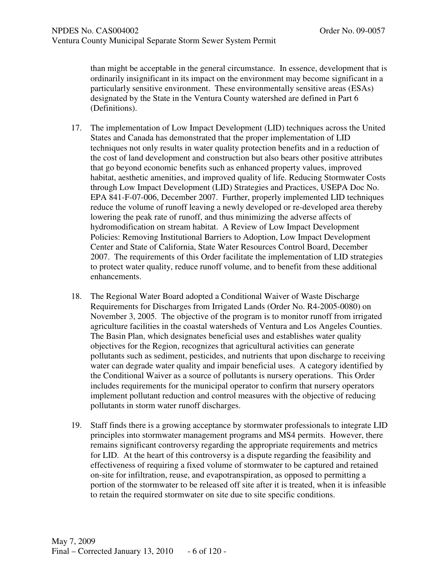than might be acceptable in the general circumstance. In essence, development that is ordinarily insignificant in its impact on the environment may become significant in a particularly sensitive environment. These environmentally sensitive areas (ESAs) designated by the State in the Ventura County watershed are defined in Part 6 (Definitions).

- 17. The implementation of Low Impact Development (LID) techniques across the United States and Canada has demonstrated that the proper implementation of LID techniques not only results in water quality protection benefits and in a reduction of the cost of land development and construction but also bears other positive attributes that go beyond economic benefits such as enhanced property values, improved habitat, aesthetic amenities, and improved quality of life. Reducing Stormwater Costs through Low Impact Development (LID) Strategies and Practices, USEPA Doc No. EPA 841-F-07-006, December 2007. Further, properly implemented LID techniques reduce the volume of runoff leaving a newly developed or re-developed area thereby lowering the peak rate of runoff, and thus minimizing the adverse affects of hydromodification on stream habitat. A Review of Low Impact Development Policies: Removing Institutional Barriers to Adoption, Low Impact Development Center and State of California, State Water Resources Control Board, December 2007. The requirements of this Order facilitate the implementation of LID strategies to protect water quality, reduce runoff volume, and to benefit from these additional enhancements.
- 18. The Regional Water Board adopted a Conditional Waiver of Waste Discharge Requirements for Discharges from Irrigated Lands (Order No. R4-2005-0080) on November 3, 2005. The objective of the program is to monitor runoff from irrigated agriculture facilities in the coastal watersheds of Ventura and Los Angeles Counties. The Basin Plan, which designates beneficial uses and establishes water quality objectives for the Region, recognizes that agricultural activities can generate pollutants such as sediment, pesticides, and nutrients that upon discharge to receiving water can degrade water quality and impair beneficial uses. A category identified by the Conditional Waiver as a source of pollutants is nursery operations. This Order includes requirements for the municipal operator to confirm that nursery operators implement pollutant reduction and control measures with the objective of reducing pollutants in storm water runoff discharges.
- 19. Staff finds there is a growing acceptance by stormwater professionals to integrate LID principles into stormwater management programs and MS4 permits. However, there remains significant controversy regarding the appropriate requirements and metrics for LID. At the heart of this controversy is a dispute regarding the feasibility and effectiveness of requiring a fixed volume of stormwater to be captured and retained on-site for infiltration, reuse, and evapotranspiration, as opposed to permitting a portion of the stormwater to be released off site after it is treated, when it is infeasible to retain the required stormwater on site due to site specific conditions.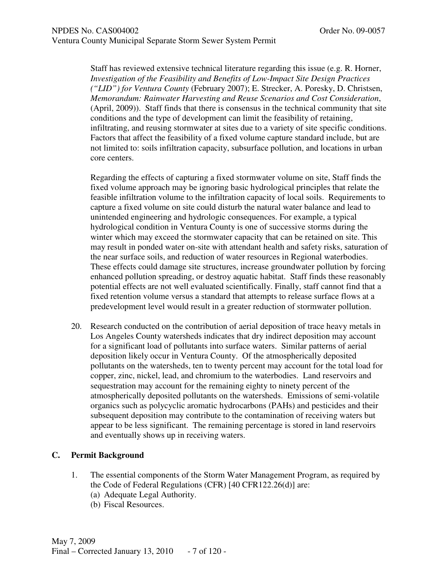Staff has reviewed extensive technical literature regarding this issue (e.g. R. Horner, *Investigation of the Feasibility and Benefits of Low-Impact Site Design Practices ("LID") for Ventura County* (February 2007); E. Strecker, A. Poresky, D. Christsen, *Memorandum: Rainwater Harvesting and Reuse Scenarios and Cost Consideration*, (April, 2009)). Staff finds that there is consensus in the technical community that site conditions and the type of development can limit the feasibility of retaining, infiltrating, and reusing stormwater at sites due to a variety of site specific conditions. Factors that affect the feasibility of a fixed volume capture standard include, but are not limited to: soils infiltration capacity, subsurface pollution, and locations in urban core centers.

Regarding the effects of capturing a fixed stormwater volume on site, Staff finds the fixed volume approach may be ignoring basic hydrological principles that relate the feasible infiltration volume to the infiltration capacity of local soils. Requirements to capture a fixed volume on site could disturb the natural water balance and lead to unintended engineering and hydrologic consequences. For example, a typical hydrological condition in Ventura County is one of successive storms during the winter which may exceed the stormwater capacity that can be retained on site. This may result in ponded water on-site with attendant health and safety risks, saturation of the near surface soils, and reduction of water resources in Regional waterbodies. These effects could damage site structures, increase groundwater pollution by forcing enhanced pollution spreading, or destroy aquatic habitat. Staff finds these reasonably potential effects are not well evaluated scientifically. Finally, staff cannot find that a fixed retention volume versus a standard that attempts to release surface flows at a predevelopment level would result in a greater reduction of stormwater pollution.

20. Research conducted on the contribution of aerial deposition of trace heavy metals in Los Angeles County watersheds indicates that dry indirect deposition may account for a significant load of pollutants into surface waters. Similar patterns of aerial deposition likely occur in Ventura County. Of the atmospherically deposited pollutants on the watersheds, ten to twenty percent may account for the total load for copper, zinc, nickel, lead, and chromium to the waterbodies. Land reservoirs and sequestration may account for the remaining eighty to ninety percent of the atmospherically deposited pollutants on the watersheds. Emissions of semi-volatile organics such as polycyclic aromatic hydrocarbons (PAHs) and pesticides and their subsequent deposition may contribute to the contamination of receiving waters but appear to be less significant. The remaining percentage is stored in land reservoirs and eventually shows up in receiving waters.

### **C. Permit Background**

- 1. The essential components of the Storm Water Management Program, as required by the Code of Federal Regulations (CFR) [40 CFR122.26(d)] are:
	- (a) Adequate Legal Authority.
	- (b) Fiscal Resources.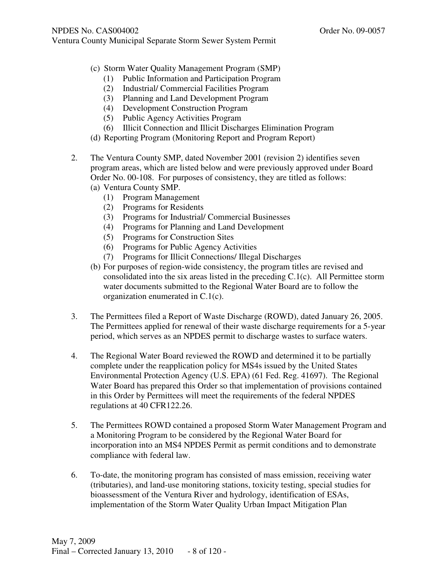- (c) Storm Water Quality Management Program (SMP)
	- (1) Public Information and Participation Program
	- (2) Industrial/ Commercial Facilities Program
	- (3) Planning and Land Development Program
	- (4) Development Construction Program
	- (5) Public Agency Activities Program
	- (6) Illicit Connection and Illicit Discharges Elimination Program
- (d) Reporting Program (Monitoring Report and Program Report)
- 2. The Ventura County SMP, dated November 2001 (revision 2) identifies seven program areas, which are listed below and were previously approved under Board Order No. 00-108. For purposes of consistency, they are titled as follows: (a) Ventura County SMP.
	- (1) Program Management
	- (2) Programs for Residents
	- (3) Programs for Industrial/ Commercial Businesses
	- (4) Programs for Planning and Land Development
	- (5) Programs for Construction Sites
	- (6) Programs for Public Agency Activities
	- (7) Programs for Illicit Connections/ Illegal Discharges
	- (b) For purposes of region-wide consistency, the program titles are revised and consolidated into the six areas listed in the preceding C.1(c). All Permittee storm water documents submitted to the Regional Water Board are to follow the organization enumerated in C.1(c).
- 3. The Permittees filed a Report of Waste Discharge (ROWD), dated January 26, 2005. The Permittees applied for renewal of their waste discharge requirements for a 5-year period, which serves as an NPDES permit to discharge wastes to surface waters.
- 4. The Regional Water Board reviewed the ROWD and determined it to be partially complete under the reapplication policy for MS4s issued by the United States Environmental Protection Agency (U.S. EPA) (61 Fed. Reg. 41697). The Regional Water Board has prepared this Order so that implementation of provisions contained in this Order by Permittees will meet the requirements of the federal NPDES regulations at 40 CFR122.26.
- 5. The Permittees ROWD contained a proposed Storm Water Management Program and a Monitoring Program to be considered by the Regional Water Board for incorporation into an MS4 NPDES Permit as permit conditions and to demonstrate compliance with federal law.
- 6. To-date, the monitoring program has consisted of mass emission, receiving water (tributaries), and land-use monitoring stations, toxicity testing, special studies for bioassessment of the Ventura River and hydrology, identification of ESAs, implementation of the Storm Water Quality Urban Impact Mitigation Plan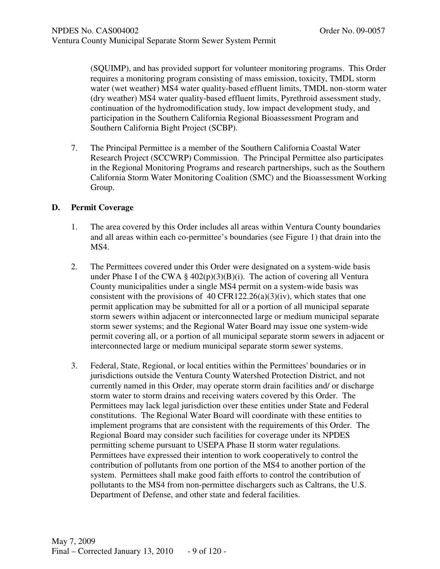(SQUIMP), and has provided support for volunteer monitoring programs. This Order requires a monitoring program consisting of mass emission, toxicity, TMDL storm water (wet weather) MS4 water quality-based effluent limits, TMDL non-storm water (dry weather) MS4 water quality-based effluent limits, Pyrethroid assessment study, continuation of the hydromodification study, low impact development study, and participation in the Southern California Regional Bioassessment Program and Southern California Bight Project (SCBP).

7. The Principal Permittee is a member of the Southern California Coastal Water Research Project (SCCWRP) Commission. The Principal Permittee also participates in the Regional Monitoring Programs and research partnerships, such as the Southern California Storm Water Monitoring Coalition (SMC) and the Bioassessment Working Group.

### **D. Permit Coverage**

- 1. The area covered by this Order includes all areas within Ventura County boundaries and all areas within each co-permittee's boundaries (see Figure 1) that drain into the MS4.
- 2. The Permittees covered under this Order were designated on a system-wide basis under Phase I of the CWA  $\S$  402(p)(3)(B)(i). The action of covering all Ventura County municipalities under a single MS4 permit on a system-wide basis was consistent with the provisions of 40 CFR122.26(a)(3)(iv), which states that one permit application may be submitted for all or a portion of all municipal separate storm sewers within adjacent or interconnected large or medium municipal separate storm sewer systems; and the Regional Water Board may issue one system-wide permit covering all, or a portion of all municipal separate storm sewers in adjacent or interconnected large or medium municipal separate storm sewer systems.
- 3. Federal, State, Regional, or local entities within the Permittees' boundaries or in jurisdictions outside the Ventura County Watershed Protection District, and not currently named in this Order, may operate storm drain facilities and/ or discharge storm water to storm drains and receiving waters covered by this Order. The Permittees may lack legal jurisdiction over these entities under State and Federal constitutions. The Regional Water Board will coordinate with these entities to implement programs that are consistent with the requirements of this Order. The Regional Board may consider such facilities for coverage under its NPDES permitting scheme pursuant to USEPA Phase II storm water regulations. Permittees have expressed their intention to work cooperatively to control the contribution of pollutants from one portion of the MS4 to another portion of the system. Permittees shall make good faith efforts to control the contribution of pollutants to the MS4 from non-permittee dischargers such as Caltrans, the U.S. Department of Defense, and other state and federal facilities.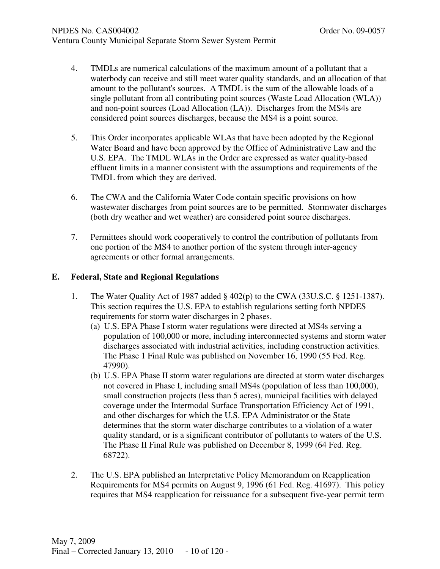- 4. TMDLs are numerical calculations of the maximum amount of a pollutant that a waterbody can receive and still meet water quality standards, and an allocation of that amount to the pollutant's sources. A TMDL is the sum of the allowable loads of a single pollutant from all contributing point sources (Waste Load Allocation (WLA)) and non-point sources (Load Allocation (LA)). Discharges from the MS4s are considered point sources discharges, because the MS4 is a point source.
- 5. This Order incorporates applicable WLAs that have been adopted by the Regional Water Board and have been approved by the Office of Administrative Law and the U.S. EPA. The TMDL WLAs in the Order are expressed as water quality-based effluent limits in a manner consistent with the assumptions and requirements of the TMDL from which they are derived.
- 6. The CWA and the California Water Code contain specific provisions on how wastewater discharges from point sources are to be permitted. Stormwater discharges (both dry weather and wet weather) are considered point source discharges.
- 7. Permittees should work cooperatively to control the contribution of pollutants from one portion of the MS4 to another portion of the system through inter-agency agreements or other formal arrangements.

#### **E. Federal, State and Regional Regulations**

- 1. The Water Quality Act of 1987 added § 402(p) to the CWA (33U.S.C. § 1251-1387). This section requires the U.S. EPA to establish regulations setting forth NPDES requirements for storm water discharges in 2 phases.
	- (a) U.S. EPA Phase I storm water regulations were directed at MS4s serving a population of 100,000 or more, including interconnected systems and storm water discharges associated with industrial activities, including construction activities. The Phase 1 Final Rule was published on November 16, 1990 (55 Fed. Reg. 47990).
	- (b) U.S. EPA Phase II storm water regulations are directed at storm water discharges not covered in Phase I, including small MS4s (population of less than 100,000), small construction projects (less than 5 acres), municipal facilities with delayed coverage under the Intermodal Surface Transportation Efficiency Act of 1991, and other discharges for which the U.S. EPA Administrator or the State determines that the storm water discharge contributes to a violation of a water quality standard, or is a significant contributor of pollutants to waters of the U.S. The Phase II Final Rule was published on December 8, 1999 (64 Fed. Reg. 68722).
- 2. The U.S. EPA published an Interpretative Policy Memorandum on Reapplication Requirements for MS4 permits on August 9, 1996 (61 Fed. Reg. 41697). This policy requires that MS4 reapplication for reissuance for a subsequent five-year permit term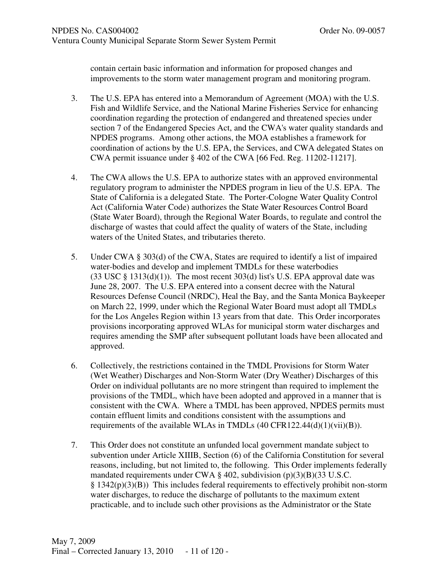contain certain basic information and information for proposed changes and improvements to the storm water management program and monitoring program.

- 3. The U.S. EPA has entered into a Memorandum of Agreement (MOA) with the U.S. Fish and Wildlife Service, and the National Marine Fisheries Service for enhancing coordination regarding the protection of endangered and threatened species under section 7 of the Endangered Species Act, and the CWA's water quality standards and NPDES programs. Among other actions, the MOA establishes a framework for coordination of actions by the U.S. EPA, the Services, and CWA delegated States on CWA permit issuance under § 402 of the CWA [66 Fed. Reg. 11202-11217].
- 4. The CWA allows the U.S. EPA to authorize states with an approved environmental regulatory program to administer the NPDES program in lieu of the U.S. EPA. The State of California is a delegated State. The Porter-Cologne Water Quality Control Act (California Water Code) authorizes the State Water Resources Control Board (State Water Board), through the Regional Water Boards, to regulate and control the discharge of wastes that could affect the quality of waters of the State, including waters of the United States, and tributaries thereto.
- 5. Under CWA § 303(d) of the CWA, States are required to identify a list of impaired water-bodies and develop and implement TMDLs for these waterbodies  $(33 \text{ USC} \text{ } \text{\&} 1313(d)(1))$ . The most recent 303(d) list's U.S. EPA approval date was June 28, 2007. The U.S. EPA entered into a consent decree with the Natural Resources Defense Council (NRDC), Heal the Bay, and the Santa Monica Baykeeper on March 22, 1999, under which the Regional Water Board must adopt all TMDLs for the Los Angeles Region within 13 years from that date. This Order incorporates provisions incorporating approved WLAs for municipal storm water discharges and requires amending the SMP after subsequent pollutant loads have been allocated and approved.
- 6. Collectively, the restrictions contained in the TMDL Provisions for Storm Water (Wet Weather) Discharges and Non-Storm Water (Dry Weather) Discharges of this Order on individual pollutants are no more stringent than required to implement the provisions of the TMDL, which have been adopted and approved in a manner that is consistent with the CWA. Where a TMDL has been approved, NPDES permits must contain effluent limits and conditions consistent with the assumptions and requirements of the available WLAs in TMDLs  $(40 \text{ CFR}122.44(d)(1)(\text{vii})(B)).$
- 7. This Order does not constitute an unfunded local government mandate subject to subvention under Article XIIIB, Section (6) of the California Constitution for several reasons, including, but not limited to, the following. This Order implements federally mandated requirements under CWA § 402, subdivision (p)(3)(B)(33 U.S.C.  $\S 1342(p)(3)(B)$ ) This includes federal requirements to effectively prohibit non-storm water discharges, to reduce the discharge of pollutants to the maximum extent practicable, and to include such other provisions as the Administrator or the State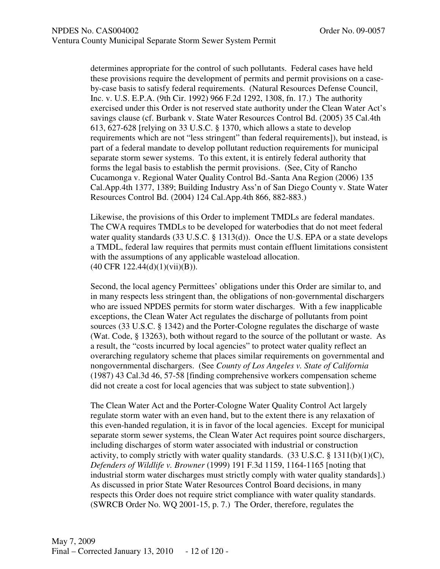determines appropriate for the control of such pollutants. Federal cases have held these provisions require the development of permits and permit provisions on a caseby-case basis to satisfy federal requirements. (Natural Resources Defense Council, Inc. v. U.S. E.P.A. (9th Cir. 1992) 966 F.2d 1292, 1308, fn. 17.) The authority exercised under this Order is not reserved state authority under the Clean Water Act's savings clause (cf. Burbank v. State Water Resources Control Bd. (2005) 35 Cal.4th 613, 627-628 [relying on 33 U.S.C. § 1370, which allows a state to develop requirements which are not "less stringent" than federal requirements]), but instead, is part of a federal mandate to develop pollutant reduction requirements for municipal separate storm sewer systems. To this extent, it is entirely federal authority that forms the legal basis to establish the permit provisions. (See, City of Rancho Cucamonga v. Regional Water Quality Control Bd.-Santa Ana Region (2006) 135 Cal.App.4th 1377, 1389; Building Industry Ass'n of San Diego County v. State Water Resources Control Bd. (2004) 124 Cal.App.4th 866, 882-883.)

Likewise, the provisions of this Order to implement TMDLs are federal mandates. The CWA requires TMDLs to be developed for waterbodies that do not meet federal water quality standards (33 U.S.C. § 1313(d)). Once the U.S. EPA or a state develops a TMDL, federal law requires that permits must contain effluent limitations consistent with the assumptions of any applicable wasteload allocation. (40 CFR 122.44(d)(1)(vii)(B)).

Second, the local agency Permittees' obligations under this Order are similar to, and in many respects less stringent than, the obligations of non-governmental dischargers who are issued NPDES permits for storm water discharges. With a few inapplicable exceptions, the Clean Water Act regulates the discharge of pollutants from point sources (33 U.S.C. § 1342) and the Porter-Cologne regulates the discharge of waste (Wat. Code, § 13263), both without regard to the source of the pollutant or waste. As a result, the "costs incurred by local agencies" to protect water quality reflect an overarching regulatory scheme that places similar requirements on governmental and nongovernmental dischargers. (See *County of Los Angeles v. State of California* (1987) 43 Cal.3d 46, 57-58 [finding comprehensive workers compensation scheme did not create a cost for local agencies that was subject to state subvention].)

The Clean Water Act and the Porter-Cologne Water Quality Control Act largely regulate storm water with an even hand, but to the extent there is any relaxation of this even-handed regulation, it is in favor of the local agencies. Except for municipal separate storm sewer systems, the Clean Water Act requires point source dischargers, including discharges of storm water associated with industrial or construction activity, to comply strictly with water quality standards.  $(33 \text{ U.S.C.} \S 1311(b)(1)(C)),$ *Defenders of Wildlife v. Browner* (1999) 191 F.3d 1159, 1164-1165 [noting that industrial storm water discharges must strictly comply with water quality standards].) As discussed in prior State Water Resources Control Board decisions, in many respects this Order does not require strict compliance with water quality standards. (SWRCB Order No. WQ 2001-15, p. 7.) The Order, therefore, regulates the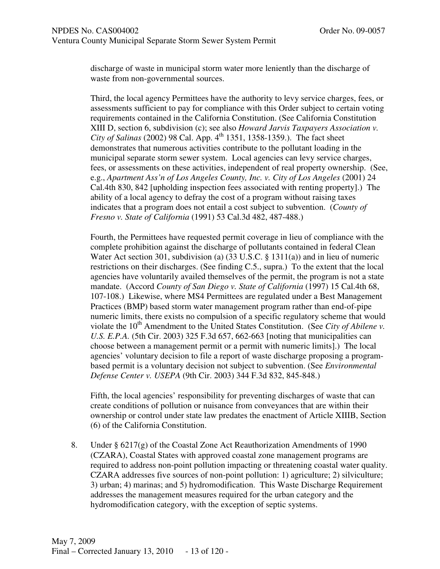discharge of waste in municipal storm water more leniently than the discharge of waste from non-governmental sources.

Third, the local agency Permittees have the authority to levy service charges, fees, or assessments sufficient to pay for compliance with this Order subject to certain voting requirements contained in the California Constitution. (See California Constitution XIII D, section 6, subdivision (c); see also *Howard Jarvis Taxpayers Association v. City of Salinas* (2002) 98 Cal. App. 4<sup>th</sup> 1351, 1358-1359.). The fact sheet demonstrates that numerous activities contribute to the pollutant loading in the municipal separate storm sewer system. Local agencies can levy service charges, fees, or assessments on these activities, independent of real property ownership. (See, e.g., *Apartment Ass'n of Los Angeles County, Inc. v. City of Los Angeles* (2001) 24 Cal.4th 830, 842 [upholding inspection fees associated with renting property].) The ability of a local agency to defray the cost of a program without raising taxes indicates that a program does not entail a cost subject to subvention. (*County of Fresno v. State of California* (1991) 53 Cal.3d 482, 487-488.)

Fourth, the Permittees have requested permit coverage in lieu of compliance with the complete prohibition against the discharge of pollutants contained in federal Clean Water Act section 301, subdivision (a) (33 U.S.C. § 1311(a)) and in lieu of numeric restrictions on their discharges. (See finding C.5., supra.) To the extent that the local agencies have voluntarily availed themselves of the permit, the program is not a state mandate. (Accord *County of San Diego v. State of California* (1997) 15 Cal.4th 68, 107-108.) Likewise, where MS4 Permittees are regulated under a Best Management Practices (BMP) based storm water management program rather than end-of-pipe numeric limits, there exists no compulsion of a specific regulatory scheme that would violate the 10<sup>th</sup> Amendment to the United States Constitution. (See *City of Abilene v*. *U.S. E.P.A.* (5th Cir. 2003) 325 F.3d 657, 662-663 [noting that municipalities can choose between a management permit or a permit with numeric limits].) The local agencies' voluntary decision to file a report of waste discharge proposing a programbased permit is a voluntary decision not subject to subvention. (See *Environmental Defense Center v. USEPA* (9th Cir. 2003) 344 F.3d 832, 845-848.)

Fifth, the local agencies' responsibility for preventing discharges of waste that can create conditions of pollution or nuisance from conveyances that are within their ownership or control under state law predates the enactment of Article XIIIB, Section (6) of the California Constitution.

8. Under  $\S 6217(g)$  of the Coastal Zone Act Reauthorization Amendments of 1990 (CZARA), Coastal States with approved coastal zone management programs are required to address non-point pollution impacting or threatening coastal water quality. CZARA addresses five sources of non-point pollution: 1) agriculture; 2) silviculture; 3) urban; 4) marinas; and 5) hydromodification. This Waste Discharge Requirement addresses the management measures required for the urban category and the hydromodification category, with the exception of septic systems.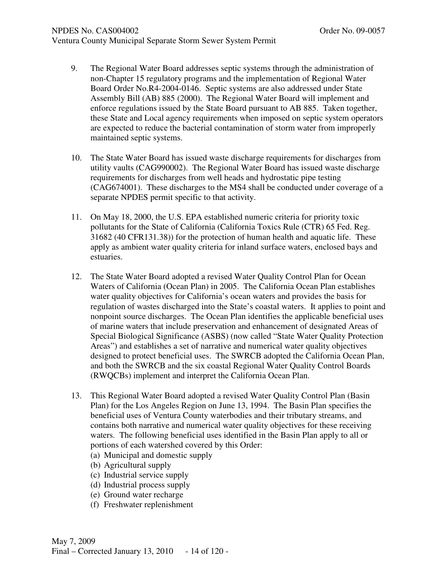#### NPDES No. CAS004002 **Order No. 09-0057**

- 9. The Regional Water Board addresses septic systems through the administration of non-Chapter 15 regulatory programs and the implementation of Regional Water Board Order No.R4-2004-0146. Septic systems are also addressed under State Assembly Bill (AB) 885 (2000). The Regional Water Board will implement and enforce regulations issued by the State Board pursuant to AB 885. Taken together, these State and Local agency requirements when imposed on septic system operators are expected to reduce the bacterial contamination of storm water from improperly maintained septic systems.
- 10. The State Water Board has issued waste discharge requirements for discharges from utility vaults (CAG990002). The Regional Water Board has issued waste discharge requirements for discharges from well heads and hydrostatic pipe testing (CAG674001). These discharges to the MS4 shall be conducted under coverage of a separate NPDES permit specific to that activity.
- 11. On May 18, 2000, the U.S. EPA established numeric criteria for priority toxic pollutants for the State of California (California Toxics Rule (CTR) 65 Fed. Reg. 31682 (40 CFR131.38)) for the protection of human health and aquatic life. These apply as ambient water quality criteria for inland surface waters, enclosed bays and estuaries.
- 12. The State Water Board adopted a revised Water Quality Control Plan for Ocean Waters of California (Ocean Plan) in 2005. The California Ocean Plan establishes water quality objectives for California's ocean waters and provides the basis for regulation of wastes discharged into the State's coastal waters. It applies to point and nonpoint source discharges. The Ocean Plan identifies the applicable beneficial uses of marine waters that include preservation and enhancement of designated Areas of Special Biological Significance (ASBS) (now called "State Water Quality Protection Areas") and establishes a set of narrative and numerical water quality objectives designed to protect beneficial uses. The SWRCB adopted the California Ocean Plan, and both the SWRCB and the six coastal Regional Water Quality Control Boards (RWQCBs) implement and interpret the California Ocean Plan.
- 13. This Regional Water Board adopted a revised Water Quality Control Plan (Basin Plan) for the Los Angeles Region on June 13, 1994. The Basin Plan specifies the beneficial uses of Ventura County waterbodies and their tributary streams, and contains both narrative and numerical water quality objectives for these receiving waters. The following beneficial uses identified in the Basin Plan apply to all or portions of each watershed covered by this Order:
	- (a) Municipal and domestic supply
	- (b) Agricultural supply
	- (c) Industrial service supply
	- (d) Industrial process supply
	- (e) Ground water recharge
	- (f) Freshwater replenishment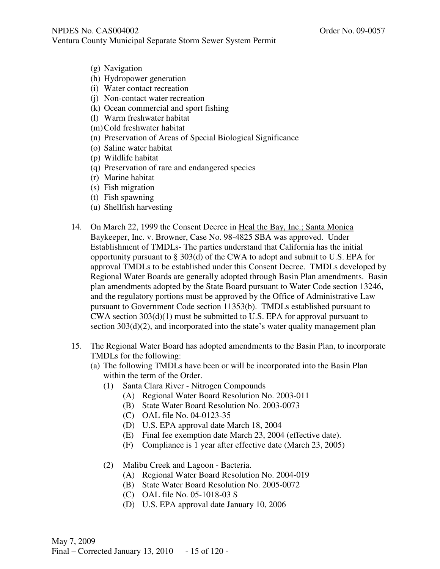- (g) Navigation
- (h) Hydropower generation
- (i) Water contact recreation
- (j) Non-contact water recreation
- (k) Ocean commercial and sport fishing
- (l) Warm freshwater habitat
- (m)Cold freshwater habitat
- (n) Preservation of Areas of Special Biological Significance
- (o) Saline water habitat
- (p) Wildlife habitat
- (q) Preservation of rare and endangered species
- (r) Marine habitat
- (s) Fish migration
- (t) Fish spawning
- (u) Shellfish harvesting
- 14. On March 22, 1999 the Consent Decree in Heal the Bay, Inc.; Santa Monica Baykeeper, Inc. v. Browner, Case No. 98-4825 SBA was approved. Under Establishment of TMDLs- The parties understand that California has the initial opportunity pursuant to § 303(d) of the CWA to adopt and submit to U.S. EPA for approval TMDLs to be established under this Consent Decree. TMDLs developed by Regional Water Boards are generally adopted through Basin Plan amendments. Basin plan amendments adopted by the State Board pursuant to Water Code section 13246, and the regulatory portions must be approved by the Office of Administrative Law pursuant to Government Code section 11353(b). TMDLs established pursuant to CWA section 303(d)(1) must be submitted to U.S. EPA for approval pursuant to section 303(d)(2), and incorporated into the state's water quality management plan
- 15. The Regional Water Board has adopted amendments to the Basin Plan, to incorporate TMDLs for the following:
	- (a) The following TMDLs have been or will be incorporated into the Basin Plan within the term of the Order.
		- (1) Santa Clara River Nitrogen Compounds
			- (A) Regional Water Board Resolution No. 2003-011
			- (B) State Water Board Resolution No. 2003-0073
			- (C) OAL file No. 04-0123-35
			- (D) U.S. EPA approval date March 18, 2004
			- (E) Final fee exemption date March 23, 2004 (effective date).
			- (F) Compliance is 1 year after effective date (March 23, 2005)
		- (2) Malibu Creek and Lagoon Bacteria.
			- (A) Regional Water Board Resolution No. 2004-019
			- (B) State Water Board Resolution No. 2005-0072
			- (C) OAL file No. 05-1018-03 S
			- (D) U.S. EPA approval date January 10, 2006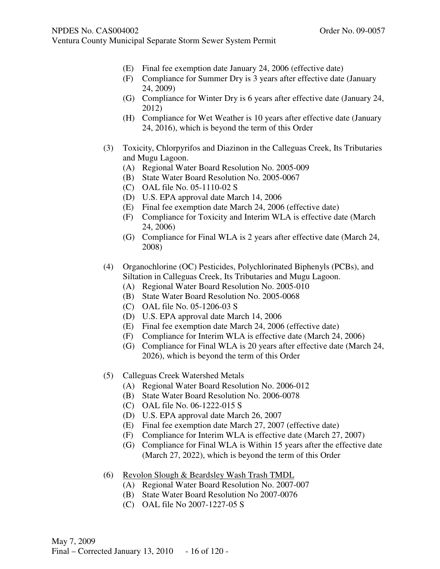- (E) Final fee exemption date January 24, 2006 (effective date)
- (F) Compliance for Summer Dry is 3 years after effective date (January 24, 2009)
- (G) Compliance for Winter Dry is 6 years after effective date (January 24, 2012)
- (H) Compliance for Wet Weather is 10 years after effective date (January 24, 2016), which is beyond the term of this Order
- (3) Toxicity, Chlorpyrifos and Diazinon in the Calleguas Creek, Its Tributaries and Mugu Lagoon.
	- (A) Regional Water Board Resolution No. 2005-009
	- (B) State Water Board Resolution No. 2005-0067
	- (C) OAL file No. 05-1110-02 S
	- (D) U.S. EPA approval date March 14, 2006
	- (E) Final fee exemption date March 24, 2006 (effective date)
	- (F) Compliance for Toxicity and Interim WLA is effective date (March 24, 2006)
	- (G) Compliance for Final WLA is 2 years after effective date (March 24, 2008)
- (4) Organochlorine (OC) Pesticides, Polychlorinated Biphenyls (PCBs), and Siltation in Calleguas Creek, Its Tributaries and Mugu Lagoon.
	- (A) Regional Water Board Resolution No. 2005-010
	- (B) State Water Board Resolution No. 2005-0068
	- (C) OAL file No. 05-1206-03 S
	- (D) U.S. EPA approval date March 14, 2006
	- (E) Final fee exemption date March 24, 2006 (effective date)
	- (F) Compliance for Interim WLA is effective date (March 24, 2006)
	- (G) Compliance for Final WLA is 20 years after effective date (March 24, 2026), which is beyond the term of this Order
- (5) Calleguas Creek Watershed Metals
	- (A) Regional Water Board Resolution No. 2006-012
	- (B) State Water Board Resolution No. 2006-0078
	- (C) OAL file No. 06-1222-015 S
	- (D) U.S. EPA approval date March 26, 2007
	- (E) Final fee exemption date March 27, 2007 (effective date)
	- (F) Compliance for Interim WLA is effective date (March 27, 2007)
	- (G) Compliance for Final WLA is Within 15 years after the effective date (March 27, 2022), which is beyond the term of this Order
- (6) Revolon Slough & Beardsley Wash Trash TMDL
	- (A) Regional Water Board Resolution No. 2007-007
	- (B) State Water Board Resolution No 2007-0076
	- (C) OAL file No 2007-1227-05 S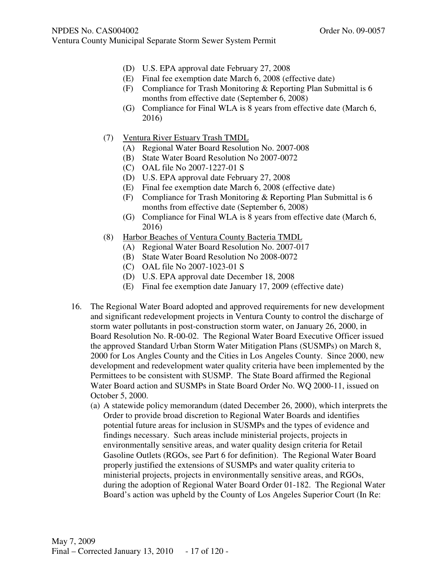- (D) U.S. EPA approval date February 27, 2008
- (E) Final fee exemption date March 6, 2008 (effective date)
- (F) Compliance for Trash Monitoring & Reporting Plan Submittal is 6 months from effective date (September 6, 2008)
- (G) Compliance for Final WLA is 8 years from effective date (March 6, 2016)
- (7) Ventura River Estuary Trash TMDL
	- (A) Regional Water Board Resolution No. 2007-008
	- (B) State Water Board Resolution No 2007-0072
	- (C) OAL file No 2007-1227-01 S
	- (D) U.S. EPA approval date February 27, 2008
	- (E) Final fee exemption date March 6, 2008 (effective date)
	- (F) Compliance for Trash Monitoring & Reporting Plan Submittal is 6 months from effective date (September 6, 2008)
	- (G) Compliance for Final WLA is 8 years from effective date (March 6, 2016)
- (8) Harbor Beaches of Ventura County Bacteria TMDL
	- (A) Regional Water Board Resolution No. 2007-017
	- (B) State Water Board Resolution No 2008-0072
	- (C) OAL file No 2007-1023-01 S
	- (D) U.S. EPA approval date December 18, 2008
	- (E) Final fee exemption date January 17, 2009 (effective date)
- 16. The Regional Water Board adopted and approved requirements for new development and significant redevelopment projects in Ventura County to control the discharge of storm water pollutants in post-construction storm water, on January 26, 2000, in Board Resolution No. R-00-02. The Regional Water Board Executive Officer issued the approved Standard Urban Storm Water Mitigation Plans (SUSMPs) on March 8, 2000 for Los Angles County and the Cities in Los Angeles County. Since 2000, new development and redevelopment water quality criteria have been implemented by the Permittees to be consistent with SUSMP. The State Board affirmed the Regional Water Board action and SUSMPs in State Board Order No. WQ 2000-11, issued on October 5, 2000.
	- (a) A statewide policy memorandum (dated December 26, 2000), which interprets the Order to provide broad discretion to Regional Water Boards and identifies potential future areas for inclusion in SUSMPs and the types of evidence and findings necessary. Such areas include ministerial projects, projects in environmentally sensitive areas, and water quality design criteria for Retail Gasoline Outlets (RGOs, see Part 6 for definition). The Regional Water Board properly justified the extensions of SUSMPs and water quality criteria to ministerial projects, projects in environmentally sensitive areas, and RGOs, during the adoption of Regional Water Board Order 01-182. The Regional Water Board's action was upheld by the County of Los Angeles Superior Court (In Re: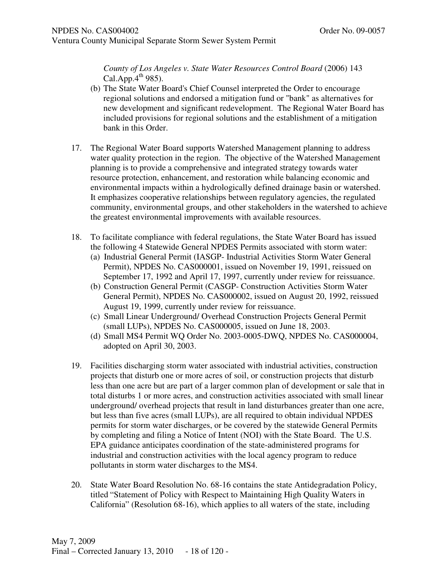*County of Los Angeles v. State Water Resources Control Board* (2006) 143 Cal.App. $4^{th}$  985).

- (b) The State Water Board's Chief Counsel interpreted the Order to encourage regional solutions and endorsed a mitigation fund or "bank" as alternatives for new development and significant redevelopment. The Regional Water Board has included provisions for regional solutions and the establishment of a mitigation bank in this Order.
- 17. The Regional Water Board supports Watershed Management planning to address water quality protection in the region. The objective of the Watershed Management planning is to provide a comprehensive and integrated strategy towards water resource protection, enhancement, and restoration while balancing economic and environmental impacts within a hydrologically defined drainage basin or watershed. It emphasizes cooperative relationships between regulatory agencies, the regulated community, environmental groups, and other stakeholders in the watershed to achieve the greatest environmental improvements with available resources.
- 18. To facilitate compliance with federal regulations, the State Water Board has issued the following 4 Statewide General NPDES Permits associated with storm water:
	- (a) Industrial General Permit (IASGP- Industrial Activities Storm Water General Permit), NPDES No. CAS000001, issued on November 19, 1991, reissued on September 17, 1992 and April 17, 1997, currently under review for reissuance.
	- (b) Construction General Permit (CASGP- Construction Activities Storm Water General Permit), NPDES No. CAS000002, issued on August 20, 1992, reissued August 19, 1999, currently under review for reissuance.
	- (c) Small Linear Underground/ Overhead Construction Projects General Permit (small LUPs), NPDES No. CAS000005, issued on June 18, 2003.
	- (d) Small MS4 Permit WQ Order No. 2003-0005-DWQ, NPDES No. CAS000004, adopted on April 30, 2003.
- 19. Facilities discharging storm water associated with industrial activities, construction projects that disturb one or more acres of soil, or construction projects that disturb less than one acre but are part of a larger common plan of development or sale that in total disturbs 1 or more acres, and construction activities associated with small linear underground/ overhead projects that result in land disturbances greater than one acre, but less than five acres (small LUPs), are all required to obtain individual NPDES permits for storm water discharges, or be covered by the statewide General Permits by completing and filing a Notice of Intent (NOI) with the State Board. The U.S. EPA guidance anticipates coordination of the state-administered programs for industrial and construction activities with the local agency program to reduce pollutants in storm water discharges to the MS4.
- 20. State Water Board Resolution No. 68-16 contains the state Antidegradation Policy, titled "Statement of Policy with Respect to Maintaining High Quality Waters in California" (Resolution 68-16), which applies to all waters of the state, including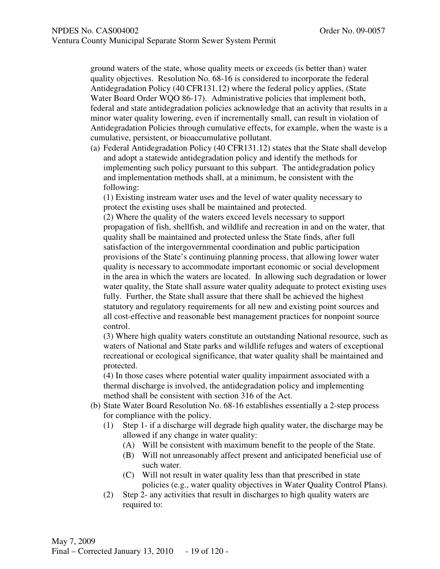ground waters of the state, whose quality meets or exceeds (is better than) water quality objectives. Resolution No. 68-16 is considered to incorporate the federal Antidegradation Policy (40 CFR131.12) where the federal policy applies, (State Water Board Order WQO 86-17). Administrative policies that implement both, federal and state antidegradation policies acknowledge that an activity that results in a minor water quality lowering, even if incrementally small, can result in violation of Antidegradation Policies through cumulative effects, for example, when the waste is a cumulative, persistent, or bioaccumulative pollutant.

(a) Federal Antidegradation Policy (40 CFR131.12) states that the State shall develop and adopt a statewide antidegradation policy and identify the methods for implementing such policy pursuant to this subpart. The antidegradation policy and implementation methods shall, at a minimum, be consistent with the following:

(1) Existing instream water uses and the level of water quality necessary to protect the existing uses shall be maintained and protected.

(2) Where the quality of the waters exceed levels necessary to support propagation of fish, shellfish, and wildlife and recreation in and on the water, that quality shall be maintained and protected unless the State finds, after full satisfaction of the intergovernmental coordination and public participation provisions of the State's continuing planning process, that allowing lower water quality is necessary to accommodate important economic or social development in the area in which the waters are located. In allowing such degradation or lower water quality, the State shall assure water quality adequate to protect existing uses fully. Further, the State shall assure that there shall be achieved the highest statutory and regulatory requirements for all new and existing point sources and all cost-effective and reasonable best management practices for nonpoint source control.

(3) Where high quality waters constitute an outstanding National resource, such as waters of National and State parks and wildlife refuges and waters of exceptional recreational or ecological significance, that water quality shall be maintained and protected.

(4) In those cases where potential water quality impairment associated with a thermal discharge is involved, the antidegradation policy and implementing method shall be consistent with section 316 of the Act.

- (b) State Water Board Resolution No. 68-16 establishes essentially a 2-step process for compliance with the policy.
	- (1) Step 1- if a discharge will degrade high quality water, the discharge may be allowed if any change in water quality:
		- (A) Will be consistent with maximum benefit to the people of the State.
		- (B) Will not unreasonably affect present and anticipated beneficial use of such water.
		- (C) Will not result in water quality less than that prescribed in state policies (e.g., water quality objectives in Water Quality Control Plans).
	- (2) Step 2- any activities that result in discharges to high quality waters are required to: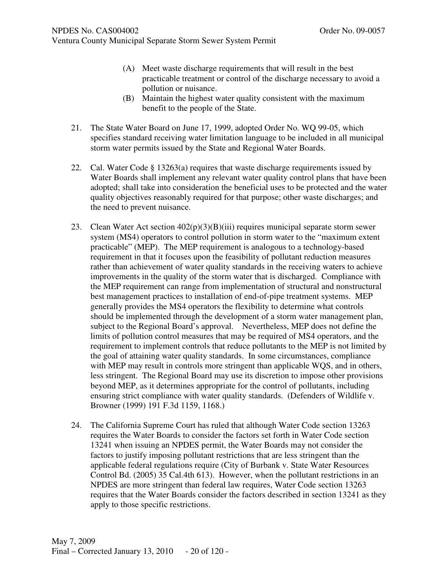- (A) Meet waste discharge requirements that will result in the best practicable treatment or control of the discharge necessary to avoid a pollution or nuisance.
	- (B) Maintain the highest water quality consistent with the maximum benefit to the people of the State.
- 21. The State Water Board on June 17, 1999, adopted Order No. WQ 99-05, which specifies standard receiving water limitation language to be included in all municipal storm water permits issued by the State and Regional Water Boards.
- 22. Cal. Water Code § 13263(a) requires that waste discharge requirements issued by Water Boards shall implement any relevant water quality control plans that have been adopted; shall take into consideration the beneficial uses to be protected and the water quality objectives reasonably required for that purpose; other waste discharges; and the need to prevent nuisance.
- 23. Clean Water Act section  $402(p)(3)(B)(iii)$  requires municipal separate storm sewer system (MS4) operators to control pollution in storm water to the "maximum extent practicable" (MEP). The MEP requirement is analogous to a technology-based requirement in that it focuses upon the feasibility of pollutant reduction measures rather than achievement of water quality standards in the receiving waters to achieve improvements in the quality of the storm water that is discharged. Compliance with the MEP requirement can range from implementation of structural and nonstructural best management practices to installation of end-of-pipe treatment systems. MEP generally provides the MS4 operators the flexibility to determine what controls should be implemented through the development of a storm water management plan, subject to the Regional Board's approval. Nevertheless, MEP does not define the limits of pollution control measures that may be required of MS4 operators, and the requirement to implement controls that reduce pollutants to the MEP is not limited by the goal of attaining water quality standards. In some circumstances, compliance with MEP may result in controls more stringent than applicable WQS, and in others, less stringent. The Regional Board may use its discretion to impose other provisions beyond MEP, as it determines appropriate for the control of pollutants, including ensuring strict compliance with water quality standards. (Defenders of Wildlife v. Browner (1999) 191 F.3d 1159, 1168.)
- 24. The California Supreme Court has ruled that although Water Code section 13263 requires the Water Boards to consider the factors set forth in Water Code section 13241 when issuing an NPDES permit, the Water Boards may not consider the factors to justify imposing pollutant restrictions that are less stringent than the applicable federal regulations require (City of Burbank v. State Water Resources Control Bd. (2005) 35 Cal.4th 613). However, when the pollutant restrictions in an NPDES are more stringent than federal law requires, Water Code section 13263 requires that the Water Boards consider the factors described in section 13241 as they apply to those specific restrictions.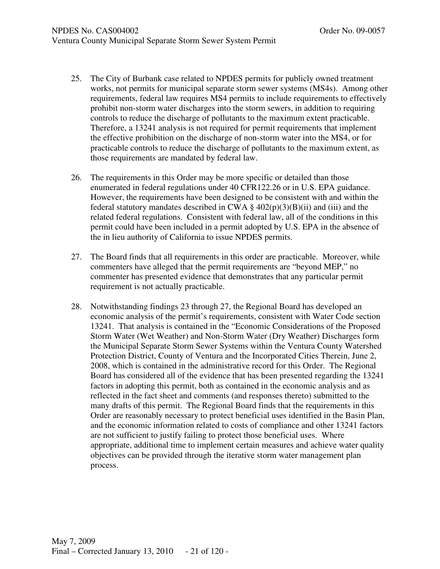- 25. The City of Burbank case related to NPDES permits for publicly owned treatment works, not permits for municipal separate storm sewer systems (MS4s). Among other requirements, federal law requires MS4 permits to include requirements to effectively prohibit non-storm water discharges into the storm sewers, in addition to requiring controls to reduce the discharge of pollutants to the maximum extent practicable. Therefore, a 13241 analysis is not required for permit requirements that implement the effective prohibition on the discharge of non-storm water into the MS4, or for practicable controls to reduce the discharge of pollutants to the maximum extent, as those requirements are mandated by federal law.
- 26. The requirements in this Order may be more specific or detailed than those enumerated in federal regulations under 40 CFR122.26 or in U.S. EPA guidance. However, the requirements have been designed to be consistent with and within the federal statutory mandates described in CWA  $\S$  402(p)(3)(B)(ii) and (iii) and the related federal regulations. Consistent with federal law, all of the conditions in this permit could have been included in a permit adopted by U.S. EPA in the absence of the in lieu authority of California to issue NPDES permits.
- 27. The Board finds that all requirements in this order are practicable. Moreover, while commenters have alleged that the permit requirements are "beyond MEP," no commenter has presented evidence that demonstrates that any particular permit requirement is not actually practicable.
- 28. Notwithstanding findings 23 through 27, the Regional Board has developed an economic analysis of the permit's requirements, consistent with Water Code section 13241. That analysis is contained in the "Economic Considerations of the Proposed Storm Water (Wet Weather) and Non-Storm Water (Dry Weather) Discharges form the Municipal Separate Storm Sewer Systems within the Ventura County Watershed Protection District, County of Ventura and the Incorporated Cities Therein, June 2, 2008, which is contained in the administrative record for this Order. The Regional Board has considered all of the evidence that has been presented regarding the 13241 factors in adopting this permit, both as contained in the economic analysis and as reflected in the fact sheet and comments (and responses thereto) submitted to the many drafts of this permit. The Regional Board finds that the requirements in this Order are reasonably necessary to protect beneficial uses identified in the Basin Plan, and the economic information related to costs of compliance and other 13241 factors are not sufficient to justify failing to protect those beneficial uses. Where appropriate, additional time to implement certain measures and achieve water quality objectives can be provided through the iterative storm water management plan process.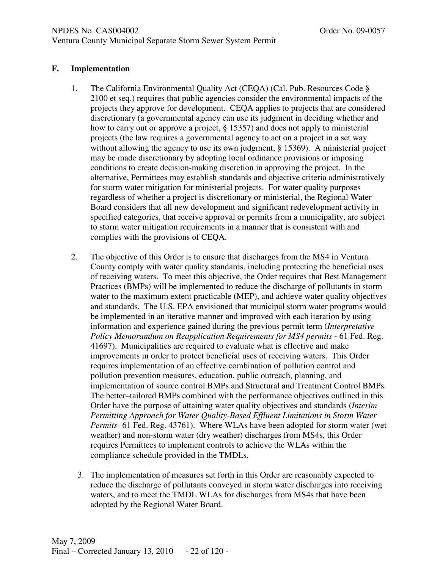## **F. Implementation**

- 1. The California Environmental Quality Act (CEQA) (Cal. Pub. Resources Code § 2100 et seq.) requires that public agencies consider the environmental impacts of the projects they approve for development. CEQA applies to projects that are considered discretionary (a governmental agency can use its judgment in deciding whether and how to carry out or approve a project, § 15357) and does not apply to ministerial projects (the law requires a governmental agency to act on a project in a set way without allowing the agency to use its own judgment, § 15369). A ministerial project may be made discretionary by adopting local ordinance provisions or imposing conditions to create decision-making discretion in approving the project. In the alternative, Permittees may establish standards and objective criteria administratively for storm water mitigation for ministerial projects. For water quality purposes regardless of whether a project is discretionary or ministerial, the Regional Water Board considers that all new development and significant redevelopment activity in specified categories, that receive approval or permits from a municipality, are subject to storm water mitigation requirements in a manner that is consistent with and complies with the provisions of CEQA.
- 2. The objective of this Order is to ensure that discharges from the MS4 in Ventura County comply with water quality standards, including protecting the beneficial uses of receiving waters. To meet this objective, the Order requires that Best Management Practices (BMPs) will be implemented to reduce the discharge of pollutants in storm water to the maximum extent practicable (MEP), and achieve water quality objectives and standards. The U.S. EPA envisioned that municipal storm water programs would be implemented in an iterative manner and improved with each iteration by using information and experience gained during the previous permit term (*Interpretative Policy Memorandum on Reapplication Requirements for MS4 permits* - 61 Fed. Reg. 41697). Municipalities are required to evaluate what is effective and make improvements in order to protect beneficial uses of receiving waters. This Order requires implementation of an effective combination of pollution control and pollution prevention measures, education, public outreach, planning, and implementation of source control BMPs and Structural and Treatment Control BMPs. The better–tailored BMPs combined with the performance objectives outlined in this Order have the purpose of attaining water quality objectives and standards (*Interim Permitting Approach for Water Quality-Based Effluent Limitations in Storm Water Permits-* 61 Fed. Reg. 43761). Where WLAs have been adopted for storm water (wet weather) and non-storm water (dry weather) discharges from MS4s, this Order requires Permittees to implement controls to achieve the WLAs within the compliance schedule provided in the TMDLs.
	- 3. The implementation of measures set forth in this Order are reasonably expected to reduce the discharge of pollutants conveyed in storm water discharges into receiving waters, and to meet the TMDL WLAs for discharges from MS4s that have been adopted by the Regional Water Board.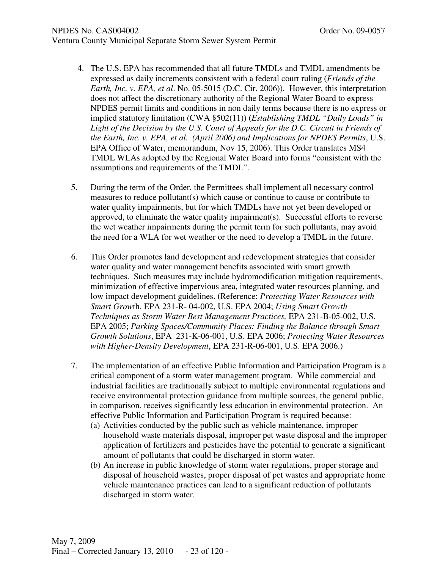#### NPDES No. CAS004002 **Order No. 09-0057**

- 4. The U.S. EPA has recommended that all future TMDLs and TMDL amendments be expressed as daily increments consistent with a federal court ruling (*Friends of the Earth, Inc. v. EPA, et al*. No. 05-5015 (D.C. Cir. 2006)). However, this interpretation does not affect the discretionary authority of the Regional Water Board to express NPDES permit limits and conditions in non daily terms because there is no express or implied statutory limitation (CWA §502(11)) (*Establishing TMDL "Daily Loads" in Light of the Decision by the U.S. Court of Appeals for the D.C. Circuit in Friends of the Earth, Inc. v. EPA, et al. (April 2006) and Implications for NPDES Permits*, U.S. EPA Office of Water, memorandum, Nov 15, 2006). This Order translates MS4 TMDL WLAs adopted by the Regional Water Board into forms "consistent with the assumptions and requirements of the TMDL".
- 5. During the term of the Order, the Permittees shall implement all necessary control measures to reduce pollutant(s) which cause or continue to cause or contribute to water quality impairments, but for which TMDLs have not yet been developed or approved, to eliminate the water quality impairment(s). Successful efforts to reverse the wet weather impairments during the permit term for such pollutants, may avoid the need for a WLA for wet weather or the need to develop a TMDL in the future.
- 6. This Order promotes land development and redevelopment strategies that consider water quality and water management benefits associated with smart growth techniques. Such measures may include hydromodification mitigation requirements, minimization of effective impervious area, integrated water resources planning, and low impact development guidelines. (Reference: *Protecting Water Resources with Smart Grow*th, EPA 231-R- 04-002, U.S. EPA 2004; *Using Smart Growth Techniques as Storm Water Best Management Practices,* EPA 231-B-05-002, U.S. EPA 2005; *Parking Spaces/Community Places: Finding the Balance through Smart Growth Solutions*, EPA 231-K-06-001, U.S. EPA 2006; *Protecting Water Resources with Higher-Density Development*, EPA 231-R-06-001, U.S. EPA 2006.)
- 7. The implementation of an effective Public Information and Participation Program is a critical component of a storm water management program. While commercial and industrial facilities are traditionally subject to multiple environmental regulations and receive environmental protection guidance from multiple sources, the general public, in comparison, receives significantly less education in environmental protection. An effective Public Information and Participation Program is required because:
	- (a) Activities conducted by the public such as vehicle maintenance, improper household waste materials disposal, improper pet waste disposal and the improper application of fertilizers and pesticides have the potential to generate a significant amount of pollutants that could be discharged in storm water.
	- (b) An increase in public knowledge of storm water regulations, proper storage and disposal of household wastes, proper disposal of pet wastes and appropriate home vehicle maintenance practices can lead to a significant reduction of pollutants discharged in storm water.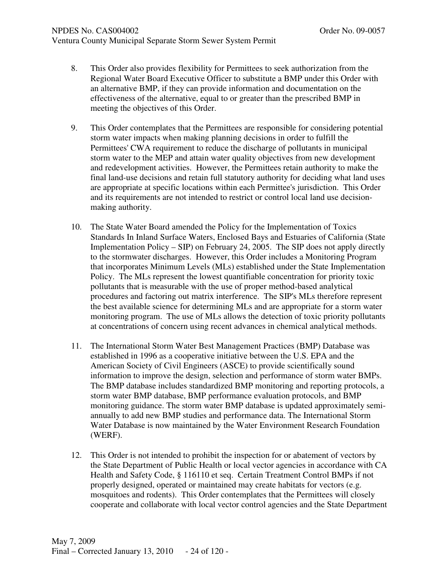- 8. This Order also provides flexibility for Permittees to seek authorization from the Regional Water Board Executive Officer to substitute a BMP under this Order with an alternative BMP, if they can provide information and documentation on the effectiveness of the alternative, equal to or greater than the prescribed BMP in meeting the objectives of this Order.
- 9. This Order contemplates that the Permittees are responsible for considering potential storm water impacts when making planning decisions in order to fulfill the Permittees' CWA requirement to reduce the discharge of pollutants in municipal storm water to the MEP and attain water quality objectives from new development and redevelopment activities. However, the Permittees retain authority to make the final land-use decisions and retain full statutory authority for deciding what land uses are appropriate at specific locations within each Permittee's jurisdiction. This Order and its requirements are not intended to restrict or control local land use decisionmaking authority.
- 10. The State Water Board amended the Policy for the Implementation of Toxics Standards In Inland Surface Waters, Enclosed Bays and Estuaries of California (State Implementation Policy – SIP) on February 24, 2005. The SIP does not apply directly to the stormwater discharges. However, this Order includes a Monitoring Program that incorporates Minimum Levels (MLs) established under the State Implementation Policy. The MLs represent the lowest quantifiable concentration for priority toxic pollutants that is measurable with the use of proper method-based analytical procedures and factoring out matrix interference. The SIP's MLs therefore represent the best available science for determining MLs and are appropriate for a storm water monitoring program. The use of MLs allows the detection of toxic priority pollutants at concentrations of concern using recent advances in chemical analytical methods.
- 11. The International Storm Water Best Management Practices (BMP) Database was established in 1996 as a cooperative initiative between the U.S. EPA and the American Society of Civil Engineers (ASCE) to provide scientifically sound information to improve the design, selection and performance of storm water BMPs. The BMP database includes standardized BMP monitoring and reporting protocols, a storm water BMP database, BMP performance evaluation protocols, and BMP monitoring guidance. The storm water BMP database is updated approximately semiannually to add new BMP studies and performance data. The International Storm Water Database is now maintained by the Water Environment Research Foundation (WERF).
- 12. This Order is not intended to prohibit the inspection for or abatement of vectors by the State Department of Public Health or local vector agencies in accordance with CA Health and Safety Code, § 116110 et seq. Certain Treatment Control BMPs if not properly designed, operated or maintained may create habitats for vectors (e.g. mosquitoes and rodents). This Order contemplates that the Permittees will closely cooperate and collaborate with local vector control agencies and the State Department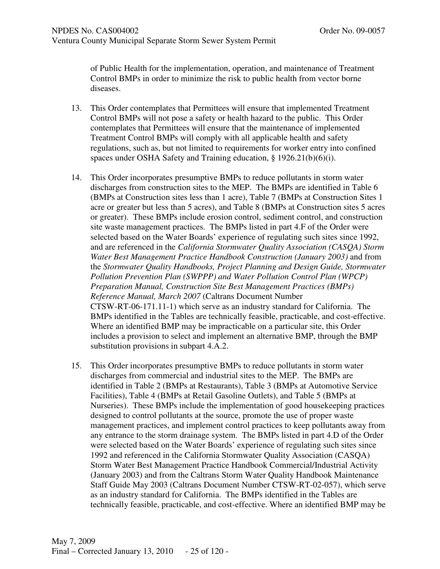of Public Health for the implementation, operation, and maintenance of Treatment Control BMPs in order to minimize the risk to public health from vector borne diseases.

- 13. This Order contemplates that Permittees will ensure that implemented Treatment Control BMPs will not pose a safety or health hazard to the public. This Order contemplates that Permittees will ensure that the maintenance of implemented Treatment Control BMPs will comply with all applicable health and safety regulations, such as, but not limited to requirements for worker entry into confined spaces under OSHA Safety and Training education, § 1926.21(b)(6)(i).
- 14. This Order incorporates presumptive BMPs to reduce pollutants in storm water discharges from construction sites to the MEP. The BMPs are identified in Table 6 (BMPs at Construction sites less than 1 acre), Table 7 (BMPs at Construction Sites 1 acre or greater but less than 5 acres), and Table 8 (BMPs at Construction sites 5 acres or greater). These BMPs include erosion control, sediment control, and construction site waste management practices. The BMPs listed in part 4.F of the Order were selected based on the Water Boards' experience of regulating such sites since 1992, and are referenced in the *California Stormwater Quality Association (CASQA) Storm Water Best Management Practice Handbook Construction (January 2003)* and from the *Stormwater Quality Handbooks, Project Planning and Design Guide, Stormwater Pollution Prevention Plan (SWPPP) and Water Pollution Control Plan (WPCP) Preparation Manual, Construction Site Best Management Practices (BMPs) Reference Manual, March 2007* (Caltrans Document Number CTSW-RT-06-171.11-1) which serve as an industry standard for California. The BMPs identified in the Tables are technically feasible, practicable, and cost-effective. Where an identified BMP may be impracticable on a particular site, this Order includes a provision to select and implement an alternative BMP, through the BMP substitution provisions in subpart 4.A.2.
- 15. This Order incorporates presumptive BMPs to reduce pollutants in storm water discharges from commercial and industrial sites to the MEP. The BMPs are identified in Table 2 (BMPs at Restaurants), Table 3 (BMPs at Automotive Service Facilities), Table 4 (BMPs at Retail Gasoline Outlets), and Table 5 (BMPs at Nurseries). These BMPs include the implementation of good housekeeping practices designed to control pollutants at the source, promote the use of proper waste management practices, and implement control practices to keep pollutants away from any entrance to the storm drainage system. The BMPs listed in part 4.D of the Order were selected based on the Water Boards' experience of regulating such sites since 1992 and referenced in the California Stormwater Quality Association (CASQA) Storm Water Best Management Practice Handbook Commercial/Industrial Activity (January 2003) and from the Caltrans Storm Water Quality Handbook Maintenance Staff Guide May 2003 (Caltrans Document Number CTSW-RT-02-057), which serve as an industry standard for California. The BMPs identified in the Tables are technically feasible, practicable, and cost-effective. Where an identified BMP may be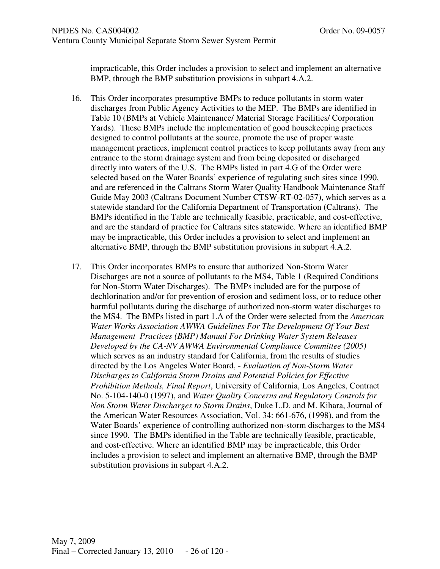impracticable, this Order includes a provision to select and implement an alternative BMP, through the BMP substitution provisions in subpart 4.A.2.

- 16. This Order incorporates presumptive BMPs to reduce pollutants in storm water discharges from Public Agency Activities to the MEP. The BMPs are identified in Table 10 (BMPs at Vehicle Maintenance/ Material Storage Facilities/ Corporation Yards). These BMPs include the implementation of good housekeeping practices designed to control pollutants at the source, promote the use of proper waste management practices, implement control practices to keep pollutants away from any entrance to the storm drainage system and from being deposited or discharged directly into waters of the U.S. The BMPs listed in part 4.G of the Order were selected based on the Water Boards' experience of regulating such sites since 1990, and are referenced in the Caltrans Storm Water Quality Handbook Maintenance Staff Guide May 2003 (Caltrans Document Number CTSW-RT-02-057), which serves as a statewide standard for the California Department of Transportation (Caltrans). The BMPs identified in the Table are technically feasible, practicable, and cost-effective, and are the standard of practice for Caltrans sites statewide. Where an identified BMP may be impracticable, this Order includes a provision to select and implement an alternative BMP, through the BMP substitution provisions in subpart 4.A.2.
- 17. This Order incorporates BMPs to ensure that authorized Non-Storm Water Discharges are not a source of pollutants to the MS4, Table 1 (Required Conditions for Non-Storm Water Discharges). The BMPs included are for the purpose of dechlorination and/or for prevention of erosion and sediment loss, or to reduce other harmful pollutants during the discharge of authorized non-storm water discharges to the MS4. The BMPs listed in part 1.A of the Order were selected from the *American Water Works Association AWWA Guidelines For The Development Of Your Best Management Practices (BMP) Manual For Drinking Water System Releases Developed by the CA-NV AWWA Environmental Compliance Committee (2005)* which serves as an industry standard for California, from the results of studies directed by the Los Angeles Water Board, - *Evaluation of Non-Storm Water Discharges to California Storm Drains and Potential Policies for Effective Prohibition Methods, Final Report*, University of California, Los Angeles, Contract No. 5-104-140-0 (1997), and *Water Quality Concerns and Regulatory Controls for Non Storm Water Discharges to Storm Drains*, Duke L.D. and M. Kihara, Journal of the American Water Resources Association, Vol. 34: 661-676, (1998), and from the Water Boards' experience of controlling authorized non-storm discharges to the MS4 since 1990. The BMPs identified in the Table are technically feasible, practicable, and cost-effective. Where an identified BMP may be impracticable, this Order includes a provision to select and implement an alternative BMP, through the BMP substitution provisions in subpart 4.A.2.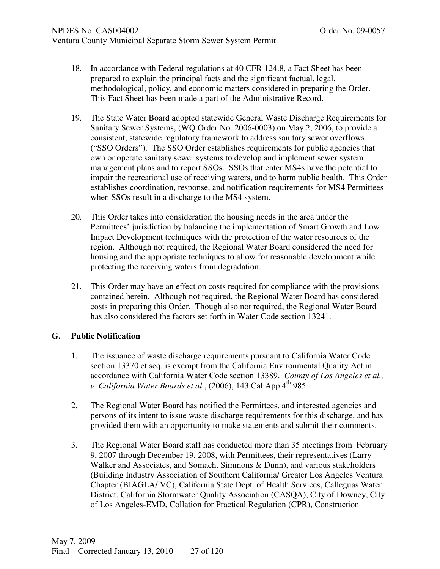- 18. In accordance with Federal regulations at 40 CFR 124.8, a Fact Sheet has been prepared to explain the principal facts and the significant factual, legal, methodological, policy, and economic matters considered in preparing the Order. This Fact Sheet has been made a part of the Administrative Record.
- 19. The State Water Board adopted statewide General Waste Discharge Requirements for Sanitary Sewer Systems, (WQ Order No. 2006-0003) on May 2, 2006, to provide a consistent, statewide regulatory framework to address sanitary sewer overflows ("SSO Orders"). The SSO Order establishes requirements for public agencies that own or operate sanitary sewer systems to develop and implement sewer system management plans and to report SSOs. SSOs that enter MS4s have the potential to impair the recreational use of receiving waters, and to harm public health. This Order establishes coordination, response, and notification requirements for MS4 Permittees when SSOs result in a discharge to the MS4 system.
- 20. This Order takes into consideration the housing needs in the area under the Permittees' jurisdiction by balancing the implementation of Smart Growth and Low Impact Development techniques with the protection of the water resources of the region. Although not required, the Regional Water Board considered the need for housing and the appropriate techniques to allow for reasonable development while protecting the receiving waters from degradation.
- 21. This Order may have an effect on costs required for compliance with the provisions contained herein. Although not required, the Regional Water Board has considered costs in preparing this Order. Though also not required, the Regional Water Board has also considered the factors set forth in Water Code section 13241.

# **G. Public Notification**

- 1. The issuance of waste discharge requirements pursuant to California Water Code section 13370 et seq. is exempt from the California Environmental Quality Act in accordance with California Water Code section 13389. *County of Los Angeles et al., v. California Water Boards et al.*, (2006), 143 Cal.App.4<sup>th</sup> 985.
- 2. The Regional Water Board has notified the Permittees, and interested agencies and persons of its intent to issue waste discharge requirements for this discharge, and has provided them with an opportunity to make statements and submit their comments.
- 3. The Regional Water Board staff has conducted more than 35 meetings from February 9, 2007 through December 19, 2008, with Permittees, their representatives (Larry Walker and Associates, and Somach, Simmons & Dunn), and various stakeholders (Building Industry Association of Southern California/ Greater Los Angeles Ventura Chapter (BIAGLA/ VC), California State Dept. of Health Services, Calleguas Water District, California Stormwater Quality Association (CASQA), City of Downey, City of Los Angeles-EMD, Collation for Practical Regulation (CPR), Construction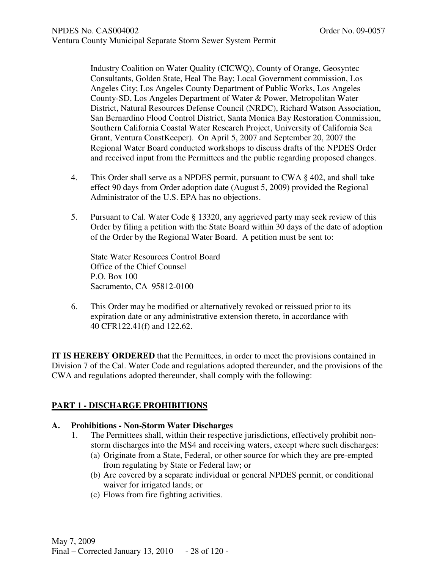Industry Coalition on Water Quality (CICWQ), County of Orange, Geosyntec Consultants, Golden State, Heal The Bay; Local Government commission, Los Angeles City; Los Angeles County Department of Public Works, Los Angeles County-SD, Los Angeles Department of Water & Power, Metropolitan Water District, Natural Resources Defense Council (NRDC), Richard Watson Association, San Bernardino Flood Control District, Santa Monica Bay Restoration Commission, Southern California Coastal Water Research Project, University of California Sea Grant, Ventura CoastKeeper). On April 5, 2007 and September 20, 2007 the Regional Water Board conducted workshops to discuss drafts of the NPDES Order and received input from the Permittees and the public regarding proposed changes.

- 4. This Order shall serve as a NPDES permit, pursuant to CWA § 402, and shall take effect 90 days from Order adoption date (August 5, 2009) provided the Regional Administrator of the U.S. EPA has no objections.
- 5. Pursuant to Cal. Water Code § 13320, any aggrieved party may seek review of this Order by filing a petition with the State Board within 30 days of the date of adoption of the Order by the Regional Water Board. A petition must be sent to:

State Water Resources Control Board Office of the Chief Counsel P.O. Box 100 Sacramento, CA 95812-0100

6. This Order may be modified or alternatively revoked or reissued prior to its expiration date or any administrative extension thereto, in accordance with 40 CFR122.41(f) and 122.62.

**IT IS HEREBY ORDERED** that the Permittees, in order to meet the provisions contained in Division 7 of the Cal. Water Code and regulations adopted thereunder, and the provisions of the CWA and regulations adopted thereunder, shall comply with the following:

# **PART 1 - DISCHARGE PROHIBITIONS**

### **A. Prohibitions - Non-Storm Water Discharges**

- 1. The Permittees shall, within their respective jurisdictions, effectively prohibit nonstorm discharges into the MS4 and receiving waters, except where such discharges:
	- (a) Originate from a State, Federal, or other source for which they are pre-empted from regulating by State or Federal law; or
	- (b) Are covered by a separate individual or general NPDES permit, or conditional waiver for irrigated lands; or
	- (c) Flows from fire fighting activities.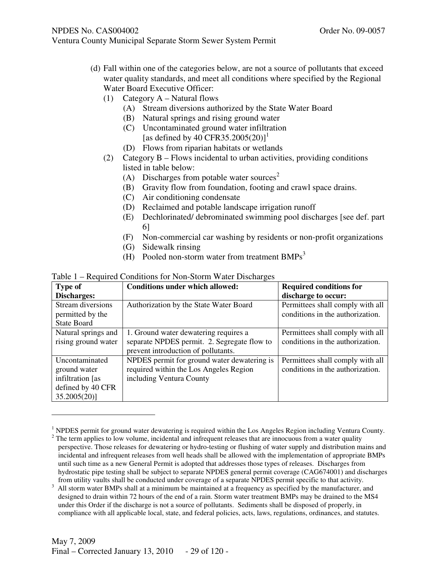(d) Fall within one of the categories below, are not a source of pollutants that exceed

water quality standards, and meet all conditions where specified by the Regional Water Board Executive Officer:

(1) Category A – Natural flows

Ventura County Municipal Separate Storm Sewer System Permit

- (A) Stream diversions authorized by the State Water Board
- (B) Natural springs and rising ground water
- (C) Uncontaminated ground water infiltration [as defined by 40 CFR35.2005(20)]<sup>1</sup>
- (D) Flows from riparian habitats or wetlands
- (2) Category B Flows incidental to urban activities, providing conditions listed in table below:
	- (A) Discharges from potable water sources<sup>2</sup>
	- (B) Gravity flow from foundation, footing and crawl space drains.
	- (C) Air conditioning condensate
	- (D) Reclaimed and potable landscape irrigation runoff
	- (E) Dechlorinated/ debrominated swimming pool discharges [see def. part 6]
	- (F) Non-commercial car washing by residents or non-profit organizations
	- (G) Sidewalk rinsing
	- (H) Pooled non-storm water from treatment  $BMPs<sup>3</sup>$

| Table 1 – Required Conditions for Non-Storm Water Discharges |  |  |
|--------------------------------------------------------------|--|--|
|--------------------------------------------------------------|--|--|

| <b>Type of</b>      | <b>Conditions under which allowed:</b>      | <b>Required conditions for</b>   |
|---------------------|---------------------------------------------|----------------------------------|
| Discharges:         |                                             | discharge to occur:              |
| Stream diversions   | Authorization by the State Water Board      | Permittees shall comply with all |
| permitted by the    |                                             | conditions in the authorization. |
| <b>State Board</b>  |                                             |                                  |
| Natural springs and | 1. Ground water dewatering requires a       | Permittees shall comply with all |
| rising ground water | separate NPDES permit. 2. Segregate flow to | conditions in the authorization. |
|                     | prevent introduction of pollutants.         |                                  |
| Uncontaminated      | NPDES permit for ground water dewatering is | Permittees shall comply with all |
| ground water        | required within the Los Angeles Region      | conditions in the authorization. |
| infiltration [as    | including Ventura County                    |                                  |
| defined by 40 CFR   |                                             |                                  |
| 35.2005(20)         |                                             |                                  |

<sup>&</sup>lt;sup>1</sup> NPDES permit for ground water dewatering is required within the Los Angeles Region including Ventura County.

-

 $2$  The term applies to low volume, incidental and infrequent releases that are innocuous from a water quality perspective. Those releases for dewatering or hydro-testing or flushing of water supply and distribution mains and incidental and infrequent releases from well heads shall be allowed with the implementation of appropriate BMPs until such time as a new General Permit is adopted that addresses those types of releases. Discharges from hydrostatic pipe testing shall be subject to separate NPDES general permit coverage (CAG674001) and discharges from utility vaults shall be conducted under coverage of a separate NPDES permit specific to that activity.

<sup>&</sup>lt;sup>3</sup> All storm water BMPs shall at a minimum be maintained at a frequency as specified by the manufacturer, and designed to drain within 72 hours of the end of a rain. Storm water treatment BMPs may be drained to the MS4 under this Order if the discharge is not a source of pollutants. Sediments shall be disposed of properly, in compliance with all applicable local, state, and federal policies, acts, laws, regulations, ordinances, and statutes.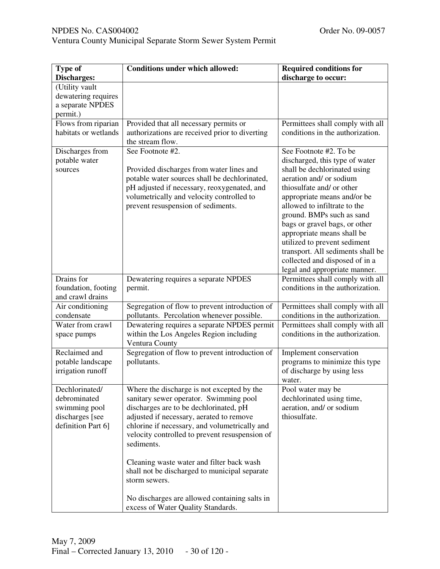| Type of              | <b>Conditions under which allowed:</b>                                           | <b>Required conditions for</b>                        |
|----------------------|----------------------------------------------------------------------------------|-------------------------------------------------------|
| Discharges:          |                                                                                  | discharge to occur:                                   |
| (Utility vault       |                                                                                  |                                                       |
| dewatering requires  |                                                                                  |                                                       |
| a separate NPDES     |                                                                                  |                                                       |
| permit.)             |                                                                                  |                                                       |
| Flows from riparian  | Provided that all necessary permits or                                           | Permittees shall comply with all                      |
| habitats or wetlands | authorizations are received prior to diverting                                   | conditions in the authorization.                      |
|                      | the stream flow.                                                                 |                                                       |
| Discharges from      | See Footnote #2.                                                                 | See Footnote #2. To be                                |
| potable water        |                                                                                  | discharged, this type of water                        |
| sources              | Provided discharges from water lines and                                         | shall be dechlorinated using                          |
|                      | potable water sources shall be dechlorinated,                                    | aeration and/ or sodium                               |
|                      | pH adjusted if necessary, reoxygenated, and                                      | thiosulfate and/ or other                             |
|                      | volumetrically and velocity controlled to                                        | appropriate means and/or be                           |
|                      | prevent resuspension of sediments.                                               | allowed to infiltrate to the                          |
|                      |                                                                                  | ground. BMPs such as sand                             |
|                      |                                                                                  | bags or gravel bags, or other                         |
|                      |                                                                                  | appropriate means shall be                            |
|                      |                                                                                  | utilized to prevent sediment                          |
|                      |                                                                                  | transport. All sediments shall be                     |
|                      |                                                                                  | collected and disposed of in a                        |
|                      |                                                                                  | legal and appropriate manner.                         |
| Drains for           | Dewatering requires a separate NPDES                                             | Permittees shall comply with all                      |
| foundation, footing  | permit.                                                                          | conditions in the authorization.                      |
| and crawl drains     |                                                                                  |                                                       |
| Air conditioning     | Segregation of flow to prevent introduction of                                   | Permittees shall comply with all                      |
| condensate           | pollutants. Percolation whenever possible.                                       | conditions in the authorization.                      |
| Water from crawl     | Dewatering requires a separate NPDES permit                                      | Permittees shall comply with all                      |
| space pumps          | within the Los Angeles Region including                                          | conditions in the authorization.                      |
|                      | Ventura County                                                                   |                                                       |
| Reclaimed and        | Segregation of flow to prevent introduction of                                   | Implement conservation                                |
| potable landscape    | pollutants.                                                                      | programs to minimize this type                        |
| irrigation runoff    |                                                                                  | of discharge by using less                            |
| Dechlorinated/       |                                                                                  | water.                                                |
| debrominated         | Where the discharge is not excepted by the                                       | Pool water may be                                     |
| swimming pool        | sanitary sewer operator. Swimming pool<br>discharges are to be dechlorinated, pH | dechlorinated using time,<br>aeration, and/ or sodium |
| discharges [see      | adjusted if necessary, aerated to remove                                         | thiosulfate.                                          |
| definition Part 6]   | chlorine if necessary, and volumetrically and                                    |                                                       |
|                      | velocity controlled to prevent resuspension of                                   |                                                       |
|                      | sediments.                                                                       |                                                       |
|                      |                                                                                  |                                                       |
|                      | Cleaning waste water and filter back wash                                        |                                                       |
|                      | shall not be discharged to municipal separate                                    |                                                       |
|                      | storm sewers.                                                                    |                                                       |
|                      |                                                                                  |                                                       |
|                      | No discharges are allowed containing salts in                                    |                                                       |
|                      | excess of Water Quality Standards.                                               |                                                       |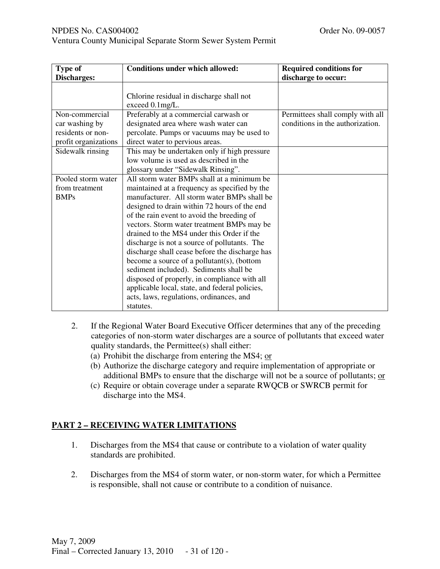|  |  | Ventura County Municipal Separate Storm Sewer System Permit |
|--|--|-------------------------------------------------------------|

| Type of                                                                       | <b>Conditions under which allowed:</b>                                                                                                                                                                                                                                                                                                                                                                                                                                                                                                                                                                                                                                                    | <b>Required conditions for</b>                                       |
|-------------------------------------------------------------------------------|-------------------------------------------------------------------------------------------------------------------------------------------------------------------------------------------------------------------------------------------------------------------------------------------------------------------------------------------------------------------------------------------------------------------------------------------------------------------------------------------------------------------------------------------------------------------------------------------------------------------------------------------------------------------------------------------|----------------------------------------------------------------------|
| Discharges:                                                                   |                                                                                                                                                                                                                                                                                                                                                                                                                                                                                                                                                                                                                                                                                           | discharge to occur:                                                  |
|                                                                               | Chlorine residual in discharge shall not<br>exceed 0.1mg/L.                                                                                                                                                                                                                                                                                                                                                                                                                                                                                                                                                                                                                               |                                                                      |
| Non-commercial<br>car washing by<br>residents or non-<br>profit organizations | Preferably at a commercial carwash or<br>designated area where wash water can<br>percolate. Pumps or vacuums may be used to<br>direct water to pervious areas.                                                                                                                                                                                                                                                                                                                                                                                                                                                                                                                            | Permittees shall comply with all<br>conditions in the authorization. |
| Sidewalk rinsing                                                              | This may be undertaken only if high pressure<br>low volume is used as described in the<br>glossary under "Sidewalk Rinsing".                                                                                                                                                                                                                                                                                                                                                                                                                                                                                                                                                              |                                                                      |
| Pooled storm water<br>from treatment<br><b>BMPs</b>                           | All storm water BMPs shall at a minimum be<br>maintained at a frequency as specified by the<br>manufacturer. All storm water BMPs shall be<br>designed to drain within 72 hours of the end<br>of the rain event to avoid the breeding of<br>vectors. Storm water treatment BMPs may be<br>drained to the MS4 under this Order if the<br>discharge is not a source of pollutants. The<br>discharge shall cease before the discharge has<br>become a source of a pollutant(s), (bottom<br>sediment included). Sediments shall be<br>disposed of properly, in compliance with all<br>applicable local, state, and federal policies,<br>acts, laws, regulations, ordinances, and<br>statutes. |                                                                      |

- 2. If the Regional Water Board Executive Officer determines that any of the preceding categories of non-storm water discharges are a source of pollutants that exceed water quality standards, the Permittee(s) shall either:
	- (a) Prohibit the discharge from entering the MS4; or
	- (b) Authorize the discharge category and require implementation of appropriate or additional BMPs to ensure that the discharge will not be a source of pollutants; or
	- (c) Require or obtain coverage under a separate RWQCB or SWRCB permit for discharge into the MS4.

# **PART 2 – RECEIVING WATER LIMITATIONS**

- 1. Discharges from the MS4 that cause or contribute to a violation of water quality standards are prohibited.
- 2. Discharges from the MS4 of storm water, or non-storm water, for which a Permittee is responsible, shall not cause or contribute to a condition of nuisance.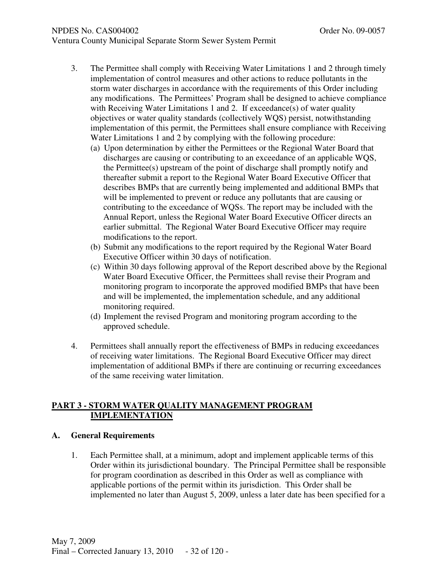# NPDES No. CAS004002 COMPUTER NO. 09-0057

- 3. The Permittee shall comply with Receiving Water Limitations 1 and 2 through timely implementation of control measures and other actions to reduce pollutants in the storm water discharges in accordance with the requirements of this Order including any modifications. The Permittees' Program shall be designed to achieve compliance with Receiving Water Limitations 1 and 2. If exceedance(s) of water quality objectives or water quality standards (collectively WQS) persist, notwithstanding implementation of this permit, the Permittees shall ensure compliance with Receiving Water Limitations 1 and 2 by complying with the following procedure:
	- (a) Upon determination by either the Permittees or the Regional Water Board that discharges are causing or contributing to an exceedance of an applicable WQS, the Permittee(s) upstream of the point of discharge shall promptly notify and thereafter submit a report to the Regional Water Board Executive Officer that describes BMPs that are currently being implemented and additional BMPs that will be implemented to prevent or reduce any pollutants that are causing or contributing to the exceedance of WQSs. The report may be included with the Annual Report, unless the Regional Water Board Executive Officer directs an earlier submittal. The Regional Water Board Executive Officer may require modifications to the report.
	- (b) Submit any modifications to the report required by the Regional Water Board Executive Officer within 30 days of notification.
	- (c) Within 30 days following approval of the Report described above by the Regional Water Board Executive Officer, the Permittees shall revise their Program and monitoring program to incorporate the approved modified BMPs that have been and will be implemented, the implementation schedule, and any additional monitoring required.
	- (d) Implement the revised Program and monitoring program according to the approved schedule.
- 4. Permittees shall annually report the effectiveness of BMPs in reducing exceedances of receiving water limitations. The Regional Board Executive Officer may direct implementation of additional BMPs if there are continuing or recurring exceedances of the same receiving water limitation.

# **PART 3 - STORM WATER QUALITY MANAGEMENT PROGRAM IMPLEMENTATION**

# **A. General Requirements**

1. Each Permittee shall, at a minimum, adopt and implement applicable terms of this Order within its jurisdictional boundary. The Principal Permittee shall be responsible for program coordination as described in this Order as well as compliance with applicable portions of the permit within its jurisdiction. This Order shall be implemented no later than August 5, 2009, unless a later date has been specified for a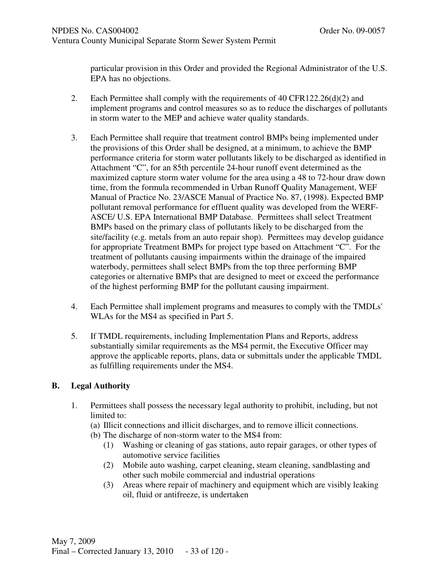particular provision in this Order and provided the Regional Administrator of the U.S. EPA has no objections.

- 2. Each Permittee shall comply with the requirements of 40 CFR122.26(d)(2) and implement programs and control measures so as to reduce the discharges of pollutants in storm water to the MEP and achieve water quality standards.
- 3. Each Permittee shall require that treatment control BMPs being implemented under the provisions of this Order shall be designed, at a minimum, to achieve the BMP performance criteria for storm water pollutants likely to be discharged as identified in Attachment "C", for an 85th percentile 24-hour runoff event determined as the maximized capture storm water volume for the area using a 48 to 72-hour draw down time, from the formula recommended in Urban Runoff Quality Management, WEF Manual of Practice No. 23/ASCE Manual of Practice No. 87, (1998). Expected BMP pollutant removal performance for effluent quality was developed from the WERF-ASCE/ U.S. EPA International BMP Database. Permittees shall select Treatment BMPs based on the primary class of pollutants likely to be discharged from the site/facility (e.g. metals from an auto repair shop). Permittees may develop guidance for appropriate Treatment BMPs for project type based on Attachment "C". For the treatment of pollutants causing impairments within the drainage of the impaired waterbody, permittees shall select BMPs from the top three performing BMP categories or alternative BMPs that are designed to meet or exceed the performance of the highest performing BMP for the pollutant causing impairment.
- 4. Each Permittee shall implement programs and measures to comply with the TMDLs' WLAs for the MS4 as specified in Part 5.
- 5. If TMDL requirements, including Implementation Plans and Reports, address substantially similar requirements as the MS4 permit, the Executive Officer may approve the applicable reports, plans, data or submittals under the applicable TMDL as fulfilling requirements under the MS4.

## **B. Legal Authority**

- 1. Permittees shall possess the necessary legal authority to prohibit, including, but not limited to:
	- (a) Illicit connections and illicit discharges, and to remove illicit connections.
	- (b) The discharge of non-storm water to the MS4 from:
		- (1) Washing or cleaning of gas stations, auto repair garages, or other types of automotive service facilities
		- (2) Mobile auto washing, carpet cleaning, steam cleaning, sandblasting and other such mobile commercial and industrial operations
		- (3) Areas where repair of machinery and equipment which are visibly leaking oil, fluid or antifreeze, is undertaken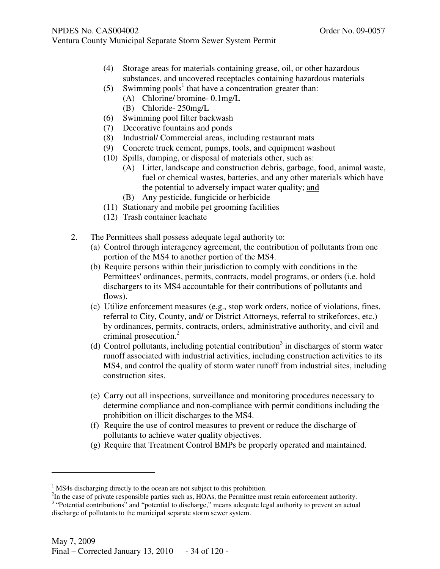- Ventura County Municipal Separate Storm Sewer System Permit
	- (4) Storage areas for materials containing grease, oil, or other hazardous substances, and uncovered receptacles containing hazardous materials
	- (5) Swimming pools<sup>1</sup> that have a concentration greater than:
		- (A) Chlorine/ bromine- 0.1mg/L
		- (B) Chloride- 250mg/L
	- (6) Swimming pool filter backwash
	- (7) Decorative fountains and ponds
	- (8) Industrial/ Commercial areas, including restaurant mats
	- (9) Concrete truck cement, pumps, tools, and equipment washout
	- (10) Spills, dumping, or disposal of materials other, such as:
		- (A) Litter, landscape and construction debris, garbage, food, animal waste, fuel or chemical wastes, batteries, and any other materials which have the potential to adversely impact water quality; and
		- (B) Any pesticide, fungicide or herbicide
	- (11) Stationary and mobile pet grooming facilities
	- (12) Trash container leachate
	- 2. The Permittees shall possess adequate legal authority to:
		- (a) Control through interagency agreement, the contribution of pollutants from one portion of the MS4 to another portion of the MS4.
		- (b) Require persons within their jurisdiction to comply with conditions in the Permittees' ordinances, permits, contracts, model programs, or orders (i.e. hold dischargers to its MS4 accountable for their contributions of pollutants and flows).
		- (c) Utilize enforcement measures (e.g., stop work orders, notice of violations, fines, referral to City, County, and/ or District Attorneys, referral to strikeforces, etc.) by ordinances, permits, contracts, orders, administrative authority, and civil and criminal prosecution.<sup>2</sup>
		- (d) Control pollutants, including potential contribution 3 in discharges of storm water runoff associated with industrial activities, including construction activities to its MS4, and control the quality of storm water runoff from industrial sites, including construction sites.
		- (e) Carry out all inspections, surveillance and monitoring procedures necessary to determine compliance and non-compliance with permit conditions including the prohibition on illicit discharges to the MS4.
		- (f) Require the use of control measures to prevent or reduce the discharge of pollutants to achieve water quality objectives.
		- (g) Require that Treatment Control BMPs be properly operated and maintained.

-

<sup>&</sup>lt;sup>1</sup> MS4s discharging directly to the ocean are not subject to this prohibition.

 $2$ In the case of private responsible parties such as, HOAs, the Permittee must retain enforcement authority. <sup>3</sup> "Potential contributions" and "potential to discharge," means adequate legal authority to prevent an actual discharge of pollutants to the municipal separate storm sewer system.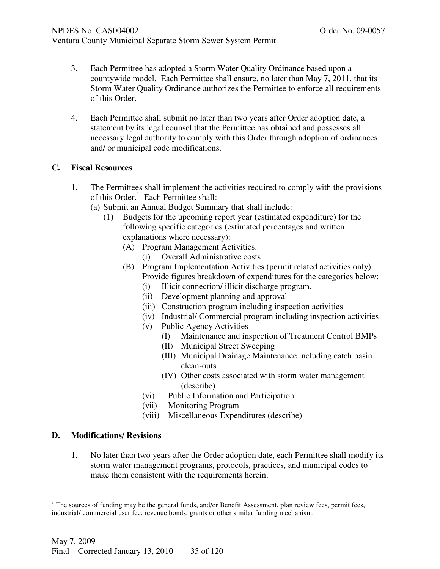- 3. Each Permittee has adopted a Storm Water Quality Ordinance based upon a countywide model. Each Permittee shall ensure, no later than May 7, 2011, that its Storm Water Quality Ordinance authorizes the Permittee to enforce all requirements of this Order.
- 4. Each Permittee shall submit no later than two years after Order adoption date, a statement by its legal counsel that the Permittee has obtained and possesses all necessary legal authority to comply with this Order through adoption of ordinances and/ or municipal code modifications.

# **C. Fiscal Resources**

- 1. The Permittees shall implement the activities required to comply with the provisions of this Order.<sup>1</sup> Each Permittee shall:
	- (a) Submit an Annual Budget Summary that shall include:
		- (1) Budgets for the upcoming report year (estimated expenditure) for the following specific categories (estimated percentages and written explanations where necessary):
			- (A) Program Management Activities.
				- (i) Overall Administrative costs
			- (B) Program Implementation Activities (permit related activities only). Provide figures breakdown of expenditures for the categories below:
				- (i) Illicit connection/ illicit discharge program.
				- (ii) Development planning and approval
				- (iii) Construction program including inspection activities
				- (iv) Industrial/ Commercial program including inspection activities
				- (v) Public Agency Activities
					- (I) Maintenance and inspection of Treatment Control BMPs
					- (II) Municipal Street Sweeping
					- (III) Municipal Drainage Maintenance including catch basin clean-outs
					- (IV) Other costs associated with storm water management (describe)
				- (vi) Public Information and Participation.
				- (vii) Monitoring Program
				- (viii) Miscellaneous Expenditures (describe)

## **D. Modifications/ Revisions**

j

1. No later than two years after the Order adoption date, each Permittee shall modify its storm water management programs, protocols, practices, and municipal codes to make them consistent with the requirements herein.

 $<sup>1</sup>$  The sources of funding may be the general funds, and/or Benefit Assessment, plan review fees, permit fees,</sup> industrial/ commercial user fee, revenue bonds, grants or other similar funding mechanism.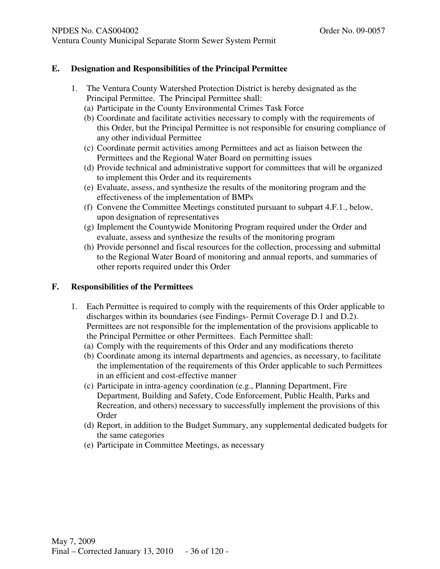# **E. Designation and Responsibilities of the Principal Permittee**

- 1. The Ventura County Watershed Protection District is hereby designated as the Principal Permittee. The Principal Permittee shall:
	- (a) Participate in the County Environmental Crimes Task Force
	- (b) Coordinate and facilitate activities necessary to comply with the requirements of this Order, but the Principal Permittee is not responsible for ensuring compliance of any other individual Permittee
	- (c) Coordinate permit activities among Permittees and act as liaison between the Permittees and the Regional Water Board on permitting issues
	- (d) Provide technical and administrative support for committees that will be organized to implement this Order and its requirements
	- (e) Evaluate, assess, and synthesize the results of the monitoring program and the effectiveness of the implementation of BMPs
	- (f) Convene the Committee Meetings constituted pursuant to subpart 4.F.1., below, upon designation of representatives
	- (g) Implement the Countywide Monitoring Program required under the Order and evaluate, assess and synthesize the results of the monitoring program
	- (h) Provide personnel and fiscal resources for the collection, processing and submittal to the Regional Water Board of monitoring and annual reports, and summaries of other reports required under this Order

# **F. Responsibilities of the Permittees**

- 1. Each Permittee is required to comply with the requirements of this Order applicable to discharges within its boundaries (see Findings- Permit Coverage D.1 and D.2). Permittees are not responsible for the implementation of the provisions applicable to the Principal Permittee or other Permittees. Each Permittee shall:
	- (a) Comply with the requirements of this Order and any modifications thereto
	- (b) Coordinate among its internal departments and agencies, as necessary, to facilitate the implementation of the requirements of this Order applicable to such Permittees in an efficient and cost-effective manner
	- (c) Participate in intra-agency coordination (e.g., Planning Department, Fire Department, Building and Safety, Code Enforcement, Public Health, Parks and Recreation, and others) necessary to successfully implement the provisions of this Order
	- (d) Report, in addition to the Budget Summary, any supplemental dedicated budgets for the same categories
	- (e) Participate in Committee Meetings, as necessary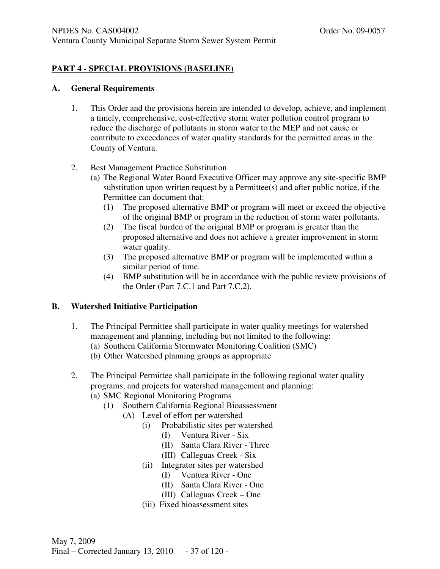# **PART 4 - SPECIAL PROVISIONS (BASELINE)**

#### **A. General Requirements**

- 1. This Order and the provisions herein are intended to develop, achieve, and implement a timely, comprehensive, cost-effective storm water pollution control program to reduce the discharge of pollutants in storm water to the MEP and not cause or contribute to exceedances of water quality standards for the permitted areas in the County of Ventura.
- 2. Best Management Practice Substitution
	- (a) The Regional Water Board Executive Officer may approve any site-specific BMP substitution upon written request by a Permittee $(s)$  and after public notice, if the Permittee can document that:
		- (1) The proposed alternative BMP or program will meet or exceed the objective of the original BMP or program in the reduction of storm water pollutants.
		- (2) The fiscal burden of the original BMP or program is greater than the proposed alternative and does not achieve a greater improvement in storm water quality.
		- (3) The proposed alternative BMP or program will be implemented within a similar period of time.
		- (4) BMP substitution will be in accordance with the public review provisions of the Order (Part 7.C.1 and Part 7.C.2).

## **B. Watershed Initiative Participation**

- 1. The Principal Permittee shall participate in water quality meetings for watershed management and planning, including but not limited to the following:
	- (a) Southern California Stormwater Monitoring Coalition (SMC)
	- (b) Other Watershed planning groups as appropriate
- 2. The Principal Permittee shall participate in the following regional water quality programs, and projects for watershed management and planning:
	- (a) SMC Regional Monitoring Programs
		- (1) Southern California Regional Bioassessment
			- (A) Level of effort per watershed
				- (i) Probabilistic sites per watershed
					- (I) Ventura River Six
					- (II) Santa Clara River Three
					- (III) Calleguas Creek Six
				- (ii) Integrator sites per watershed
					- (I) Ventura River One
					- (II) Santa Clara River One
					- (III) Calleguas Creek One
				- (iii) Fixed bioassessment sites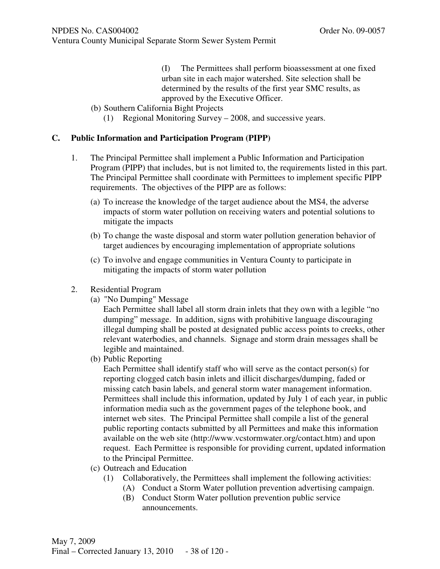(I) The Permittees shall perform bioassessment at one fixed urban site in each major watershed. Site selection shall be determined by the results of the first year SMC results, as approved by the Executive Officer.

- (b) Southern California Bight Projects
	- (1) Regional Monitoring Survey 2008, and successive years.

#### **C. Public Information and Participation Program (PIPP)**

- 1. The Principal Permittee shall implement a Public Information and Participation Program (PIPP) that includes, but is not limited to, the requirements listed in this part. The Principal Permittee shall coordinate with Permittees to implement specific PIPP requirements. The objectives of the PIPP are as follows:
	- (a) To increase the knowledge of the target audience about the MS4, the adverse impacts of storm water pollution on receiving waters and potential solutions to mitigate the impacts
	- (b) To change the waste disposal and storm water pollution generation behavior of target audiences by encouraging implementation of appropriate solutions
	- (c) To involve and engage communities in Ventura County to participate in mitigating the impacts of storm water pollution
- 2. Residential Program
	- (a) "No Dumping" Message
		- Each Permittee shall label all storm drain inlets that they own with a legible "no dumping" message. In addition, signs with prohibitive language discouraging illegal dumping shall be posted at designated public access points to creeks, other relevant waterbodies, and channels. Signage and storm drain messages shall be legible and maintained.
	- (b) Public Reporting

 Each Permittee shall identify staff who will serve as the contact person(s) for reporting clogged catch basin inlets and illicit discharges/dumping, faded or missing catch basin labels, and general storm water management information. Permittees shall include this information, updated by July 1 of each year, in public information media such as the government pages of the telephone book, and internet web sites. The Principal Permittee shall compile a list of the general public reporting contacts submitted by all Permittees and make this information available on the web site (http://www.vcstormwater.org/contact.htm) and upon request. Each Permittee is responsible for providing current, updated information to the Principal Permittee.

- (c) Outreach and Education
	- (1) Collaboratively, the Permittees shall implement the following activities:
		- (A) Conduct a Storm Water pollution prevention advertising campaign.
		- (B) Conduct Storm Water pollution prevention public service announcements.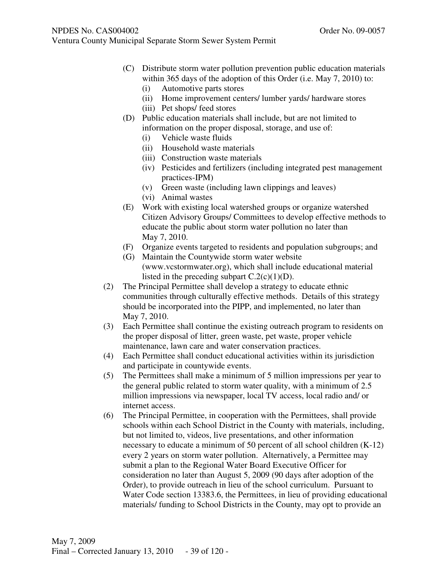- Ventura County Municipal Separate Storm Sewer System Permit
	- (C) Distribute storm water pollution prevention public education materials within 365 days of the adoption of this Order (i.e. May 7, 2010) to:
		- (i) Automotive parts stores
		- (ii) Home improvement centers/ lumber yards/ hardware stores
		- (iii) Pet shops/ feed stores
	- (D) Public education materials shall include, but are not limited to information on the proper disposal, storage, and use of:
		- (i) Vehicle waste fluids
		- (ii) Household waste materials
		- (iii) Construction waste materials
		- (iv) Pesticides and fertilizers (including integrated pest management practices-IPM)
		- (v) Green waste (including lawn clippings and leaves)
		- (vi) Animal wastes
	- (E) Work with existing local watershed groups or organize watershed Citizen Advisory Groups/ Committees to develop effective methods to educate the public about storm water pollution no later than May 7, 2010.
	- (F) Organize events targeted to residents and population subgroups; and
	- (G) Maintain the Countywide storm water website (www.vcstormwater.org), which shall include educational material listed in the preceding subpart  $C.2(c)(1)(D)$ .
	- (2) The Principal Permittee shall develop a strategy to educate ethnic communities through culturally effective methods. Details of this strategy should be incorporated into the PIPP, and implemented, no later than May 7, 2010.
	- (3) Each Permittee shall continue the existing outreach program to residents on the proper disposal of litter, green waste, pet waste, proper vehicle maintenance, lawn care and water conservation practices.
	- (4) Each Permittee shall conduct educational activities within its jurisdiction and participate in countywide events.
	- (5) The Permittees shall make a minimum of 5 million impressions per year to the general public related to storm water quality, with a minimum of 2.5 million impressions via newspaper, local TV access, local radio and/ or internet access.
	- (6) The Principal Permittee, in cooperation with the Permittees, shall provide schools within each School District in the County with materials, including, but not limited to, videos, live presentations, and other information necessary to educate a minimum of 50 percent of all school children (K-12) every 2 years on storm water pollution. Alternatively, a Permittee may submit a plan to the Regional Water Board Executive Officer for consideration no later than August 5, 2009 (90 days after adoption of the Order), to provide outreach in lieu of the school curriculum. Pursuant to Water Code section 13383.6, the Permittees, in lieu of providing educational materials/ funding to School Districts in the County, may opt to provide an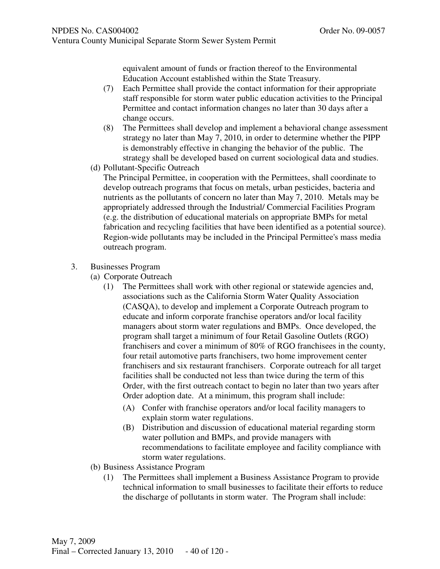equivalent amount of funds or fraction thereof to the Environmental Education Account established within the State Treasury.

- (7) Each Permittee shall provide the contact information for their appropriate staff responsible for storm water public education activities to the Principal Permittee and contact information changes no later than 30 days after a change occurs.
- (8) The Permittees shall develop and implement a behavioral change assessment strategy no later than May 7, 2010, in order to determine whether the PIPP is demonstrably effective in changing the behavior of the public. The strategy shall be developed based on current sociological data and studies.
- (d) Pollutant-Specific Outreach

The Principal Permittee, in cooperation with the Permittees, shall coordinate to develop outreach programs that focus on metals, urban pesticides, bacteria and nutrients as the pollutants of concern no later than May 7, 2010. Metals may be appropriately addressed through the Industrial/ Commercial Facilities Program (e.g. the distribution of educational materials on appropriate BMPs for metal fabrication and recycling facilities that have been identified as a potential source). Region-wide pollutants may be included in the Principal Permittee's mass media outreach program.

- 3. Businesses Program
	- (a) Corporate Outreach
		- (1) The Permittees shall work with other regional or statewide agencies and, associations such as the California Storm Water Quality Association (CASQA), to develop and implement a Corporate Outreach program to educate and inform corporate franchise operators and/or local facility managers about storm water regulations and BMPs. Once developed, the program shall target a minimum of four Retail Gasoline Outlets (RGO) franchisers and cover a minimum of 80% of RGO franchisees in the county, four retail automotive parts franchisers, two home improvement center franchisers and six restaurant franchisers. Corporate outreach for all target facilities shall be conducted not less than twice during the term of this Order, with the first outreach contact to begin no later than two years after Order adoption date. At a minimum, this program shall include:
			- (A) Confer with franchise operators and/or local facility managers to explain storm water regulations.
			- (B) Distribution and discussion of educational material regarding storm water pollution and BMPs, and provide managers with recommendations to facilitate employee and facility compliance with storm water regulations.
	- (b) Business Assistance Program
		- (1) The Permittees shall implement a Business Assistance Program to provide technical information to small businesses to facilitate their efforts to reduce the discharge of pollutants in storm water. The Program shall include: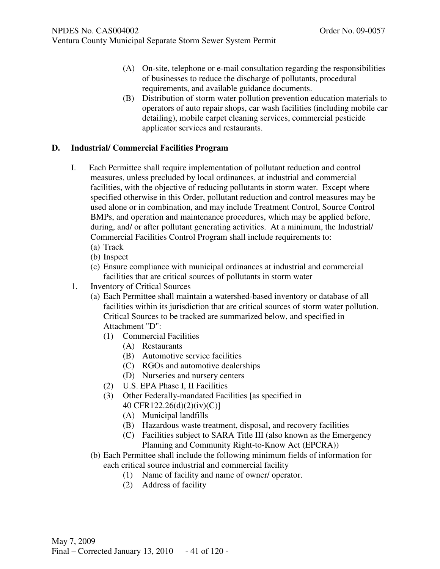- (A) On-site, telephone or e-mail consultation regarding the responsibilities of businesses to reduce the discharge of pollutants, procedural requirements, and available guidance documents.
- (B) Distribution of storm water pollution prevention education materials to operators of auto repair shops, car wash facilities (including mobile car detailing), mobile carpet cleaning services, commercial pesticide applicator services and restaurants.

## **D. Industrial/ Commercial Facilities Program**

- I. Each Permittee shall require implementation of pollutant reduction and control measures, unless precluded by local ordinances, at industrial and commercial facilities, with the objective of reducing pollutants in storm water. Except where specified otherwise in this Order, pollutant reduction and control measures may be used alone or in combination, and may include Treatment Control, Source Control BMPs, and operation and maintenance procedures, which may be applied before, during, and/ or after pollutant generating activities. At a minimum, the Industrial/ Commercial Facilities Control Program shall include requirements to: (a) Track
	-
	- (b) Inspect
	- (c) Ensure compliance with municipal ordinances at industrial and commercial facilities that are critical sources of pollutants in storm water
- 1. Inventory of Critical Sources
	- (a) Each Permittee shall maintain a watershed-based inventory or database of all facilities within its jurisdiction that are critical sources of storm water pollution. Critical Sources to be tracked are summarized below, and specified in Attachment "D":
		- (1) Commercial Facilities
			- (A) Restaurants
			- (B) Automotive service facilities
			- (C) RGOs and automotive dealerships
			- (D) Nurseries and nursery centers
		- (2) U.S. EPA Phase I, II Facilities
		- (3) Other Federally-mandated Facilities [as specified in 40 CFR122.26(d)(2)(iv)(C)]
			- (A) Municipal landfills
			- (B) Hazardous waste treatment, disposal, and recovery facilities
			- (C) Facilities subject to SARA Title III (also known as the Emergency Planning and Community Right-to-Know Act (EPCRA))
	- (b) Each Permittee shall include the following minimum fields of information for each critical source industrial and commercial facility
		- (1) Name of facility and name of owner/ operator.
		- (2) Address of facility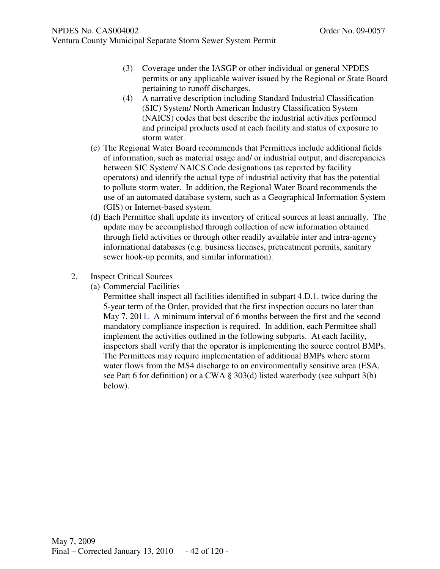Ventura County Municipal Separate Storm Sewer System Permit

- (3) Coverage under the IASGP or other individual or general NPDES permits or any applicable waiver issued by the Regional or State Board pertaining to runoff discharges.
- (4) A narrative description including Standard Industrial Classification (SIC) System/ North American Industry Classification System (NAICS) codes that best describe the industrial activities performed and principal products used at each facility and status of exposure to storm water.
- (c) The Regional Water Board recommends that Permittees include additional fields of information, such as material usage and/ or industrial output, and discrepancies between SIC System/ NAICS Code designations (as reported by facility operators) and identify the actual type of industrial activity that has the potential to pollute storm water. In addition, the Regional Water Board recommends the use of an automated database system, such as a Geographical Information System (GIS) or Internet-based system.
- (d) Each Permittee shall update its inventory of critical sources at least annually. The update may be accomplished through collection of new information obtained through field activities or through other readily available inter and intra-agency informational databases (e.g. business licenses, pretreatment permits, sanitary sewer hook-up permits, and similar information).
- 2. Inspect Critical Sources
	- (a) Commercial Facilities

Permittee shall inspect all facilities identified in subpart 4.D.1. twice during the 5-year term of the Order, provided that the first inspection occurs no later than May 7, 2011. A minimum interval of 6 months between the first and the second mandatory compliance inspection is required. In addition, each Permittee shall implement the activities outlined in the following subparts. At each facility, inspectors shall verify that the operator is implementing the source control BMPs. The Permittees may require implementation of additional BMPs where storm water flows from the MS4 discharge to an environmentally sensitive area (ESA, see Part 6 for definition) or a CWA § 303(d) listed waterbody (see subpart 3(b) below).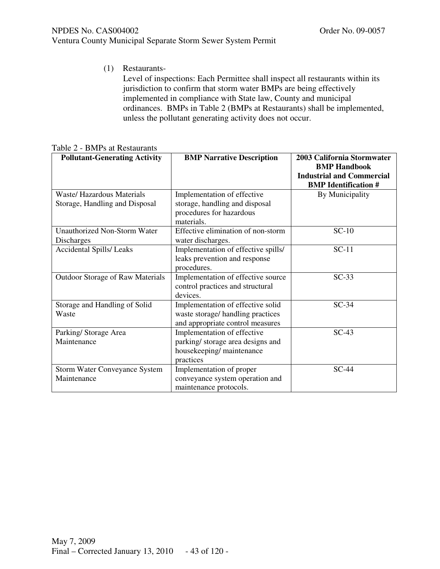(1) Restaurants-

Level of inspections: Each Permittee shall inspect all restaurants within its jurisdiction to confirm that storm water BMPs are being effectively implemented in compliance with State law, County and municipal ordinances. BMPs in Table 2 (BMPs at Restaurants) shall be implemented, unless the pollutant generating activity does not occur.

| <b>Pollutant-Generating Activity</b>                | <b>BMP Narrative Description</b>                                                                           | 2003 California Stormwater<br><b>BMP Handbook</b><br><b>Industrial and Commercial</b><br><b>BMP</b> Identification # |
|-----------------------------------------------------|------------------------------------------------------------------------------------------------------------|----------------------------------------------------------------------------------------------------------------------|
| <b>Waste/ Hazardous Materials</b>                   | Implementation of effective                                                                                | By Municipality                                                                                                      |
| Storage, Handling and Disposal                      | storage, handling and disposal<br>procedures for hazardous<br>materials.                                   |                                                                                                                      |
| <b>Unauthorized Non-Storm Water</b><br>Discharges   | Effective elimination of non-storm<br>water discharges.                                                    | $SC-10$                                                                                                              |
| <b>Accidental Spills/Leaks</b>                      | Implementation of effective spills/<br>leaks prevention and response<br>procedures.                        | $SC-11$                                                                                                              |
| Outdoor Storage of Raw Materials                    | Implementation of effective source<br>control practices and structural<br>devices.                         | $SC-33$                                                                                                              |
| Storage and Handling of Solid<br>Waste              | Implementation of effective solid<br>waste storage/ handling practices<br>and appropriate control measures | $SC-34$                                                                                                              |
| Parking/Storage Area<br>Maintenance                 | Implementation of effective<br>parking/ storage area designs and<br>housekeeping/maintenance<br>practices  | $SC-43$                                                                                                              |
| <b>Storm Water Conveyance System</b><br>Maintenance | Implementation of proper<br>conveyance system operation and<br>maintenance protocols.                      | $SC-44$                                                                                                              |

Table 2 - BMPs at Restaurants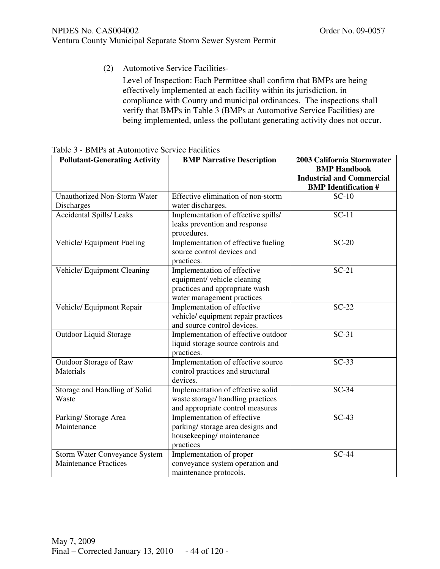(2) Automotive Service Facilities-

Level of Inspection: Each Permittee shall confirm that BMPs are being effectively implemented at each facility within its jurisdiction, in compliance with County and municipal ordinances. The inspections shall verify that BMPs in Table 3 (BMPs at Automotive Service Facilities) are being implemented, unless the pollutant generating activity does not occur.

| <b>Pollutant-Generating Activity</b>                                 | <b>BMP Narrative Description</b>                                                                                           | 2003 California Stormwater<br><b>BMP Handbook</b><br><b>Industrial and Commercial</b><br><b>BMP</b> Identification # |
|----------------------------------------------------------------------|----------------------------------------------------------------------------------------------------------------------------|----------------------------------------------------------------------------------------------------------------------|
| <b>Unauthorized Non-Storm Water</b><br><b>Discharges</b>             | Effective elimination of non-storm<br>water discharges.                                                                    | $SC-10$                                                                                                              |
| <b>Accidental Spills/Leaks</b>                                       | Implementation of effective spills/<br>leaks prevention and response<br>procedures.                                        | $SC-11$                                                                                                              |
| Vehicle/ Equipment Fueling                                           | Implementation of effective fueling<br>source control devices and<br>practices.                                            | $SC-20$                                                                                                              |
| Vehicle/ Equipment Cleaning                                          | Implementation of effective<br>equipment/ vehicle cleaning<br>practices and appropriate wash<br>water management practices | $SC-21$                                                                                                              |
| Vehicle/ Equipment Repair                                            | Implementation of effective<br>vehicle/equipment repair practices<br>and source control devices.                           | $SC-22$                                                                                                              |
| Outdoor Liquid Storage                                               | Implementation of effective outdoor<br>liquid storage source controls and<br>practices.                                    | $SC-31$                                                                                                              |
| Outdoor Storage of Raw<br>Materials                                  | Implementation of effective source<br>control practices and structural<br>devices.                                         | $SC-33$                                                                                                              |
| Storage and Handling of Solid<br>Waste                               | Implementation of effective solid<br>waste storage/ handling practices<br>and appropriate control measures                 | $SC-34$                                                                                                              |
| Parking/Storage Area<br>Maintenance                                  | Implementation of effective<br>parking/storage area designs and<br>housekeeping/maintenance<br>practices                   | $SC-43$                                                                                                              |
| <b>Storm Water Conveyance System</b><br><b>Maintenance Practices</b> | Implementation of proper<br>conveyance system operation and<br>maintenance protocols.                                      | $SC-44$                                                                                                              |

| Table 3 - BMPs at Automotive Service Facilities |  |
|-------------------------------------------------|--|
|-------------------------------------------------|--|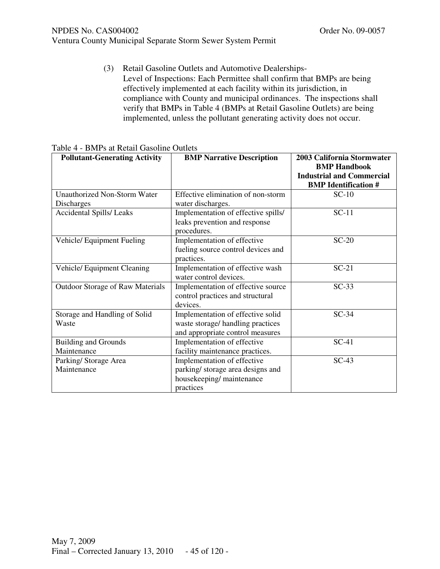Ventura County Municipal Separate Storm Sewer System Permit

(3) Retail Gasoline Outlets and Automotive Dealerships-Level of Inspections: Each Permittee shall confirm that BMPs are being effectively implemented at each facility within its jurisdiction, in compliance with County and municipal ordinances. The inspections shall verify that BMPs in Table 4 (BMPs at Retail Gasoline Outlets) are being implemented, unless the pollutant generating activity does not occur.

| <b>Pollutant-Generating Activity</b>       | <b>BMP Narrative Description</b>                                                                          | 2003 California Stormwater<br><b>BMP Handbook</b><br><b>Industrial and Commercial</b><br><b>BMP</b> Identification # |
|--------------------------------------------|-----------------------------------------------------------------------------------------------------------|----------------------------------------------------------------------------------------------------------------------|
| Unauthorized Non-Storm Water<br>Discharges | Effective elimination of non-storm<br>water discharges.                                                   | $SC-10$                                                                                                              |
| Accidental Spills/ Leaks                   | Implementation of effective spills/<br>leaks prevention and response<br>procedures.                       | $SC-11$                                                                                                              |
| Vehicle/ Equipment Fueling                 | Implementation of effective<br>fueling source control devices and<br>practices.                           | $SC-20$                                                                                                              |
| Vehicle/ Equipment Cleaning                | Implementation of effective wash<br>water control devices.                                                | $SC-21$                                                                                                              |
| Outdoor Storage of Raw Materials           | Implementation of effective source<br>control practices and structural<br>devices.                        | $SC-33$                                                                                                              |
| Storage and Handling of Solid<br>Waste     | Implementation of effective solid<br>waste storage/handling practices<br>and appropriate control measures | $SC-34$                                                                                                              |
| <b>Building and Grounds</b><br>Maintenance | Implementation of effective<br>facility maintenance practices.                                            | $SC-41$                                                                                                              |
| Parking/Storage Area<br>Maintenance        | Implementation of effective<br>parking/storage area designs and<br>housekeeping/maintenance<br>practices  | $SC-43$                                                                                                              |

#### Table 4 - BMPs at Retail Gasoline Outlets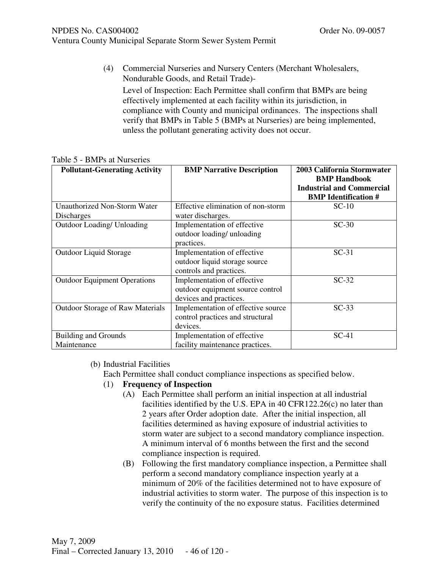- Ventura County Municipal Separate Storm Sewer System Permit
	- (4) Commercial Nurseries and Nursery Centers (Merchant Wholesalers, Nondurable Goods, and Retail Trade)-

Level of Inspection: Each Permittee shall confirm that BMPs are being effectively implemented at each facility within its jurisdiction, in compliance with County and municipal ordinances. The inspections shall verify that BMPs in Table 5 (BMPs at Nurseries) are being implemented, unless the pollutant generating activity does not occur.

| <b>Pollutant-Generating Activity</b>              | <b>BMP Narrative Description</b>                                                          | 2003 California Stormwater<br><b>BMP Handbook</b><br><b>Industrial and Commercial</b><br><b>BMP</b> Identification # |
|---------------------------------------------------|-------------------------------------------------------------------------------------------|----------------------------------------------------------------------------------------------------------------------|
| <b>Unauthorized Non-Storm Water</b><br>Discharges | Effective elimination of non-storm<br>water discharges.                                   | $SC-10$                                                                                                              |
| <b>Outdoor Loading/ Unloading</b>                 | Implementation of effective<br>outdoor loading/ unloading<br>practices.                   | $SC-30$                                                                                                              |
| Outdoor Liquid Storage                            | Implementation of effective<br>outdoor liquid storage source<br>controls and practices.   | $SC-31$                                                                                                              |
| <b>Outdoor Equipment Operations</b>               | Implementation of effective<br>outdoor equipment source control<br>devices and practices. | $SC-32$                                                                                                              |
| <b>Outdoor Storage of Raw Materials</b>           | Implementation of effective source<br>control practices and structural<br>devices.        | $SC-33$                                                                                                              |
| <b>Building and Grounds</b><br>Maintenance        | Implementation of effective<br>facility maintenance practices.                            | $SC-41$                                                                                                              |

#### Table 5 - BMPs at Nurseries

## (b) Industrial Facilities

Each Permittee shall conduct compliance inspections as specified below.

## (1) **Frequency of Inspection**

- (A) Each Permittee shall perform an initial inspection at all industrial facilities identified by the U.S. EPA in 40 CFR122.26(c) no later than 2 years after Order adoption date. After the initial inspection, all facilities determined as having exposure of industrial activities to storm water are subject to a second mandatory compliance inspection. A minimum interval of 6 months between the first and the second compliance inspection is required.
- (B) Following the first mandatory compliance inspection, a Permittee shall perform a second mandatory compliance inspection yearly at a minimum of 20% of the facilities determined not to have exposure of industrial activities to storm water. The purpose of this inspection is to verify the continuity of the no exposure status. Facilities determined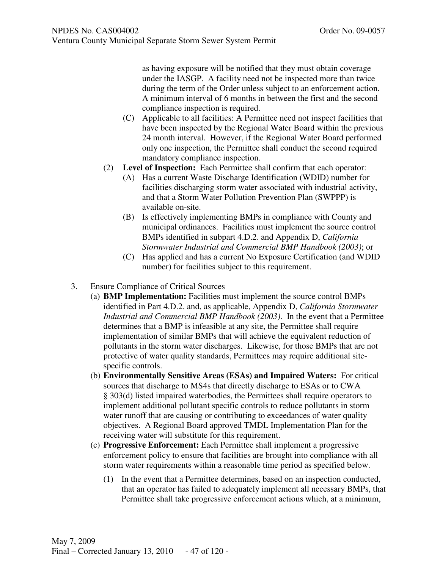as having exposure will be notified that they must obtain coverage under the IASGP. A facility need not be inspected more than twice during the term of the Order unless subject to an enforcement action. A minimum interval of 6 months in between the first and the second compliance inspection is required.

- (C) Applicable to all facilities: A Permittee need not inspect facilities that have been inspected by the Regional Water Board within the previous 24 month interval. However, if the Regional Water Board performed only one inspection, the Permittee shall conduct the second required mandatory compliance inspection.
- (2) **Level of Inspection:** Each Permittee shall confirm that each operator:
	- (A) Has a current Waste Discharge Identification (WDID) number for facilities discharging storm water associated with industrial activity, and that a Storm Water Pollution Prevention Plan (SWPPP) is available on-site.
	- (B) Is effectively implementing BMPs in compliance with County and municipal ordinances. Facilities must implement the source control BMPs identified in subpart 4.D.2. and Appendix D, *California Stormwater Industrial and Commercial BMP Handbook (2003)*; or
	- (C) Has applied and has a current No Exposure Certification (and WDID number) for facilities subject to this requirement.
- 3. Ensure Compliance of Critical Sources
	- (a) **BMP Implementation:** Facilities must implement the source control BMPs identified in Part 4.D.2. and, as applicable, Appendix D, *California Stormwater Industrial and Commercial BMP Handbook (2003)*. In the event that a Permittee determines that a BMP is infeasible at any site, the Permittee shall require implementation of similar BMPs that will achieve the equivalent reduction of pollutants in the storm water discharges. Likewise, for those BMPs that are not protective of water quality standards, Permittees may require additional sitespecific controls.
	- (b) **Environmentally Sensitive Areas (ESAs) and Impaired Waters:** For critical sources that discharge to MS4s that directly discharge to ESAs or to CWA § 303(d) listed impaired waterbodies, the Permittees shall require operators to implement additional pollutant specific controls to reduce pollutants in storm water runoff that are causing or contributing to exceedances of water quality objectives. A Regional Board approved TMDL Implementation Plan for the receiving water will substitute for this requirement.
	- (c) **Progressive Enforcement:** Each Permittee shall implement a progressive enforcement policy to ensure that facilities are brought into compliance with all storm water requirements within a reasonable time period as specified below.
		- (1) In the event that a Permittee determines, based on an inspection conducted, that an operator has failed to adequately implement all necessary BMPs, that Permittee shall take progressive enforcement actions which, at a minimum,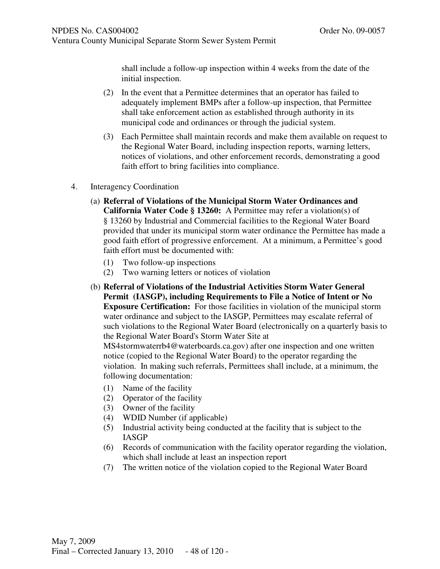shall include a follow-up inspection within 4 weeks from the date of the initial inspection.

- (2) In the event that a Permittee determines that an operator has failed to adequately implement BMPs after a follow-up inspection, that Permittee shall take enforcement action as established through authority in its municipal code and ordinances or through the judicial system.
- (3) Each Permittee shall maintain records and make them available on request to the Regional Water Board, including inspection reports, warning letters, notices of violations, and other enforcement records, demonstrating a good faith effort to bring facilities into compliance.
- 4. Interagency Coordination
	- (a) **Referral of Violations of the Municipal Storm Water Ordinances and California Water Code § 13260:** A Permittee may refer a violation(s) of § 13260 by Industrial and Commercial facilities to the Regional Water Board provided that under its municipal storm water ordinance the Permittee has made a good faith effort of progressive enforcement. At a minimum, a Permittee's good faith effort must be documented with:
		- (1) Two follow-up inspections
		- (2) Two warning letters or notices of violation
	- (b) **Referral of Violations of the Industrial Activities Storm Water General Permit (IASGP), including Requirements to File a Notice of Intent or No Exposure Certification:** For those facilities in violation of the municipal storm water ordinance and subject to the IASGP, Permittees may escalate referral of such violations to the Regional Water Board (electronically on a quarterly basis to the Regional Water Board's Storm Water Site at

MS4stormwaterrb4@waterboards.ca.gov) after one inspection and one written notice (copied to the Regional Water Board) to the operator regarding the violation. In making such referrals, Permittees shall include, at a minimum, the following documentation:

- (1) Name of the facility
- (2) Operator of the facility
- (3) Owner of the facility
- (4) WDID Number (if applicable)
- (5) Industrial activity being conducted at the facility that is subject to the IASGP
- (6) Records of communication with the facility operator regarding the violation, which shall include at least an inspection report
- (7) The written notice of the violation copied to the Regional Water Board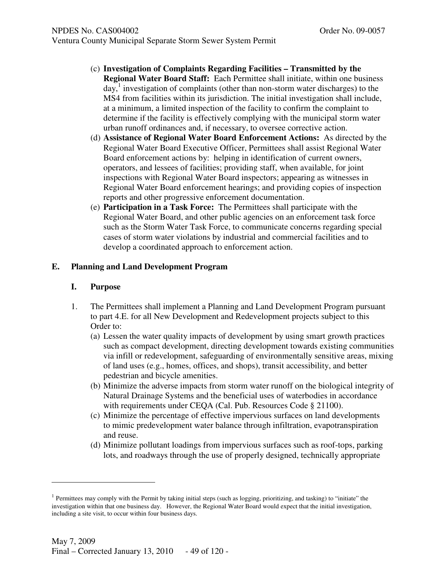- (c) **Investigation of Complaints Regarding Facilities Transmitted by the Regional Water Board Staff:** Each Permittee shall initiate, within one business  $day$ ,<sup>1</sup> investigation of complaints (other than non-storm water discharges) to the MS4 from facilities within its jurisdiction. The initial investigation shall include, at a minimum, a limited inspection of the facility to confirm the complaint to determine if the facility is effectively complying with the municipal storm water urban runoff ordinances and, if necessary, to oversee corrective action.
- (d) **Assistance of Regional Water Board Enforcement Actions:** As directed by the Regional Water Board Executive Officer, Permittees shall assist Regional Water Board enforcement actions by: helping in identification of current owners, operators, and lessees of facilities; providing staff, when available, for joint inspections with Regional Water Board inspectors; appearing as witnesses in Regional Water Board enforcement hearings; and providing copies of inspection reports and other progressive enforcement documentation.
- (e) **Participation in a Task Force:** The Permittees shall participate with the Regional Water Board, and other public agencies on an enforcement task force such as the Storm Water Task Force, to communicate concerns regarding special cases of storm water violations by industrial and commercial facilities and to develop a coordinated approach to enforcement action.

# **E. Planning and Land Development Program**

# **I. Purpose**

l

- 1. The Permittees shall implement a Planning and Land Development Program pursuant to part 4.E. for all New Development and Redevelopment projects subject to this Order to:
	- (a) Lessen the water quality impacts of development by using smart growth practices such as compact development, directing development towards existing communities via infill or redevelopment, safeguarding of environmentally sensitive areas, mixing of land uses (e.g., homes, offices, and shops), transit accessibility, and better pedestrian and bicycle amenities.
	- (b) Minimize the adverse impacts from storm water runoff on the biological integrity of Natural Drainage Systems and the beneficial uses of waterbodies in accordance with requirements under CEQA (Cal. Pub. Resources Code § 21100).
	- (c) Minimize the percentage of effective impervious surfaces on land developments to mimic predevelopment water balance through infiltration, evapotranspiration and reuse.
	- (d) Minimize pollutant loadings from impervious surfaces such as roof-tops, parking lots, and roadways through the use of properly designed, technically appropriate

 $<sup>1</sup>$  Permittees may comply with the Permit by taking initial steps (such as logging, prioritizing, and tasking) to "initiate" the</sup> investigation within that one business day. However, the Regional Water Board would expect that the initial investigation, including a site visit, to occur within four business days.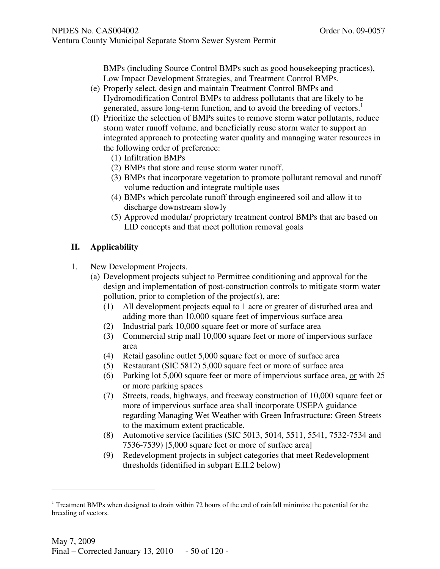BMPs (including Source Control BMPs such as good housekeeping practices), Low Impact Development Strategies, and Treatment Control BMPs.

- (e) Properly select, design and maintain Treatment Control BMPs and Hydromodification Control BMPs to address pollutants that are likely to be generated, assure long-term function, and to avoid the breeding of vectors.<sup>1</sup>
- (f) Prioritize the selection of BMPs suites to remove storm water pollutants, reduce storm water runoff volume, and beneficially reuse storm water to support an integrated approach to protecting water quality and managing water resources in the following order of preference:
	- (1) Infiltration BMPs
	- (2) BMPs that store and reuse storm water runoff.
	- (3) BMPs that incorporate vegetation to promote pollutant removal and runoff volume reduction and integrate multiple uses
	- (4) BMPs which percolate runoff through engineered soil and allow it to discharge downstream slowly
	- (5) Approved modular/ proprietary treatment control BMPs that are based on LID concepts and that meet pollution removal goals

# **II. Applicability**

- 1. New Development Projects.
	- (a) Development projects subject to Permittee conditioning and approval for the design and implementation of post-construction controls to mitigate storm water pollution, prior to completion of the project(s), are:
		- (1) All development projects equal to 1 acre or greater of disturbed area and adding more than 10,000 square feet of impervious surface area
		- (2) Industrial park 10,000 square feet or more of surface area
		- (3) Commercial strip mall 10,000 square feet or more of impervious surface area
		- (4) Retail gasoline outlet 5,000 square feet or more of surface area
		- (5) Restaurant (SIC 5812) 5,000 square feet or more of surface area
		- (6) Parking lot 5,000 square feet or more of impervious surface area, or with 25 or more parking spaces
		- (7) Streets, roads, highways, and freeway construction of 10,000 square feet or more of impervious surface area shall incorporate USEPA guidance regarding Managing Wet Weather with Green Infrastructure: Green Streets to the maximum extent practicable.
		- (8) Automotive service facilities (SIC 5013, 5014, 5511, 5541, 7532-7534 and 7536-7539) [5,000 square feet or more of surface area]
		- (9) Redevelopment projects in subject categories that meet Redevelopment thresholds (identified in subpart E.II.2 below)

j

<sup>&</sup>lt;sup>1</sup> Treatment BMPs when designed to drain within 72 hours of the end of rainfall minimize the potential for the breeding of vectors.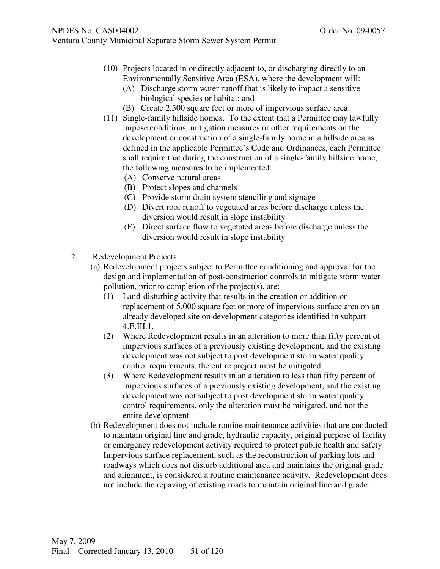- (10) Projects located in or directly adjacent to, or discharging directly to an Environmentally Sensitive Area (ESA), where the development will:
	- (A) Discharge storm water runoff that is likely to impact a sensitive biological species or habitat; and
	- (B) Create 2,500 square feet or more of impervious surface area
- (11) Single-family hillside homes. To the extent that a Permittee may lawfully impose conditions, mitigation measures or other requirements on the development or construction of a single-family home in a hillside area as defined in the applicable Permittee's Code and Ordinances, each Permittee shall require that during the construction of a single-family hillside home, the following measures to be implemented:
	- (A) Conserve natural areas
	- (B) Protect slopes and channels
	- (C) Provide storm drain system stenciling and signage
	- (D) Divert roof runoff to vegetated areas before discharge unless the diversion would result in slope instability
	- (E) Direct surface flow to vegetated areas before discharge unless the diversion would result in slope instability
- 2. Redevelopment Projects
	- (a) Redevelopment projects subject to Permittee conditioning and approval for the design and implementation of post-construction controls to mitigate storm water pollution, prior to completion of the project(s), are:
		- (1) Land-disturbing activity that results in the creation or addition or replacement of 5,000 square feet or more of impervious surface area on an already developed site on development categories identified in subpart 4.E.III.1.
		- (2) Where Redevelopment results in an alteration to more than fifty percent of impervious surfaces of a previously existing development, and the existing development was not subject to post development storm water quality control requirements, the entire project must be mitigated.
		- (3) Where Redevelopment results in an alteration to less than fifty percent of impervious surfaces of a previously existing development, and the existing development was not subject to post development storm water quality control requirements, only the alteration must be mitigated, and not the entire development.
	- (b) Redevelopment does not include routine maintenance activities that are conducted to maintain original line and grade, hydraulic capacity, original purpose of facility or emergency redevelopment activity required to protect public health and safety. Impervious surface replacement, such as the reconstruction of parking lots and roadways which does not disturb additional area and maintains the original grade and alignment, is considered a routine maintenance activity. Redevelopment does not include the repaving of existing roads to maintain original line and grade.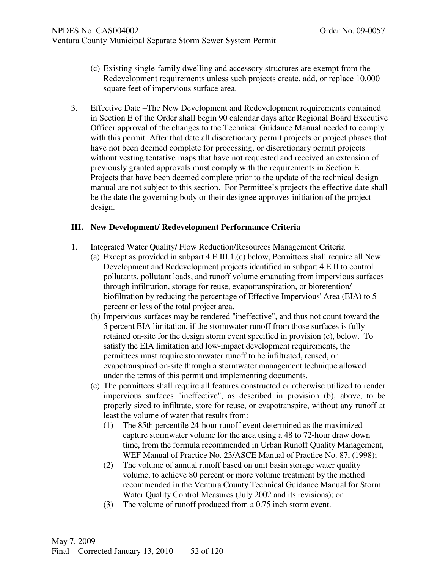- (c) Existing single-family dwelling and accessory structures are exempt from the Redevelopment requirements unless such projects create, add, or replace 10,000 square feet of impervious surface area.
- 3. Effective Date –The New Development and Redevelopment requirements contained in Section E of the Order shall begin 90 calendar days after Regional Board Executive Officer approval of the changes to the Technical Guidance Manual needed to comply with this permit. After that date all discretionary permit projects or project phases that have not been deemed complete for processing, or discretionary permit projects without vesting tentative maps that have not requested and received an extension of previously granted approvals must comply with the requirements in Section E. Projects that have been deemed complete prior to the update of the technical design manual are not subject to this section. For Permittee's projects the effective date shall be the date the governing body or their designee approves initiation of the project design.

# **III. New Development/ Redevelopment Performance Criteria**

- 1. Integrated Water Quality/ Flow Reduction/Resources Management Criteria
	- (a) Except as provided in subpart 4.E.III.1.(c) below, Permittees shall require all New Development and Redevelopment projects identified in subpart 4.E.II to control pollutants, pollutant loads, and runoff volume emanating from impervious surfaces through infiltration, storage for reuse, evapotranspiration, or bioretention/ biofiltration by reducing the percentage of Effective Impervious' Area (EIA) to 5 percent or less of the total project area.
	- (b) Impervious surfaces may be rendered "ineffective", and thus not count toward the 5 percent EIA limitation, if the stormwater runoff from those surfaces is fully retained on-site for the design storm event specified in provision (c), below. To satisfy the EIA limitation and low-impact development requirements, the permittees must require stormwater runoff to be infiltrated, reused, or evapotranspired on-site through a stormwater management technique allowed under the terms of this permit and implementing documents.
	- (c) The permittees shall require all features constructed or otherwise utilized to render impervious surfaces "ineffective", as described in provision (b), above, to be properly sized to infiltrate, store for reuse, or evapotranspire, without any runoff at least the volume of water that results from:
		- (1) The 85th percentile 24-hour runoff event determined as the maximized capture stormwater volume for the area using a 48 to 72-hour draw down time, from the formula recommended in Urban Runoff Quality Management, WEF Manual of Practice No. 23/ASCE Manual of Practice No. 87, (1998);
		- (2) The volume of annual runoff based on unit basin storage water quality volume, to achieve 80 percent or more volume treatment by the method recommended in the Ventura County Technical Guidance Manual for Storm Water Quality Control Measures (July 2002 and its revisions); or
		- (3) The volume of runoff produced from a 0.75 inch storm event.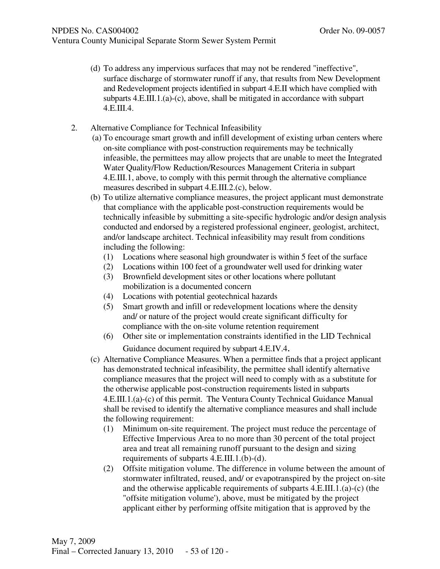- (d) To address any impervious surfaces that may not be rendered "ineffective", surface discharge of stormwater runoff if any, that results from New Development and Redevelopment projects identified in subpart 4.E.II which have complied with subparts 4.E.III.1.(a)-(c), above, shall be mitigated in accordance with subpart 4.E.III.4.
- 2. Alternative Compliance for Technical Infeasibility
	- (a) To encourage smart growth and infill development of existing urban centers where on-site compliance with post-construction requirements may be technically infeasible, the permittees may allow projects that are unable to meet the Integrated Water Quality/Flow Reduction/Resources Management Criteria in subpart 4.E.III.1, above, to comply with this permit through the alternative compliance measures described in subpart 4.E.III.2.(c), below.
	- (b) To utilize alternative compliance measures, the project applicant must demonstrate that compliance with the applicable post-construction requirements would be technically infeasible by submitting a site-specific hydrologic and/or design analysis conducted and endorsed by a registered professional engineer, geologist, architect, and/or landscape architect. Technical infeasibility may result from conditions including the following:
		- (1) Locations where seasonal high groundwater is within 5 feet of the surface
		- (2) Locations within 100 feet of a groundwater well used for drinking water
		- (3) Brownfield development sites or other locations where pollutant mobilization is a documented concern
		- (4) Locations with potential geotechnical hazards
		- (5) Smart growth and infill or redevelopment locations where the density and/ or nature of the project would create significant difficulty for compliance with the on-site volume retention requirement
		- (6) Other site or implementation constraints identified in the LID Technical Guidance document required by subpart 4.E.IV.4.
	- (c) Alternative Compliance Measures. When a permittee finds that a project applicant has demonstrated technical infeasibility, the permittee shall identify alternative compliance measures that the project will need to comply with as a substitute for the otherwise applicable post-construction requirements listed in subparts 4.E.III.1.(a)-(c) of this permit. The Ventura County Technical Guidance Manual shall be revised to identify the alternative compliance measures and shall include the following requirement:
		- (1) Minimum on-site requirement. The project must reduce the percentage of Effective Impervious Area to no more than 30 percent of the total project area and treat all remaining runoff pursuant to the design and sizing requirements of subparts 4.E.III.1.(b)-(d).
		- (2) Offsite mitigation volume. The difference in volume between the amount of stormwater infiltrated, reused, and/ or evapotranspired by the project on-site and the otherwise applicable requirements of subparts 4.E.III.1.(a)-(c) (the "offsite mitigation volume'), above, must be mitigated by the project applicant either by performing offsite mitigation that is approved by the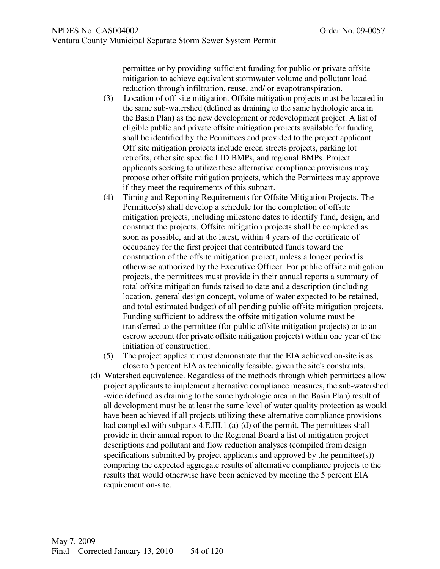permittee or by providing sufficient funding for public or private offsite mitigation to achieve equivalent stormwater volume and pollutant load reduction through infiltration, reuse, and/ or evapotranspiration.

- (3) Location of off site mitigation. Offsite mitigation projects must be located in the same sub-watershed (defined as draining to the same hydrologic area in the Basin Plan) as the new development or redevelopment project. A list of eligible public and private offsite mitigation projects available for funding shall be identified by the Permittees and provided to the project applicant. Off site mitigation projects include green streets projects, parking lot retrofits, other site specific LID BMPs, and regional BMPs. Project applicants seeking to utilize these alternative compliance provisions may propose other offsite mitigation projects, which the Permittees may approve if they meet the requirements of this subpart.
- (4) Timing and Reporting Requirements for Offsite Mitigation Projects. The Permittee(s) shall develop a schedule for the completion of offsite mitigation projects, including milestone dates to identify fund, design, and construct the projects. Offsite mitigation projects shall be completed as soon as possible, and at the latest, within 4 years of the certificate of occupancy for the first project that contributed funds toward the construction of the offsite mitigation project, unless a longer period is otherwise authorized by the Executive Officer. For public offsite mitigation projects, the permittees must provide in their annual reports a summary of total offsite mitigation funds raised to date and a description (including location, general design concept, volume of water expected to be retained, and total estimated budget) of all pending public offsite mitigation projects. Funding sufficient to address the offsite mitigation volume must be transferred to the permittee (for public offsite mitigation projects) or to an escrow account (for private offsite mitigation projects) within one year of the initiation of construction.
- (5) The project applicant must demonstrate that the EIA achieved on-site is as close to 5 percent EIA as technically feasible, given the site's constraints.
- (d) Watershed equivalence. Regardless of the methods through which permittees allow project applicants to implement alternative compliance measures, the sub-watershed -wide (defined as draining to the same hydrologic area in the Basin Plan) result of all development must be at least the same level of water quality protection as would have been achieved if all projects utilizing these alternative compliance provisions had complied with subparts 4.E.III.1.(a)-(d) of the permit. The permittees shall provide in their annual report to the Regional Board a list of mitigation project descriptions and pollutant and flow reduction analyses (compiled from design specifications submitted by project applicants and approved by the permittee(s)) comparing the expected aggregate results of alternative compliance projects to the results that would otherwise have been achieved by meeting the 5 percent EIA requirement on-site.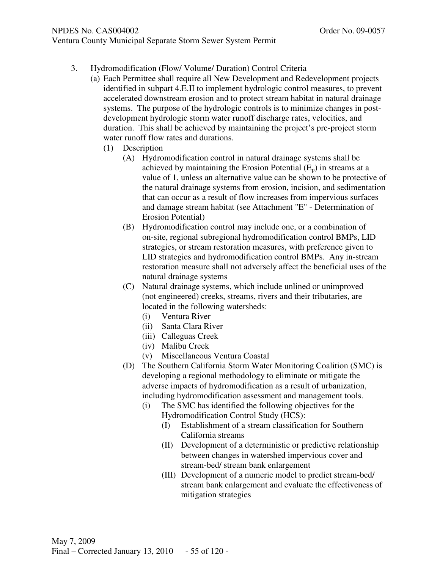# Ventura County Municipal Separate Storm Sewer System Permit

- 3. Hydromodification (Flow/ Volume/ Duration) Control Criteria
	- (a) Each Permittee shall require all New Development and Redevelopment projects identified in subpart 4.E.II to implement hydrologic control measures, to prevent accelerated downstream erosion and to protect stream habitat in natural drainage systems. The purpose of the hydrologic controls is to minimize changes in postdevelopment hydrologic storm water runoff discharge rates, velocities, and duration. This shall be achieved by maintaining the project's pre-project storm water runoff flow rates and durations.
		- (1) Description
			- (A) Hydromodification control in natural drainage systems shall be achieved by maintaining the Erosion Potential  $(E_n)$  in streams at a value of 1, unless an alternative value can be shown to be protective of the natural drainage systems from erosion, incision, and sedimentation that can occur as a result of flow increases from impervious surfaces and damage stream habitat (see Attachment "E" - Determination of Erosion Potential)
			- (B) Hydromodification control may include one, or a combination of on-site, regional subregional hydromodification control BMPs, LID strategies, or stream restoration measures, with preference given to LID strategies and hydromodification control BMPs. Any in-stream restoration measure shall not adversely affect the beneficial uses of the natural drainage systems
			- (C) Natural drainage systems, which include unlined or unimproved (not engineered) creeks, streams, rivers and their tributaries, are located in the following watersheds:
				- (i) Ventura River
				- (ii) Santa Clara River
				- (iii) Calleguas Creek
				- (iv) Malibu Creek
				- (v) Miscellaneous Ventura Coastal
			- (D) The Southern California Storm Water Monitoring Coalition (SMC) is developing a regional methodology to eliminate or mitigate the adverse impacts of hydromodification as a result of urbanization, including hydromodification assessment and management tools.
				- (i) The SMC has identified the following objectives for the Hydromodification Control Study (HCS):
					- (I) Establishment of a stream classification for Southern California streams
					- (II) Development of a deterministic or predictive relationship between changes in watershed impervious cover and stream-bed/ stream bank enlargement
					- (III) Development of a numeric model to predict stream-bed/ stream bank enlargement and evaluate the effectiveness of mitigation strategies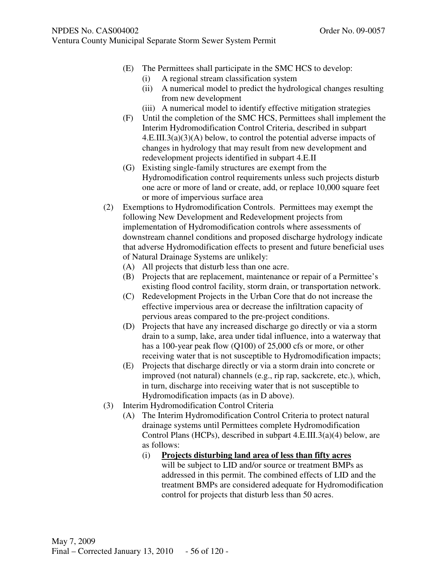- (E) The Permittees shall participate in the SMC HCS to develop:
	- (i) A regional stream classification system
	- (ii) A numerical model to predict the hydrological changes resulting from new development
	- (iii) A numerical model to identify effective mitigation strategies
- (F) Until the completion of the SMC HCS, Permittees shall implement the Interim Hydromodification Control Criteria, described in subpart  $4.E. III.3(a)(3)(A)$  below, to control the potential adverse impacts of changes in hydrology that may result from new development and redevelopment projects identified in subpart 4.E.II
- (G) Existing single-family structures are exempt from the Hydromodification control requirements unless such projects disturb one acre or more of land or create, add, or replace 10,000 square feet or more of impervious surface area
- (2) Exemptions to Hydromodification Controls. Permittees may exempt the following New Development and Redevelopment projects from implementation of Hydromodification controls where assessments of downstream channel conditions and proposed discharge hydrology indicate that adverse Hydromodification effects to present and future beneficial uses of Natural Drainage Systems are unlikely:
	- (A) All projects that disturb less than one acre.
	- (B) Projects that are replacement, maintenance or repair of a Permittee's existing flood control facility, storm drain, or transportation network.
	- (C) Redevelopment Projects in the Urban Core that do not increase the effective impervious area or decrease the infiltration capacity of pervious areas compared to the pre-project conditions.
	- (D) Projects that have any increased discharge go directly or via a storm drain to a sump, lake, area under tidal influence, into a waterway that has a 100-year peak flow (Q100) of 25,000 cfs or more, or other receiving water that is not susceptible to Hydromodification impacts;
	- (E) Projects that discharge directly or via a storm drain into concrete or improved (not natural) channels (e.g., rip rap, sackcrete, etc.), which, in turn, discharge into receiving water that is not susceptible to Hydromodification impacts (as in D above).
- (3) Interim Hydromodification Control Criteria
	- (A) The Interim Hydromodification Control Criteria to protect natural drainage systems until Permittees complete Hydromodification Control Plans (HCPs), described in subpart 4.E.III.3(a)(4) below, are as follows:
		- (i) **Projects disturbing land area of less than fifty acres** will be subject to LID and/or source or treatment BMPs as addressed in this permit. The combined effects of LID and the treatment BMPs are considered adequate for Hydromodification control for projects that disturb less than 50 acres.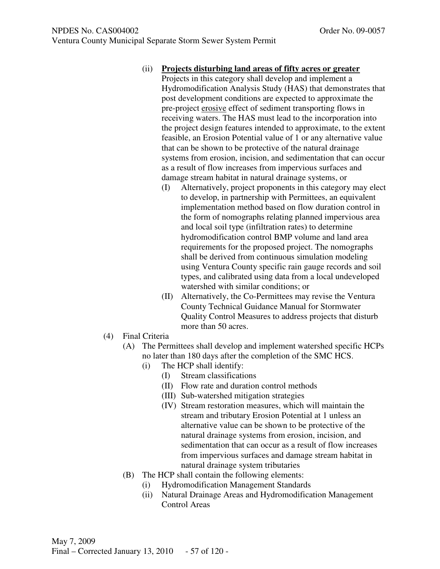- (ii) **Projects disturbing land areas of fifty acres or greater**
	- Projects in this category shall develop and implement a Hydromodification Analysis Study (HAS) that demonstrates that post development conditions are expected to approximate the pre-project erosive effect of sediment transporting flows in receiving waters. The HAS must lead to the incorporation into the project design features intended to approximate, to the extent feasible, an Erosion Potential value of 1 or any alternative value that can be shown to be protective of the natural drainage systems from erosion, incision, and sedimentation that can occur as a result of flow increases from impervious surfaces and damage stream habitat in natural drainage systems, or
		- (I) Alternatively, project proponents in this category may elect to develop, in partnership with Permittees, an equivalent implementation method based on flow duration control in the form of nomographs relating planned impervious area and local soil type (infiltration rates) to determine hydromodification control BMP volume and land area requirements for the proposed project. The nomographs shall be derived from continuous simulation modeling using Ventura County specific rain gauge records and soil types, and calibrated using data from a local undeveloped watershed with similar conditions; or
		- (II) Alternatively, the Co-Permittees may revise the Ventura County Technical Guidance Manual for Stormwater Quality Control Measures to address projects that disturb more than 50 acres.
- (4) Final Criteria
	- (A) The Permittees shall develop and implement watershed specific HCPs no later than 180 days after the completion of the SMC HCS.
		- (i) The HCP shall identify:
			- (I) Stream classifications
				- (II) Flow rate and duration control methods
			- (III) Sub-watershed mitigation strategies
			- (IV) Stream restoration measures, which will maintain the stream and tributary Erosion Potential at 1 unless an alternative value can be shown to be protective of the natural drainage systems from erosion, incision, and sedimentation that can occur as a result of flow increases from impervious surfaces and damage stream habitat in natural drainage system tributaries
	- (B) The HCP shall contain the following elements:
		- (i) Hydromodification Management Standards
		- (ii) Natural Drainage Areas and Hydromodification Management Control Areas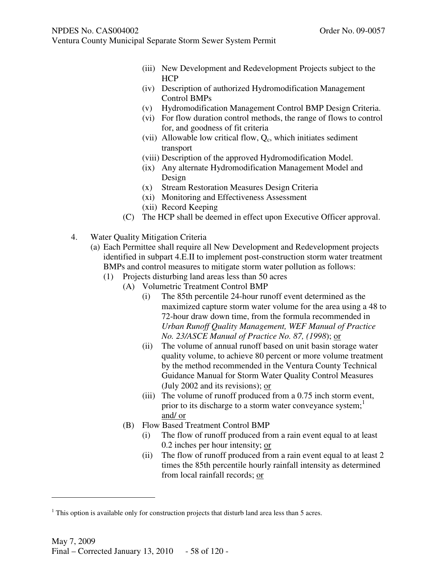- (iii) New Development and Redevelopment Projects subject to the **HCP**
- (iv) Description of authorized Hydromodification Management Control BMPs
- (v) Hydromodification Management Control BMP Design Criteria.
- (vi) For flow duration control methods, the range of flows to control for, and goodness of fit criteria
- (vii) Allowable low critical flow,  $Q_c$ , which initiates sediment transport
- (viii) Description of the approved Hydromodification Model.
- (ix) Any alternate Hydromodification Management Model and Design
- (x) Stream Restoration Measures Design Criteria
- (xi) Monitoring and Effectiveness Assessment
- (xii) Record Keeping
- (C) The HCP shall be deemed in effect upon Executive Officer approval.
- 4. Water Quality Mitigation Criteria
	- (a) Each Permittee shall require all New Development and Redevelopment projects identified in subpart 4.E.II to implement post-construction storm water treatment BMPs and control measures to mitigate storm water pollution as follows:
		- (1) Projects disturbing land areas less than 50 acres
			- (A) Volumetric Treatment Control BMP
				- (i) The 85th percentile 24-hour runoff event determined as the maximized capture storm water volume for the area using a 48 to 72-hour draw down time, from the formula recommended in *Urban Runoff Quality Management, WEF Manual of Practice No. 23/ASCE Manual of Practice No. 87, (1998*); or
				- (ii) The volume of annual runoff based on unit basin storage water quality volume, to achieve 80 percent or more volume treatment by the method recommended in the Ventura County Technical Guidance Manual for Storm Water Quality Control Measures (July 2002 and its revisions); or
				- (iii) The volume of runoff produced from a 0.75 inch storm event, prior to its discharge to a storm water conveyance system; $<sup>1</sup>$ </sup> and/ or
				- (B) Flow Based Treatment Control BMP
					- (i) The flow of runoff produced from a rain event equal to at least 0.2 inches per hour intensity; or
					- (ii) The flow of runoff produced from a rain event equal to at least 2 times the 85th percentile hourly rainfall intensity as determined from local rainfall records; or

-

 $<sup>1</sup>$  This option is available only for construction projects that disturb land area less than 5 acres.</sup>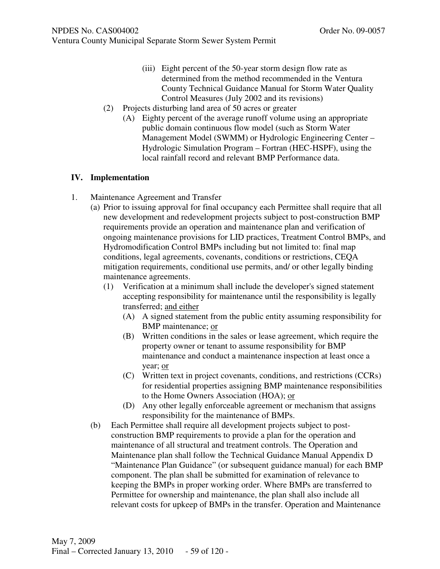- (iii) Eight percent of the 50-year storm design flow rate as determined from the method recommended in the Ventura County Technical Guidance Manual for Storm Water Quality Control Measures (July 2002 and its revisions)
- (2) Projects disturbing land area of 50 acres or greater
	- (A) Eighty percent of the average runoff volume using an appropriate public domain continuous flow model (such as Storm Water Management Model (SWMM) or Hydrologic Engineering Center – Hydrologic Simulation Program – Fortran (HEC-HSPF), using the local rainfall record and relevant BMP Performance data.

## **IV. Implementation**

- 1. Maintenance Agreement and Transfer
	- (a) Prior to issuing approval for final occupancy each Permittee shall require that all new development and redevelopment projects subject to post-construction BMP requirements provide an operation and maintenance plan and verification of ongoing maintenance provisions for LID practices, Treatment Control BMPs, and Hydromodification Control BMPs including but not limited to: final map conditions, legal agreements, covenants, conditions or restrictions, CEQA mitigation requirements, conditional use permits, and/ or other legally binding maintenance agreements.
		- (1) Verification at a minimum shall include the developer's signed statement accepting responsibility for maintenance until the responsibility is legally transferred; and either
			- (A) A signed statement from the public entity assuming responsibility for BMP maintenance; or
			- (B) Written conditions in the sales or lease agreement, which require the property owner or tenant to assume responsibility for BMP maintenance and conduct a maintenance inspection at least once a year; or
			- (C) Written text in project covenants, conditions, and restrictions (CCRs) for residential properties assigning BMP maintenance responsibilities to the Home Owners Association (HOA); or
			- (D) Any other legally enforceable agreement or mechanism that assigns responsibility for the maintenance of BMPs.
	- (b) Each Permittee shall require all development projects subject to postconstruction BMP requirements to provide a plan for the operation and maintenance of all structural and treatment controls. The Operation and Maintenance plan shall follow the Technical Guidance Manual Appendix D "Maintenance Plan Guidance" (or subsequent guidance manual) for each BMP component. The plan shall be submitted for examination of relevance to keeping the BMPs in proper working order. Where BMPs are transferred to Permittee for ownership and maintenance, the plan shall also include all relevant costs for upkeep of BMPs in the transfer. Operation and Maintenance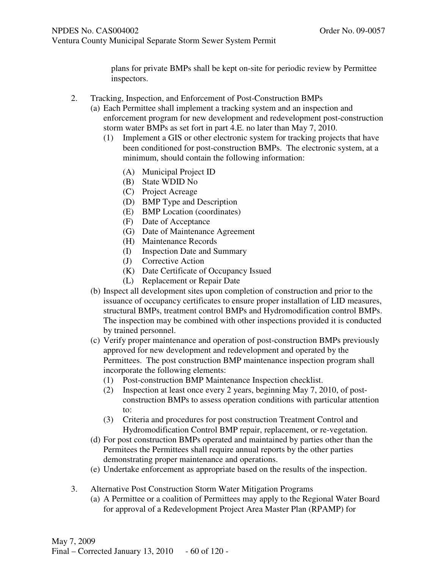plans for private BMPs shall be kept on-site for periodic review by Permittee inspectors.

- 2. Tracking, Inspection, and Enforcement of Post-Construction BMPs
	- (a) Each Permittee shall implement a tracking system and an inspection and enforcement program for new development and redevelopment post-construction storm water BMPs as set fort in part 4.E. no later than May 7, 2010.
		- (1) Implement a GIS or other electronic system for tracking projects that have been conditioned for post-construction BMPs. The electronic system, at a minimum, should contain the following information:
			- (A) Municipal Project ID
			- (B) State WDID No
			- (C) Project Acreage
			- (D) BMP Type and Description
			- (E) BMP Location (coordinates)
			- (F) Date of Acceptance
			- (G) Date of Maintenance Agreement
			- (H) Maintenance Records
			- (I) Inspection Date and Summary
			- (J) Corrective Action
			- (K) Date Certificate of Occupancy Issued
			- (L) Replacement or Repair Date
	- (b) Inspect all development sites upon completion of construction and prior to the issuance of occupancy certificates to ensure proper installation of LID measures, structural BMPs, treatment control BMPs and Hydromodification control BMPs. The inspection may be combined with other inspections provided it is conducted by trained personnel.
	- (c) Verify proper maintenance and operation of post-construction BMPs previously approved for new development and redevelopment and operated by the Permittees. The post construction BMP maintenance inspection program shall incorporate the following elements:
		- (1) Post-construction BMP Maintenance Inspection checklist.
		- (2) Inspection at least once every 2 years, beginning May 7, 2010, of postconstruction BMPs to assess operation conditions with particular attention to:
		- (3) Criteria and procedures for post construction Treatment Control and Hydromodification Control BMP repair, replacement, or re-vegetation.
	- (d) For post construction BMPs operated and maintained by parties other than the Permitees the Permittees shall require annual reports by the other parties demonstrating proper maintenance and operations.
	- (e) Undertake enforcement as appropriate based on the results of the inspection.
- 3. Alternative Post Construction Storm Water Mitigation Programs
	- (a) A Permittee or a coalition of Permittees may apply to the Regional Water Board for approval of a Redevelopment Project Area Master Plan (RPAMP) for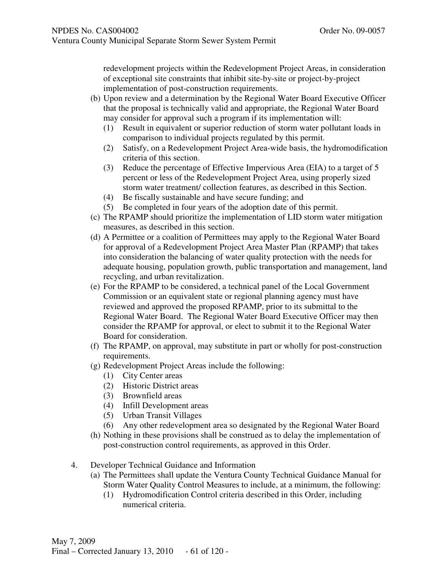redevelopment projects within the Redevelopment Project Areas, in consideration of exceptional site constraints that inhibit site-by-site or project-by-project implementation of post-construction requirements.

- (b) Upon review and a determination by the Regional Water Board Executive Officer that the proposal is technically valid and appropriate, the Regional Water Board may consider for approval such a program if its implementation will:
	- (1) Result in equivalent or superior reduction of storm water pollutant loads in comparison to individual projects regulated by this permit.
	- (2) Satisfy, on a Redevelopment Project Area-wide basis, the hydromodification criteria of this section.
	- (3) Reduce the percentage of Effective Impervious Area (EIA) to a target of 5 percent or less of the Redevelopment Project Area, using properly sized storm water treatment/ collection features, as described in this Section.
	- (4) Be fiscally sustainable and have secure funding; and
	- (5) Be completed in four years of the adoption date of this permit.
- (c) The RPAMP should prioritize the implementation of LID storm water mitigation measures, as described in this section.
- (d) A Permittee or a coalition of Permittees may apply to the Regional Water Board for approval of a Redevelopment Project Area Master Plan (RPAMP) that takes into consideration the balancing of water quality protection with the needs for adequate housing, population growth, public transportation and management, land recycling, and urban revitalization.
- (e) For the RPAMP to be considered, a technical panel of the Local Government Commission or an equivalent state or regional planning agency must have reviewed and approved the proposed RPAMP, prior to its submittal to the Regional Water Board. The Regional Water Board Executive Officer may then consider the RPAMP for approval, or elect to submit it to the Regional Water Board for consideration.
- (f) The RPAMP, on approval, may substitute in part or wholly for post-construction requirements.
- (g) Redevelopment Project Areas include the following:
	- (1) City Center areas
	- (2) Historic District areas
	- (3) Brownfield areas
	- (4) Infill Development areas
	- (5) Urban Transit Villages
	- (6) Any other redevelopment area so designated by the Regional Water Board
- (h) Nothing in these provisions shall be construed as to delay the implementation of post-construction control requirements, as approved in this Order.
- 4. Developer Technical Guidance and Information
	- (a) The Permittees shall update the Ventura County Technical Guidance Manual for Storm Water Quality Control Measures to include, at a minimum, the following:
		- (1) Hydromodification Control criteria described in this Order, including numerical criteria.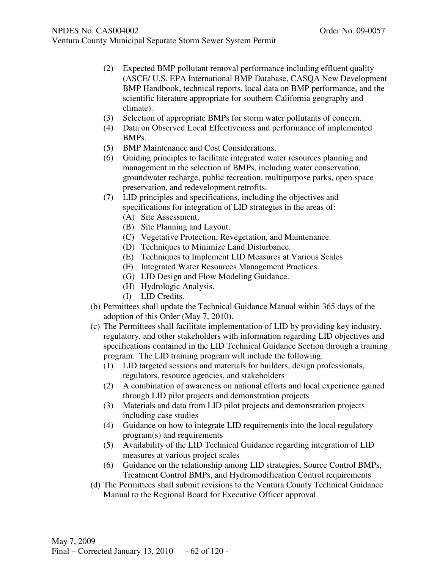- (2) Expected BMP pollutant removal performance including effluent quality (ASCE/ U.S. EPA International BMP Database, CASQA New Development BMP Handbook, technical reports, local data on BMP performance, and the scientific literature appropriate for southern California geography and climate).
- (3) Selection of appropriate BMPs for storm water pollutants of concern.
- (4) Data on Observed Local Effectiveness and performance of implemented BMPs.
- (5) BMP Maintenance and Cost Considerations.
- (6) Guiding principles to facilitate integrated water resources planning and management in the selection of BMPs, including water conservation, groundwater recharge, public recreation, multipurpose parks, open space preservation, and redevelopment retrofits.
- (7) LID principles and specifications, including the objectives and specifications for integration of LID strategies in the areas of:
	- (A) Site Assessment.
	- (B) Site Planning and Layout.
	- (C) Vegetative Protection, Revegetation, and Maintenance.
	- (D) Techniques to Minimize Land Disturbance.
	- (E) Techniques to Implement LID Measures at Various Scales
	- (F) Integrated Water Resources Management Practices.
	- (G) LID Design and Flow Modeling Guidance.
	- (H) Hydrologic Analysis.
	- (I) LID Credits.
- (b) Permittees shall update the Technical Guidance Manual within 365 days of the adoption of this Order (May 7, 2010).
- (c) The Permittees shall facilitate implementation of LID by providing key industry, regulatory, and other stakeholders with information regarding LID objectives and specifications contained in the LID Technical Guidance Section through a training program. The LID training program will include the following:
	- (1) LID targeted sessions and materials for builders, design professionals, regulators, resource agencies, and stakeholders
	- (2) A combination of awareness on national efforts and local experience gained through LID pilot projects and demonstration projects
	- (3) Materials and data from LID pilot projects and demonstration projects including case studies
	- (4) Guidance on how to integrate LID requirements into the local regulatory program(s) and requirements
	- (5) Availability of the LID Technical Guidance regarding integration of LID measures at various project scales
	- (6) Guidance on the relationship among LID strategies, Source Control BMPs, Treatment Control BMPs, and Hydromodification Control requirements
- (d) The Permittees shall submit revisions to the Ventura County Technical Guidance Manual to the Regional Board for Executive Officer approval.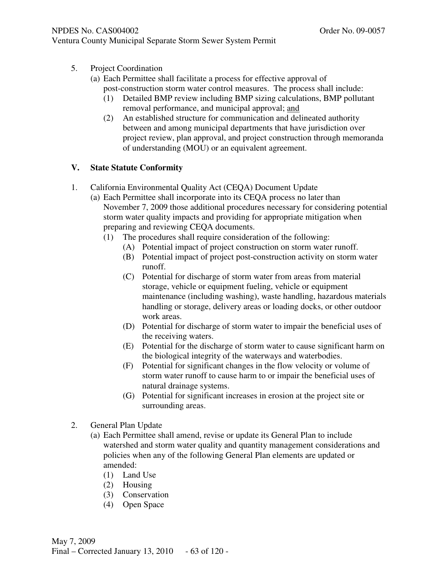- Ventura County Municipal Separate Storm Sewer System Permit
	- 5. Project Coordination
		- (a) Each Permittee shall facilitate a process for effective approval of post-construction storm water control measures. The process shall include:
			- (1) Detailed BMP review including BMP sizing calculations, BMP pollutant removal performance, and municipal approval; and
			- (2) An established structure for communication and delineated authority between and among municipal departments that have jurisdiction over project review, plan approval, and project construction through memoranda of understanding (MOU) or an equivalent agreement.

# **V. State Statute Conformity**

- 1. California Environmental Quality Act (CEQA) Document Update
	- (a) Each Permittee shall incorporate into its CEQA process no later than November 7, 2009 those additional procedures necessary for considering potential storm water quality impacts and providing for appropriate mitigation when preparing and reviewing CEQA documents.
		- (1) The procedures shall require consideration of the following:
			- (A) Potential impact of project construction on storm water runoff.
			- (B) Potential impact of project post-construction activity on storm water runoff.
			- (C) Potential for discharge of storm water from areas from material storage, vehicle or equipment fueling, vehicle or equipment maintenance (including washing), waste handling, hazardous materials handling or storage, delivery areas or loading docks, or other outdoor work areas.
			- (D) Potential for discharge of storm water to impair the beneficial uses of the receiving waters.
			- (E) Potential for the discharge of storm water to cause significant harm on the biological integrity of the waterways and waterbodies.
			- (F) Potential for significant changes in the flow velocity or volume of storm water runoff to cause harm to or impair the beneficial uses of natural drainage systems.
			- (G) Potential for significant increases in erosion at the project site or surrounding areas.
- 2. General Plan Update
	- (a) Each Permittee shall amend, revise or update its General Plan to include watershed and storm water quality and quantity management considerations and policies when any of the following General Plan elements are updated or amended:
		- (1) Land Use
		- (2) Housing
		- (3) Conservation
		- (4) Open Space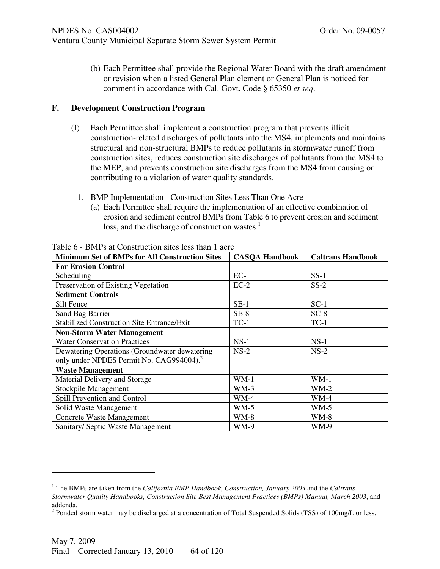(b) Each Permittee shall provide the Regional Water Board with the draft amendment or revision when a listed General Plan element or General Plan is noticed for comment in accordance with Cal. Govt. Code § 65350 *et seq*.

# **F. Development Construction Program**

- (I) Each Permittee shall implement a construction program that prevents illicit construction-related discharges of pollutants into the MS4, implements and maintains structural and non-structural BMPs to reduce pollutants in stormwater runoff from construction sites, reduces construction site discharges of pollutants from the MS4 to the MEP, and prevents construction site discharges from the MS4 from causing or contributing to a violation of water quality standards.
	- 1. BMP Implementation Construction Sites Less Than One Acre
		- (a) Each Permittee shall require the implementation of an effective combination of erosion and sediment control BMPs from Table 6 to prevent erosion and sediment loss, and the discharge of construction wastes.<sup>1</sup>

| <b>Minimum Set of BMPs for All Construction Sites</b> | <b>CASQA Handbook</b> | <b>Caltrans Handbook</b> |
|-------------------------------------------------------|-----------------------|--------------------------|
| <b>For Erosion Control</b>                            |                       |                          |
| Scheduling                                            | $EC-1$                | $SS-1$                   |
| Preservation of Existing Vegetation                   | $EC-2$                | $SS-2$                   |
| <b>Sediment Controls</b>                              |                       |                          |
| Silt Fence                                            | $SE-1$                | $SC-1$                   |
| Sand Bag Barrier                                      | $SE-8$                | $SC-8$                   |
| <b>Stabilized Construction Site Entrance/Exit</b>     | $TC-1$                | $TC-1$                   |
| <b>Non-Storm Water Management</b>                     |                       |                          |
| <b>Water Conservation Practices</b>                   | $NS-1$                | $NS-1$                   |
| Dewatering Operations (Groundwater dewatering         | $NS-2$                | $NS-2$                   |
| only under NPDES Permit No. CAG994004). <sup>2</sup>  |                       |                          |
| <b>Waste Management</b>                               |                       |                          |
| Material Delivery and Storage                         | $WM-1$                | $WM-1$                   |
| Stockpile Management                                  | $WM-3$                | $WM-2$                   |
| Spill Prevention and Control                          | $WM-4$                | $WM-4$                   |
| Solid Waste Management                                | $WM-5$                | $WM-5$                   |
| <b>Concrete Waste Management</b>                      | $WM-8$                | $WM-8$                   |
| Sanitary/ Septic Waste Management                     | <b>WM-9</b>           | <b>WM-9</b>              |

Table 6 - BMPs at Construction sites less than 1 acre

-

<sup>1</sup> The BMPs are taken from the *California BMP Handbook, Construction, January 2003* and the *Caltrans Stormwater Quality Handbooks, Construction Site Best Management Practices (BMPs) Manual, March 2003*, and addenda.

 $2$  Ponded storm water may be discharged at a concentration of Total Suspended Solids (TSS) of 100mg/L or less.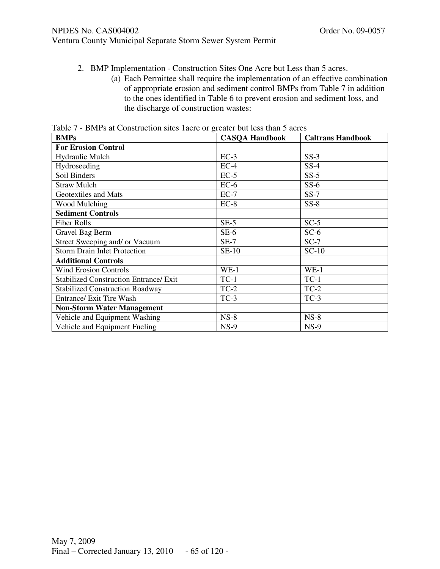Ventura County Municipal Separate Storm Sewer System Permit

- 2. BMP Implementation Construction Sites One Acre but Less than 5 acres.
	- (a) Each Permittee shall require the implementation of an effective combination of appropriate erosion and sediment control BMPs from Table 7 in addition to the ones identified in Table 6 to prevent erosion and sediment loss, and the discharge of construction wastes:

| <b>BMPs</b>                                   | <b>CASQA Handbook</b> | <b>Caltrans Handbook</b> |
|-----------------------------------------------|-----------------------|--------------------------|
| <b>For Erosion Control</b>                    |                       |                          |
| Hydraulic Mulch                               | $EC-3$                | $SS-3$                   |
| Hydroseeding                                  | $EC-4$                | $SS-4$                   |
| Soil Binders                                  | $EC-5$                | $SS-5$                   |
| <b>Straw Mulch</b>                            | $EC-6$                | $SS-6$                   |
| Geotextiles and Mats                          | $EC-7$                | $SS-7$                   |
| Wood Mulching                                 | $EC-8$                | $SS-8$                   |
| <b>Sediment Controls</b>                      |                       |                          |
| <b>Fiber Rolls</b>                            | $SE-5$                | $SC-5$                   |
| Gravel Bag Berm                               | $SE-6$                | $SC-6$                   |
| Street Sweeping and/ or Vacuum                | $SE-7$                | $SC-7$                   |
| <b>Storm Drain Inlet Protection</b>           | $SE-10$               | $SC-10$                  |
| <b>Additional Controls</b>                    |                       |                          |
| <b>Wind Erosion Controls</b>                  | $WE-1$                | $WE-1$                   |
| <b>Stabilized Construction Entrance/ Exit</b> | $TC-1$                | $TC-1$                   |
| <b>Stabilized Construction Roadway</b>        | $TC-2$                | $TC-2$                   |
| <b>Entrance/ Exit Tire Wash</b>               | $TC-3$                | $TC-3$                   |
| <b>Non-Storm Water Management</b>             |                       |                          |
| Vehicle and Equipment Washing                 | $NS-8$                | $NS-8$                   |
| Vehicle and Equipment Fueling                 | $NS-9$                | $NS-9$                   |

Table 7 - BMPs at Construction sites 1acre or greater but less than 5 acres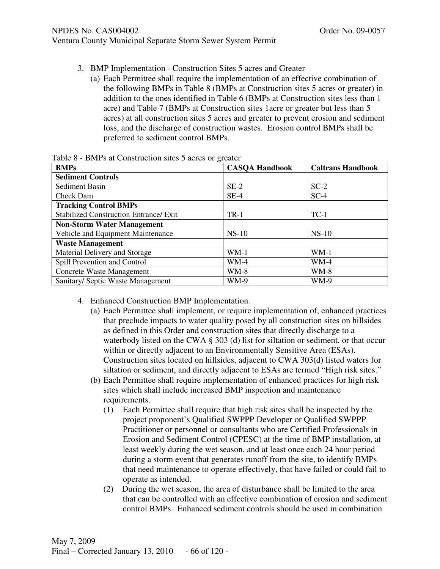#### NPDES No. CAS004002 COMPUTER NO. 09-0057

Ventura County Municipal Separate Storm Sewer System Permit

- 3. BMP Implementation Construction Sites 5 acres and Greater
	- (a) Each Permittee shall require the implementation of an effective combination of the following BMPs in Table 8 (BMPs at Construction sites 5 acres or greater) in addition to the ones identified in Table 6 (BMPs at Construction sites less than 1 acre) and Table 7 (BMPs at Construction sites 1acre or greater but less than 5 acres) at all construction sites 5 acres and greater to prevent erosion and sediment loss, and the discharge of construction wastes. Erosion control BMPs shall be preferred to sediment control BMPs.

| <b>BMPs</b>                                   | <b>CASOA Handbook</b> | <b>Caltrans Handbook</b> |
|-----------------------------------------------|-----------------------|--------------------------|
| <b>Sediment Controls</b>                      |                       |                          |
| Sediment Basin                                | $SE-2$                | $SC-2$                   |
| Check Dam                                     | $SE-4$                | $SC-4$                   |
| <b>Tracking Control BMPs</b>                  |                       |                          |
| <b>Stabilized Construction Entrance/ Exit</b> | $TR-1$                | $TC-1$                   |
| <b>Non-Storm Water Management</b>             |                       |                          |
| Vehicle and Equipment Maintenance             | $NS-10$               | $NS-10$                  |
| <b>Waste Management</b>                       |                       |                          |
| Material Delivery and Storage                 | $WM-1$                | $WM-1$                   |
| Spill Prevention and Control                  | $WM-4$                | $WM-4$                   |
| <b>Concrete Waste Management</b>              | $WM-8$                | $WM-8$                   |
| Sanitary/ Septic Waste Management             | <b>WM-9</b>           | <b>WM-9</b>              |

Table 8 - BMPs at Construction sites 5 acres or greater

- 4. Enhanced Construction BMP Implementation.
	- (a) Each Permittee shall implement, or require implementation of, enhanced practices that preclude impacts to water quality posed by all construction sites on hillsides as defined in this Order and construction sites that directly discharge to a waterbody listed on the CWA § 303 (d) list for siltation or sediment, or that occur within or directly adjacent to an Environmentally Sensitive Area (ESAs). Construction sites located on hillsides, adjacent to CWA 303(d) listed waters for siltation or sediment, and directly adjacent to ESAs are termed "High risk sites."
	- (b) Each Permittee shall require implementation of enhanced practices for high risk sites which shall include increased BMP inspection and maintenance requirements.
		- (1) Each Permittee shall require that high risk sites shall be inspected by the project proponent's Qualified SWPPP Developer or Qualified SWPPP Practitioner or personnel or consultants who are Certified Professionals in Erosion and Sediment Control (CPESC) at the time of BMP installation, at least weekly during the wet season, and at least once each 24 hour period during a storm event that generates runoff from the site, to identify BMPs that need maintenance to operate effectively, that have failed or could fail to operate as intended.
		- (2) During the wet season, the area of disturbance shall be limited to the area that can be controlled with an effective combination of erosion and sediment control BMPs. Enhanced sediment controls should be used in combination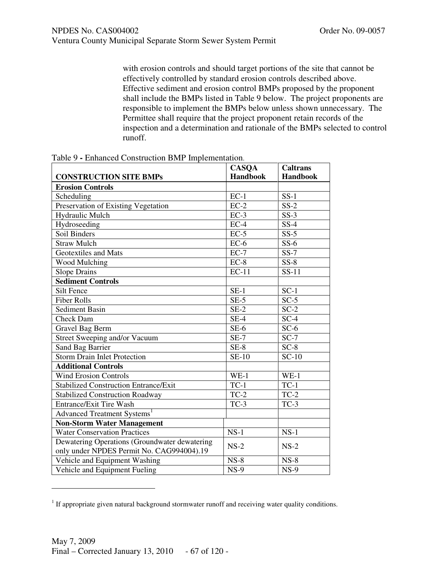with erosion controls and should target portions of the site that cannot be effectively controlled by standard erosion controls described above. Effective sediment and erosion control BMPs proposed by the proponent shall include the BMPs listed in Table 9 below. The project proponents are responsible to implement the BMPs below unless shown unnecessary. The Permittee shall require that the project proponent retain records of the inspection and a determination and rationale of the BMPs selected to control runoff.

|                                               | <b>CASQA</b>    | <b>Caltrans</b>   |
|-----------------------------------------------|-----------------|-------------------|
| <b>CONSTRUCTION SITE BMPs</b>                 | <b>Handbook</b> | <b>Handbook</b>   |
| <b>Erosion Controls</b>                       |                 |                   |
| Scheduling                                    | $EC-1$          | $SS-1$            |
| Preservation of Existing Vegetation           | $EC-2$          | $\overline{SS-2}$ |
| Hydraulic Mulch                               | $EC-3$          | $SS-3$            |
| Hydroseeding                                  | $EC-4$          | $SS-4$            |
| Soil Binders                                  | $EC-5$          | $\overline{SS-5}$ |
| <b>Straw Mulch</b>                            | $EC-6$          | $SS-6$            |
| <b>Geotextiles and Mats</b>                   | $EC-7$          | $SS-7$            |
| Wood Mulching                                 | $EC-8$          | $SS-8$            |
| <b>Slope Drains</b>                           | $EC-11$         | $SS-11$           |
| <b>Sediment Controls</b>                      |                 |                   |
| <b>Silt Fence</b>                             | $SE-1$          | $SC-1$            |
| <b>Fiber Rolls</b>                            | $SE-5$          | $SC-5$            |
| <b>Sediment Basin</b>                         | $SE-2$          | $SC-2$            |
| <b>Check Dam</b>                              | $SE-4$          | $SC-4$            |
| <b>Gravel Bag Berm</b>                        | $SE-6$          | $SC-6$            |
| <b>Street Sweeping and/or Vacuum</b>          | $SE-7$          | $SC-7$            |
| Sand Bag Barrier                              | $SE-8$          | $SC-8$            |
| <b>Storm Drain Inlet Protection</b>           | <b>SE-10</b>    | $SC-10$           |
| <b>Additional Controls</b>                    |                 |                   |
| <b>Wind Erosion Controls</b>                  | $WE-1$          | $WE-1$            |
| <b>Stabilized Construction Entrance/Exit</b>  | $TC-1$          | $TC-1$            |
| <b>Stabilized Construction Roadway</b>        | $TC-2$          | $TC-2$            |
| <b>Entrance/Exit Tire Wash</b>                | $TC-3$          | $TC-3$            |
| Advanced Treatment Systems <sup>1</sup>       |                 |                   |
| <b>Non-Storm Water Management</b>             |                 |                   |
| <b>Water Conservation Practices</b>           | $NS-1$          | $NS-1$            |
| Dewatering Operations (Groundwater dewatering | $NS-2$          | $NS-2$            |
| only under NPDES Permit No. CAG994004).19     |                 |                   |
| Vehicle and Equipment Washing                 | $NS-8$          | $NS-8$            |
| Vehicle and Equipment Fueling                 | $NS-9$          | $NS-9$            |

Table 9 **-** Enhanced Construction BMP Implementation.

-

 $<sup>1</sup>$  If appropriate given natural background stormwater runoff and receiving water quality conditions.</sup>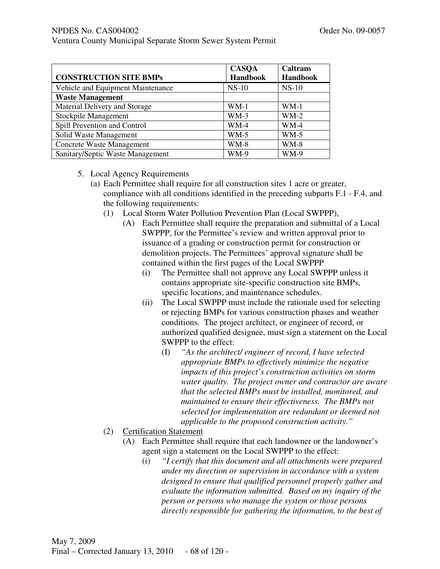Ventura County Municipal Separate Storm Sewer System Permit

|                                   | <b>CASQA</b>    | <b>Caltrans</b> |
|-----------------------------------|-----------------|-----------------|
| <b>CONSTRUCTION SITE BMPs</b>     | <b>Handbook</b> | <b>Handbook</b> |
| Vehicle and Equipment Maintenance | $NS-10$         | $NS-10$         |
| <b>Waste Management</b>           |                 |                 |
| Material Delivery and Storage     | $WM-1$          | $WM-1$          |
| Stockpile Management              | $WM-3$          | $WM-2$          |
| Spill Prevention and Control      | WM-4            | <b>WM-4</b>     |
| Solid Waste Management            | $WM-5$          | $WM-5$          |
| <b>Concrete Waste Management</b>  | <b>WM-8</b>     | $WM-8$          |
| Sanitary/Septic Waste Management  | <b>WM-9</b>     | <b>WM-9</b>     |

### 5. Local Agency Requirements

- (a) Each Permittee shall require for all construction sites 1 acre or greater, compliance with all conditions identified in the preceding subparts F.1 - F.4, and the following requirements:
	- (1) Local Storm Water Pollution Prevention Plan (Local SWPPP),
		- (A) Each Permittee shall require the preparation and submittal of a Local SWPPP, for the Permittee's review and written approval prior to issuance of a grading or construction permit for construction or demolition projects. The Permittees' approval signature shall be contained within the first pages of the Local SWPPP
			- (i) The Permittee shall not approve any Local SWPPP unless it contains appropriate site-specific construction site BMPs, specific locations, and maintenance schedules.
			- (ii) The Local SWPPP must include the rationale used for selecting or rejecting BMPs for various construction phases and weather conditions. The project architect, or engineer of record, or authorized qualified designee, must sign a statement on the Local SWPPP to the effect:
				- (I) *"As the architect/ engineer of record, I have selected appropriate BMPs to effectively minimize the negative impacts of this project's construction activities on storm water quality. The project owner and contractor are aware that the selected BMPs must be installed, monitored, and maintained to ensure their effectiveness. The BMPs not selected for implementation are redundant or deemed not applicable to the proposed construction activity."*
	- (2) Certification Statement
		- (A) Each Permittee shall require that each landowner or the landowner's agent sign a statement on the Local SWPPP to the effect:
			- (i) *"I certify that this document and all attachments were prepared under my direction or supervision in accordance with a system designed to ensure that qualified personnel properly gather and evaluate the information submitted. Based on my inquiry of the person or persons who manage the system or those persons directly responsible for gathering the information, to the best of*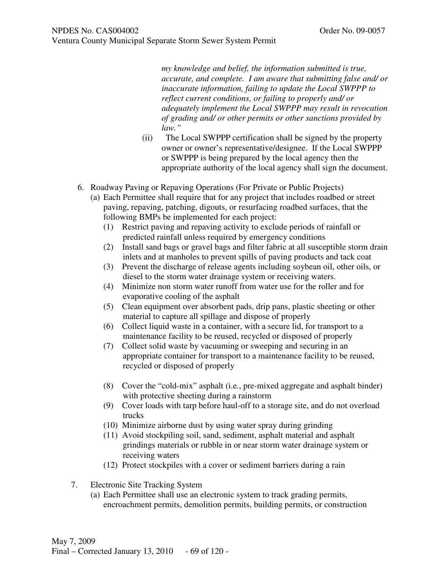*my knowledge and belief, the information submitted is true, accurate, and complete. I am aware that submitting false and/ or inaccurate information, failing to update the Local SWPPP to reflect current conditions, or failing to properly and/ or adequately implement the Local SWPPP may result in revocation of grading and/ or other permits or other sanctions provided by law."* 

- (ii) The Local SWPPP certification shall be signed by the property owner or owner's representative/designee. If the Local SWPPP or SWPPP is being prepared by the local agency then the appropriate authority of the local agency shall sign the document.
- 6. Roadway Paving or Repaving Operations (For Private or Public Projects)
	- (a) Each Permittee shall require that for any project that includes roadbed or street paving, repaving, patching, digouts, or resurfacing roadbed surfaces, that the following BMPs be implemented for each project:
		- (1) Restrict paving and repaving activity to exclude periods of rainfall or predicted rainfall unless required by emergency conditions
		- (2) Install sand bags or gravel bags and filter fabric at all susceptible storm drain inlets and at manholes to prevent spills of paving products and tack coat
		- (3) Prevent the discharge of release agents including soybean oil, other oils, or diesel to the storm water drainage system or receiving waters.
		- (4) Minimize non storm water runoff from water use for the roller and for evaporative cooling of the asphalt
		- (5) Clean equipment over absorbent pads, drip pans, plastic sheeting or other material to capture all spillage and dispose of properly
		- (6) Collect liquid waste in a container, with a secure lid, for transport to a maintenance facility to be reused, recycled or disposed of properly
		- (7) Collect solid waste by vacuuming or sweeping and securing in an appropriate container for transport to a maintenance facility to be reused, recycled or disposed of properly
		- (8) Cover the "cold-mix" asphalt (i.e., pre-mixed aggregate and asphalt binder) with protective sheeting during a rainstorm
		- (9) Cover loads with tarp before haul-off to a storage site, and do not overload trucks
		- (10) Minimize airborne dust by using water spray during grinding
		- (11) Avoid stockpiling soil, sand, sediment, asphalt material and asphalt grindings materials or rubble in or near storm water drainage system or receiving waters
		- (12) Protect stockpiles with a cover or sediment barriers during a rain
- 7. Electronic Site Tracking System
	- (a) Each Permittee shall use an electronic system to track grading permits, encroachment permits, demolition permits, building permits, or construction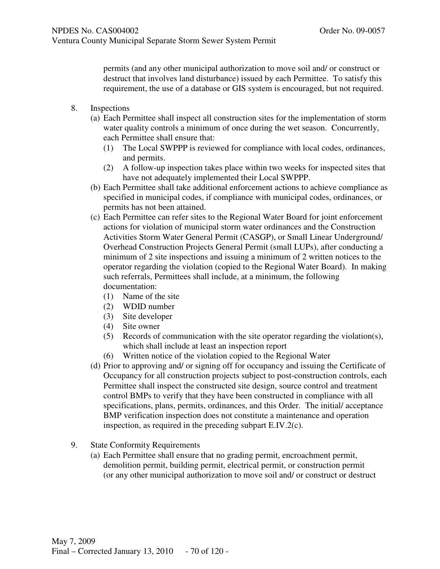permits (and any other municipal authorization to move soil and/ or construct or destruct that involves land disturbance) issued by each Permittee. To satisfy this requirement, the use of a database or GIS system is encouraged, but not required.

- 8. Inspections
	- (a) Each Permittee shall inspect all construction sites for the implementation of storm water quality controls a minimum of once during the wet season. Concurrently, each Permittee shall ensure that:
		- (1) The Local SWPPP is reviewed for compliance with local codes, ordinances, and permits.
		- (2) A follow-up inspection takes place within two weeks for inspected sites that have not adequately implemented their Local SWPPP.
	- (b) Each Permittee shall take additional enforcement actions to achieve compliance as specified in municipal codes, if compliance with municipal codes, ordinances, or permits has not been attained.
	- (c) Each Permittee can refer sites to the Regional Water Board for joint enforcement actions for violation of municipal storm water ordinances and the Construction Activities Storm Water General Permit (CASGP), or Small Linear Underground/ Overhead Construction Projects General Permit (small LUPs), after conducting a minimum of 2 site inspections and issuing a minimum of 2 written notices to the operator regarding the violation (copied to the Regional Water Board). In making such referrals, Permittees shall include, at a minimum, the following documentation:
		- (1) Name of the site
		- (2) WDID number
		- (3) Site developer
		- (4) Site owner
		- $(5)$  Records of communication with the site operator regarding the violation(s), which shall include at least an inspection report
		- (6) Written notice of the violation copied to the Regional Water
	- (d) Prior to approving and/ or signing off for occupancy and issuing the Certificate of Occupancy for all construction projects subject to post-construction controls, each Permittee shall inspect the constructed site design, source control and treatment control BMPs to verify that they have been constructed in compliance with all specifications, plans, permits, ordinances, and this Order. The initial/ acceptance BMP verification inspection does not constitute a maintenance and operation inspection, as required in the preceding subpart E.IV.2(c).
- 9. State Conformity Requirements
	- (a) Each Permittee shall ensure that no grading permit, encroachment permit, demolition permit, building permit, electrical permit, or construction permit (or any other municipal authorization to move soil and/ or construct or destruct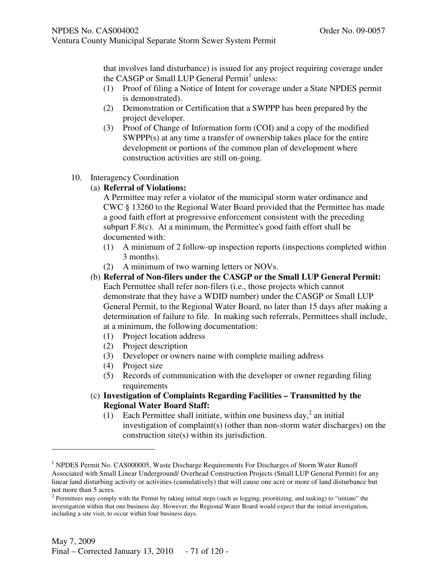that involves land disturbance) is issued for any project requiring coverage under the CASGP or Small LUP General Permit<sup>1</sup> unless:

- (1) Proof of filing a Notice of Intent for coverage under a State NPDES permit is demonstrated).
- (2) Demonstration or Certification that a SWPPP has been prepared by the project developer.
- (3) Proof of Change of Information form (COI) and a copy of the modified SWPPP(s) at any time a transfer of ownership takes place for the entire development or portions of the common plan of development where construction activities are still on-going.

### 10. Interagency Coordination

(a) **Referral of Violations:** 

A Permittee may refer a violator of the municipal storm water ordinance and CWC § 13260 to the Regional Water Board provided that the Permittee has made a good faith effort at progressive enforcement consistent with the preceding subpart F.8(c). At a minimum, the Permittee's good faith effort shall be documented with:

- (1) A minimum of 2 follow-up inspection reports (inspections completed within 3 months).
- (2) A minimum of two warning letters or NOVs.
- (b) **Referral of Non-filers under the CASGP or the Small LUP General Permit:**

Each Permittee shall refer non-filers (i.e., those projects which cannot demonstrate that they have a WDID number) under the CASGP or Small LUP General Permit, to the Regional Water Board, no later than 15 days after making a determination of failure to file. In making such referrals, Permittees shall include, at a minimum, the following documentation:

- (1) Project location address
- (2) Project description
- (3) Developer or owners name with complete mailing address
- (4) Project size

-

- (5) Records of communication with the developer or owner regarding filing requirements
- (c) **Investigation of Complaints Regarding Facilities Transmitted by the Regional Water Board Staff:** 
	- (1) Each Permittee shall initiate, within one business day,<sup>2</sup> an initial investigation of complaint(s) (other than non-storm water discharges) on the construction site(s) within its jurisdiction.

<sup>&</sup>lt;sup>1</sup> NPDES Permit No. CAS000005, Waste Discharge Requirements For Discharges of Storm Water Runoff Associated with Small Linear Underground/ Overhead Construction Projects (Small LUP General Permit) for any linear land disturbing activity or activities (cumulatively) that will cause one acre or more of land disturbance but not more than 5 acres.

 $2$  Permittees may comply with the Permit by taking initial steps (such as logging, prioritizing, and tasking) to "initiate" the investigation within that one business day. However, the Regional Water Board would expect that the initial investigation, including a site visit, to occur within four business days.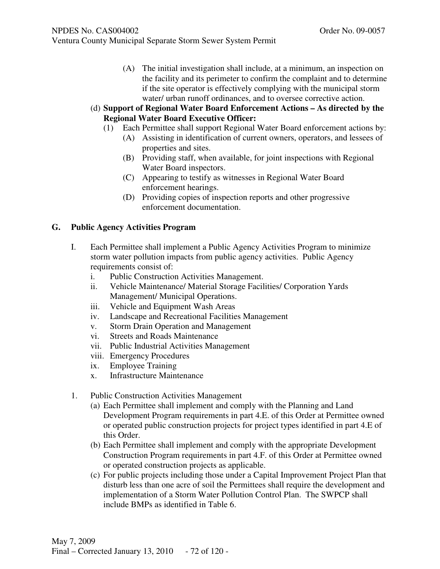- Ventura County Municipal Separate Storm Sewer System Permit
	- (A) The initial investigation shall include, at a minimum, an inspection on the facility and its perimeter to confirm the complaint and to determine if the site operator is effectively complying with the municipal storm water/ urban runoff ordinances, and to oversee corrective action.

### (d) **Support of Regional Water Board Enforcement Actions – As directed by the Regional Water Board Executive Officer:**

- (1) Each Permittee shall support Regional Water Board enforcement actions by:
	- (A) Assisting in identification of current owners, operators, and lessees of properties and sites.
	- (B) Providing staff, when available, for joint inspections with Regional Water Board inspectors.
	- (C) Appearing to testify as witnesses in Regional Water Board enforcement hearings.
	- (D) Providing copies of inspection reports and other progressive enforcement documentation.

## **G. Public Agency Activities Program**

- I. Each Permittee shall implement a Public Agency Activities Program to minimize storm water pollution impacts from public agency activities. Public Agency requirements consist of:
	- i. Public Construction Activities Management.
	- ii. Vehicle Maintenance/ Material Storage Facilities/ Corporation Yards Management/ Municipal Operations.
	- iii. Vehicle and Equipment Wash Areas
	- iv. Landscape and Recreational Facilities Management
	- v. Storm Drain Operation and Management
	- vi. Streets and Roads Maintenance
	- vii. Public Industrial Activities Management
	- viii. Emergency Procedures
	- ix. Employee Training
	- x. Infrastructure Maintenance
- 1. Public Construction Activities Management
	- (a) Each Permittee shall implement and comply with the Planning and Land Development Program requirements in part 4.E. of this Order at Permittee owned or operated public construction projects for project types identified in part 4.E of this Order.
	- (b) Each Permittee shall implement and comply with the appropriate Development Construction Program requirements in part 4.F. of this Order at Permittee owned or operated construction projects as applicable.
	- (c) For public projects including those under a Capital Improvement Project Plan that disturb less than one acre of soil the Permittees shall require the development and implementation of a Storm Water Pollution Control Plan. The SWPCP shall include BMPs as identified in Table 6.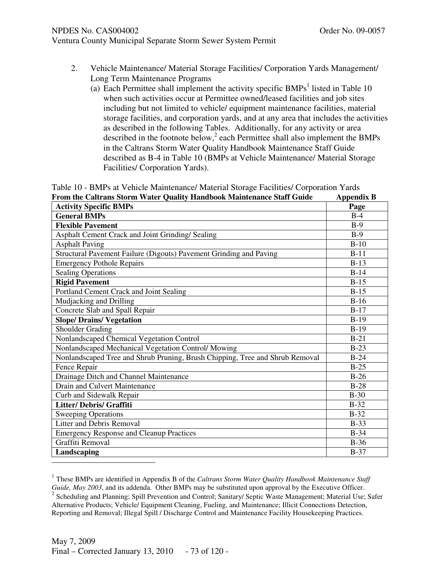# Ventura County Municipal Separate Storm Sewer System Permit

- 2. Vehicle Maintenance/ Material Storage Facilities/ Corporation Yards Management/ Long Term Maintenance Programs
	- (a) Each Permittee shall implement the activity specific  $BMPs<sup>1</sup>$  listed in Table 10 when such activities occur at Permittee owned/leased facilities and job sites including but not limited to vehicle/ equipment maintenance facilities, material storage facilities, and corporation yards, and at any area that includes the activities as described in the following Tables. Additionally, for any activity or area described in the footnote below,<sup>2</sup> each Permittee shall also implement the BMPs in the Caltrans Storm Water Quality Handbook Maintenance Staff Guide described as B-4 in Table 10 (BMPs at Vehicle Maintenance/ Material Storage Facilities/ Corporation Yards).

|  |  |  |  |                                                                        | Table 10 - BMPs at Vehicle Maintenance/ Material Storage Facilities/ Corporation Yards |                   |  |
|--|--|--|--|------------------------------------------------------------------------|----------------------------------------------------------------------------------------|-------------------|--|
|  |  |  |  | From the Caltrans Storm Water Quality Handbook Maintenance Staff Guide |                                                                                        | <b>Appendix B</b> |  |

| <b>Activity Specific BMPs</b>                                                | $\mathbf{H}$<br>Page |
|------------------------------------------------------------------------------|----------------------|
| <b>General BMPs</b>                                                          | $B-4$                |
| <b>Flexible Pavement</b>                                                     | $B-9$                |
| Asphalt Cement Crack and Joint Grinding/ Sealing                             | $B-9$                |
| <b>Asphalt Paving</b>                                                        | $B-10$               |
| Structural Pavement Failure (Digouts) Pavement Grinding and Paving           | $B-11$               |
| <b>Emergency Pothole Repairs</b>                                             | $B-13$               |
| <b>Sealing Operations</b>                                                    | $B-14$               |
| <b>Rigid Pavement</b>                                                        | $B-15$               |
| Portland Cement Crack and Joint Sealing                                      | $B-15$               |
| Mudjacking and Drilling                                                      | $B-16$               |
| Concrete Slab and Spall Repair                                               | $B-17$               |
| <b>Slope/ Drains/ Vegetation</b>                                             | $B-19$               |
| <b>Shoulder Grading</b>                                                      | $B-19$               |
| Nonlandscaped Chemical Vegetation Control                                    | $B-21$               |
| Nonlandscaped Mechanical Vegetation Control/ Mowing                          | $B-23$               |
| Nonlandscaped Tree and Shrub Pruning, Brush Chipping, Tree and Shrub Removal | $B-24$               |
| Fence Repair                                                                 | $B-25$               |
| Drainage Ditch and Channel Maintenance                                       | $B-26$               |
| Drain and Culvert Maintenance                                                | $B-28$               |
| Curb and Sidewalk Repair                                                     | $B-30$               |
| <b>Litter/Debris/Graffiti</b>                                                | $B-32$               |
| <b>Sweeping Operations</b>                                                   | $B-32$               |
| <b>Litter and Debris Removal</b>                                             | $B-33$               |
| <b>Emergency Response and Cleanup Practices</b>                              | $B-34$               |
| Graffiti Removal                                                             | $B-36$               |
| Landscaping                                                                  | $B-37$               |
|                                                                              |                      |

<sup>&</sup>lt;sup>1</sup> These BMPs are identified in Appendix B of the *Caltrans Storm Water Quality Handbook Maintenance Staff Guide, May 2003*, and its addenda. Other BMPs may be substituted upon approval by the Executive Officer. <sup>2</sup> Scheduling and Planning; Spill Prevention and Control; Sanitary/ Septic Waste Management; Material Use; Safer Alternative Products; Vehicle/ Equipment Cleaning, Fueling, and Maintenance; Illicit Connections Detection, Reporting and Removal; Illegal Spill / Discharge Control and Maintenance Facility Housekeeping Practices.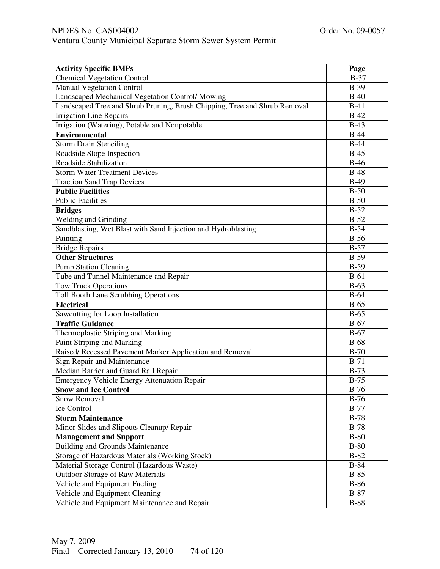# NPDES No. CAS004002 Order No. 09-0057

| Ventura County Municipal Separate Storm Sewer System Permit |  |  |  |  |
|-------------------------------------------------------------|--|--|--|--|
|-------------------------------------------------------------|--|--|--|--|

| <b>Activity Specific BMPs</b>                                             | Page              |
|---------------------------------------------------------------------------|-------------------|
| <b>Chemical Vegetation Control</b>                                        | $B-37$            |
| <b>Manual Vegetation Control</b>                                          | $B-39$            |
| Landscaped Mechanical Vegetation Control/ Mowing                          | $B-40$            |
| Landscaped Tree and Shrub Pruning, Brush Chipping, Tree and Shrub Removal | $B-41$            |
| <b>Irrigation Line Repairs</b>                                            | $B-42$            |
| Irrigation (Watering), Potable and Nonpotable                             | $B-43$            |
| <b>Environmental</b>                                                      | $B-44$            |
| <b>Storm Drain Stenciling</b>                                             | $B-44$            |
| Roadside Slope Inspection                                                 | $\overline{B-45}$ |
| Roadside Stabilization                                                    | $B-46$            |
| <b>Storm Water Treatment Devices</b>                                      | $B-48$            |
| <b>Traction Sand Trap Devices</b>                                         | $B-49$            |
| <b>Public Facilities</b>                                                  | $B-50$            |
| <b>Public Facilities</b>                                                  | $B-50$            |
| <b>Bridges</b>                                                            | $B-52$            |
| <b>Welding and Grinding</b>                                               | $B-52$            |
| Sandblasting, Wet Blast with Sand Injection and Hydroblasting             | $B-54$            |
| Painting                                                                  | $B-56$            |
| <b>Bridge Repairs</b>                                                     | $B-57$            |
| <b>Other Structures</b>                                                   | $B-59$            |
| <b>Pump Station Cleaning</b>                                              | $B-59$            |
| Tube and Tunnel Maintenance and Repair                                    | $B-61$            |
| <b>Tow Truck Operations</b>                                               | $B-63$            |
| Toll Booth Lane Scrubbing Operations                                      | $B-64$            |
| <b>Electrical</b>                                                         | $B-65$            |
| Sawcutting for Loop Installation                                          | $B-65$            |
| <b>Traffic Guidance</b>                                                   | $B-67$            |
| Thermoplastic Striping and Marking                                        | $B-67$            |
| Paint Striping and Marking                                                | $B-68$            |
| Raised/ Recessed Pavement Marker Application and Removal                  | $B-70$            |
| Sign Repair and Maintenance                                               | $B-71$            |
| Median Barrier and Guard Rail Repair                                      | $B-73$            |
| <b>Emergency Vehicle Energy Attenuation Repair</b>                        | $B-75$            |
| <b>Snow and Ice Control</b>                                               | $B-76$            |
| <b>Snow Removal</b>                                                       | $B-76$            |
| Ice Control                                                               | $B-77$            |
| <b>Storm Maintenance</b>                                                  | $B-78$            |
| Minor Slides and Slipouts Cleanup/ Repair                                 | $B-78$            |
| <b>Management and Support</b>                                             | $B-80$            |
| <b>Building and Grounds Maintenance</b>                                   | $B-80$            |
| Storage of Hazardous Materials (Working Stock)                            | $B-82$            |
| Material Storage Control (Hazardous Waste)                                | $B-84$            |
| <b>Outdoor Storage of Raw Materials</b>                                   | $B-85$            |
| Vehicle and Equipment Fueling                                             | $B-86$            |
| Vehicle and Equipment Cleaning                                            | $B-87$            |
| Vehicle and Equipment Maintenance and Repair                              | $B-88$            |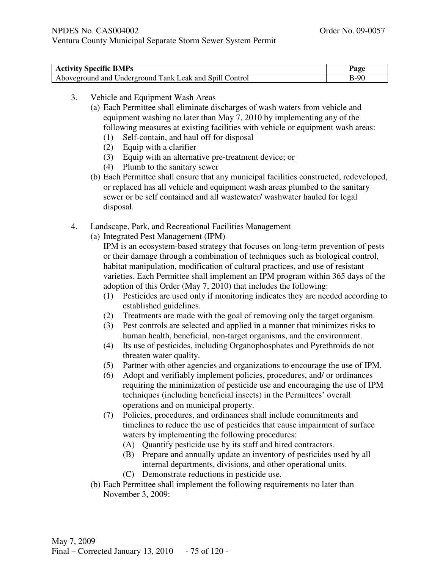| <b>Activity Specific BMPs</b>                           | Page   |
|---------------------------------------------------------|--------|
| Aboveground and Underground Tank Leak and Spill Control | $B-90$ |

- 3. Vehicle and Equipment Wash Areas
	- (a) Each Permittee shall eliminate discharges of wash waters from vehicle and equipment washing no later than May 7, 2010 by implementing any of the following measures at existing facilities with vehicle or equipment wash areas:
		- (1) Self-contain, and haul off for disposal
		- (2) Equip with a clarifier
		- (3) Equip with an alternative pre-treatment device;  $or$
		- (4) Plumb to the sanitary sewer
	- (b) Each Permittee shall ensure that any municipal facilities constructed, redeveloped, or replaced has all vehicle and equipment wash areas plumbed to the sanitary sewer or be self contained and all wastewater/ washwater hauled for legal disposal.
- 4. Landscape, Park, and Recreational Facilities Management
	- (a) Integrated Pest Management (IPM)

IPM is an ecosystem-based strategy that focuses on long-term prevention of pests or their damage through a combination of techniques such as biological control, habitat manipulation, modification of cultural practices, and use of resistant varieties. Each Permittee shall implement an IPM program within 365 days of the adoption of this Order (May 7, 2010) that includes the following:

- (1) Pesticides are used only if monitoring indicates they are needed according to established guidelines.
- (2) Treatments are made with the goal of removing only the target organism.
- (3) Pest controls are selected and applied in a manner that minimizes risks to human health, beneficial, non-target organisms, and the environment.
- (4) Its use of pesticides, including Organophosphates and Pyrethroids do not threaten water quality.
- (5) Partner with other agencies and organizations to encourage the use of IPM.
- (6) Adopt and verifiably implement policies, procedures, and/ or ordinances requiring the minimization of pesticide use and encouraging the use of IPM techniques (including beneficial insects) in the Permittees' overall operations and on municipal property.
- (7) Policies, procedures, and ordinances shall include commitments and timelines to reduce the use of pesticides that cause impairment of surface waters by implementing the following procedures:
	- (A) Quantify pesticide use by its staff and hired contractors.
	- (B) Prepare and annually update an inventory of pesticides used by all internal departments, divisions, and other operational units.
	- (C) Demonstrate reductions in pesticide use.
- (b) Each Permittee shall implement the following requirements no later than November 3, 2009: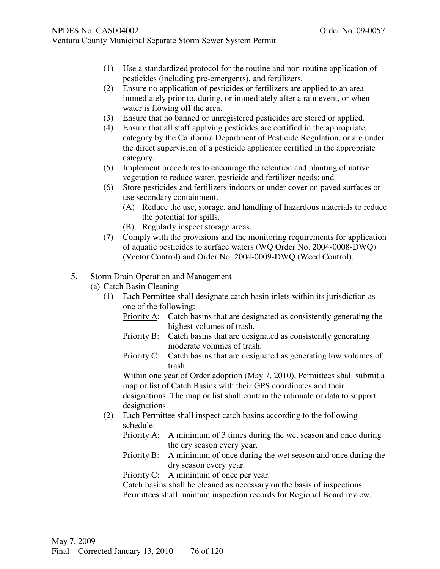- (1) Use a standardized protocol for the routine and non-routine application of pesticides (including pre-emergents), and fertilizers.
- (2) Ensure no application of pesticides or fertilizers are applied to an area immediately prior to, during, or immediately after a rain event, or when water is flowing off the area.
- (3) Ensure that no banned or unregistered pesticides are stored or applied.
- (4) Ensure that all staff applying pesticides are certified in the appropriate category by the California Department of Pesticide Regulation, or are under the direct supervision of a pesticide applicator certified in the appropriate category.
- (5) Implement procedures to encourage the retention and planting of native vegetation to reduce water, pesticide and fertilizer needs; and
- (6) Store pesticides and fertilizers indoors or under cover on paved surfaces or use secondary containment.
	- (A) Reduce the use, storage, and handling of hazardous materials to reduce the potential for spills.
	- (B) Regularly inspect storage areas.
- (7) Comply with the provisions and the monitoring requirements for application of aquatic pesticides to surface waters (WQ Order No. 2004-0008-DWQ) (Vector Control) and Order No. 2004-0009-DWQ (Weed Control).
- 5. Storm Drain Operation and Management
	- (a) Catch Basin Cleaning
		- (1) Each Permittee shall designate catch basin inlets within its jurisdiction as one of the following:
			- Priority A: Catch basins that are designated as consistently generating the highest volumes of trash.
			- Priority B: Catch basins that are designated as consistently generating moderate volumes of trash.
			- Priority C: Catch basins that are designated as generating low volumes of trash.

Within one year of Order adoption (May 7, 2010), Permittees shall submit a map or list of Catch Basins with their GPS coordinates and their designations. The map or list shall contain the rationale or data to support designations.

- (2) Each Permittee shall inspect catch basins according to the following schedule:
	- Priority A: A minimum of 3 times during the wet season and once during the dry season every year.
	- Priority B: A minimum of once during the wet season and once during the dry season every year.

Priority C: A minimum of once per year.

Catch basins shall be cleaned as necessary on the basis of inspections. Permittees shall maintain inspection records for Regional Board review.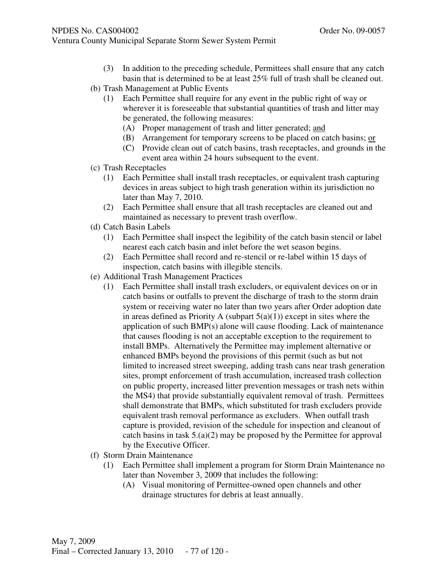- (3) In addition to the preceding schedule, Permittees shall ensure that any catch basin that is determined to be at least 25% full of trash shall be cleaned out.
- (b) Trash Management at Public Events
	- (1) Each Permittee shall require for any event in the public right of way or wherever it is foreseeable that substantial quantities of trash and litter may be generated, the following measures:
		- (A) Proper management of trash and litter generated; and
		- (B) Arrangement for temporary screens to be placed on catch basins; or
		- (C) Provide clean out of catch basins, trash receptacles, and grounds in the event area within 24 hours subsequent to the event.
- (c) Trash Receptacles
	- (1) Each Permittee shall install trash receptacles, or equivalent trash capturing devices in areas subject to high trash generation within its jurisdiction no later than May 7, 2010.
	- (2) Each Permittee shall ensure that all trash receptacles are cleaned out and maintained as necessary to prevent trash overflow.
- (d) Catch Basin Labels
	- (1) Each Permittee shall inspect the legibility of the catch basin stencil or label nearest each catch basin and inlet before the wet season begins.
	- (2) Each Permittee shall record and re-stencil or re-label within 15 days of inspection, catch basins with illegible stencils.
- (e) Additional Trash Management Practices
	- (1) Each Permittee shall install trash excluders, or equivalent devices on or in catch basins or outfalls to prevent the discharge of trash to the storm drain system or receiving water no later than two years after Order adoption date in areas defined as Priority A (subpart  $5(a)(1)$ ) except in sites where the application of such BMP(s) alone will cause flooding. Lack of maintenance that causes flooding is not an acceptable exception to the requirement to install BMPs. Alternatively the Permittee may implement alternative or enhanced BMPs beyond the provisions of this permit (such as but not limited to increased street sweeping, adding trash cans near trash generation sites, prompt enforcement of trash accumulation, increased trash collection on public property, increased litter prevention messages or trash nets within the MS4) that provide substantially equivalent removal of trash. Permittees shall demonstrate that BMPs, which substituted for trash excluders provide equivalent trash removal performance as excluders. When outfall trash capture is provided, revision of the schedule for inspection and cleanout of catch basins in task 5.(a)(2) may be proposed by the Permittee for approval by the Executive Officer.
- (f) Storm Drain Maintenance
	- (1) Each Permittee shall implement a program for Storm Drain Maintenance no later than November 3, 2009 that includes the following:
		- (A) Visual monitoring of Permittee-owned open channels and other drainage structures for debris at least annually.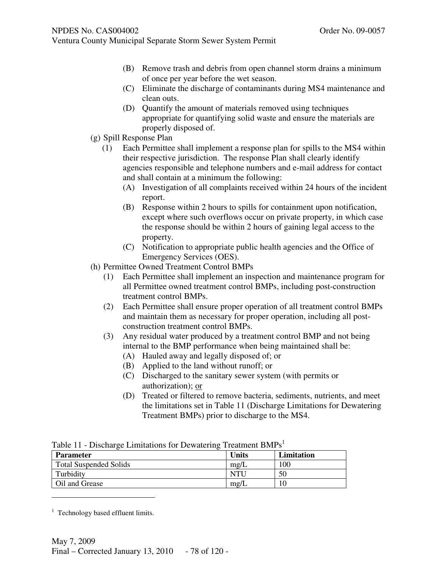- Ventura County Municipal Separate Storm Sewer System Permit
	- (B) Remove trash and debris from open channel storm drains a minimum of once per year before the wet season.
	- (C) Eliminate the discharge of contaminants during MS4 maintenance and clean outs.
	- (D) Quantify the amount of materials removed using techniques appropriate for quantifying solid waste and ensure the materials are properly disposed of.
	- (g) Spill Response Plan
		- (1) Each Permittee shall implement a response plan for spills to the MS4 within their respective jurisdiction. The response Plan shall clearly identify agencies responsible and telephone numbers and e-mail address for contact and shall contain at a minimum the following:
			- (A) Investigation of all complaints received within 24 hours of the incident report.
			- (B) Response within 2 hours to spills for containment upon notification, except where such overflows occur on private property, in which case the response should be within 2 hours of gaining legal access to the property.
			- (C) Notification to appropriate public health agencies and the Office of Emergency Services (OES).
	- (h) Permittee Owned Treatment Control BMPs
		- (1) Each Permittee shall implement an inspection and maintenance program for all Permittee owned treatment control BMPs, including post-construction treatment control BMPs.
		- (2) Each Permittee shall ensure proper operation of all treatment control BMPs and maintain them as necessary for proper operation, including all postconstruction treatment control BMPs.
		- (3) Any residual water produced by a treatment control BMP and not being internal to the BMP performance when being maintained shall be:
			- (A) Hauled away and legally disposed of; or
			- (B) Applied to the land without runoff; or
			- (C) Discharged to the sanitary sewer system (with permits or authorization); or
			- (D) Treated or filtered to remove bacteria, sediments, nutrients, and meet the limitations set in Table 11 (Discharge Limitations for Dewatering Treatment BMPs) prior to discharge to the MS4.

| <b>Parameter</b>              | Units         | Limitation |
|-------------------------------|---------------|------------|
| <b>Total Suspended Solids</b> | $m\text{g/L}$ | 00         |
| Turbidity                     | NTI           | 50         |
| Oil and Grease                | mg/L          |            |

Table 11 - Discharge Limitations for Dewatering Treatment  $RMPe<sup>1</sup>$ 

-

<sup>&</sup>lt;sup>1</sup> Technology based effluent limits.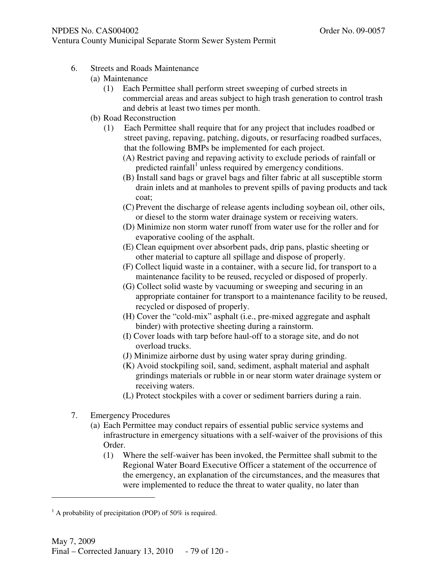- 6. Streets and Roads Maintenance
	- (a) Maintenance
		- (1) Each Permittee shall perform street sweeping of curbed streets in commercial areas and areas subject to high trash generation to control trash and debris at least two times per month.
	- (b) Road Reconstruction
		- (1) Each Permittee shall require that for any project that includes roadbed or street paving, repaving, patching, digouts, or resurfacing roadbed surfaces, that the following BMPs be implemented for each project.
			- (A) Restrict paving and repaving activity to exclude periods of rainfall or predicted rainfall<sup>1</sup> unless required by emergency conditions.
			- (B) Install sand bags or gravel bags and filter fabric at all susceptible storm drain inlets and at manholes to prevent spills of paving products and tack coat;
			- (C) Prevent the discharge of release agents including soybean oil, other oils, or diesel to the storm water drainage system or receiving waters.
			- (D) Minimize non storm water runoff from water use for the roller and for evaporative cooling of the asphalt.
			- (E) Clean equipment over absorbent pads, drip pans, plastic sheeting or other material to capture all spillage and dispose of properly.
			- (F) Collect liquid waste in a container, with a secure lid, for transport to a maintenance facility to be reused, recycled or disposed of properly.
			- (G) Collect solid waste by vacuuming or sweeping and securing in an appropriate container for transport to a maintenance facility to be reused, recycled or disposed of properly.
			- (H) Cover the "cold-mix" asphalt (i.e., pre-mixed aggregate and asphalt binder) with protective sheeting during a rainstorm.
			- (I) Cover loads with tarp before haul-off to a storage site, and do not overload trucks.
			- (J) Minimize airborne dust by using water spray during grinding.
			- (K) Avoid stockpiling soil, sand, sediment, asphalt material and asphalt grindings materials or rubble in or near storm water drainage system or receiving waters.
			- (L) Protect stockpiles with a cover or sediment barriers during a rain.
- 7. Emergency Procedures

-

- (a) Each Permittee may conduct repairs of essential public service systems and infrastructure in emergency situations with a self-waiver of the provisions of this Order.
	- (1) Where the self-waiver has been invoked, the Permittee shall submit to the Regional Water Board Executive Officer a statement of the occurrence of the emergency, an explanation of the circumstances, and the measures that were implemented to reduce the threat to water quality, no later than

 $<sup>1</sup>$  A probability of precipitation (POP) of 50% is required.</sup>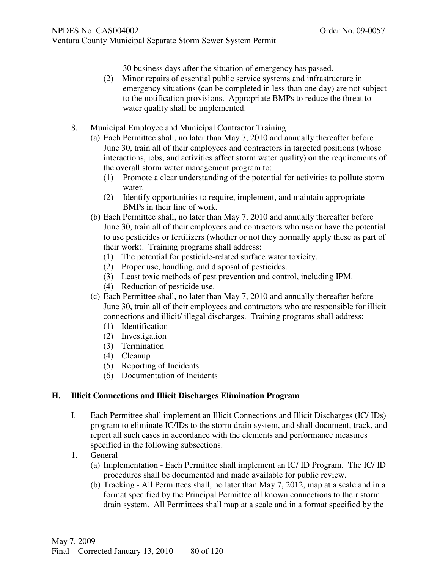30 business days after the situation of emergency has passed.

- (2) Minor repairs of essential public service systems and infrastructure in emergency situations (can be completed in less than one day) are not subject to the notification provisions. Appropriate BMPs to reduce the threat to water quality shall be implemented.
- 8. Municipal Employee and Municipal Contractor Training
	- (a) Each Permittee shall, no later than May 7, 2010 and annually thereafter before June 30, train all of their employees and contractors in targeted positions (whose interactions, jobs, and activities affect storm water quality) on the requirements of the overall storm water management program to:
		- (1) Promote a clear understanding of the potential for activities to pollute storm water.
		- (2) Identify opportunities to require, implement, and maintain appropriate BMPs in their line of work.
	- (b) Each Permittee shall, no later than May 7, 2010 and annually thereafter before June 30, train all of their employees and contractors who use or have the potential to use pesticides or fertilizers (whether or not they normally apply these as part of their work). Training programs shall address:
		- (1) The potential for pesticide-related surface water toxicity.
		- (2) Proper use, handling, and disposal of pesticides.
		- (3) Least toxic methods of pest prevention and control, including IPM.
		- (4) Reduction of pesticide use.
	- (c) Each Permittee shall, no later than May 7, 2010 and annually thereafter before June 30, train all of their employees and contractors who are responsible for illicit connections and illicit/ illegal discharges. Training programs shall address:
		- (1) Identification
		- (2) Investigation
		- (3) Termination
		- (4) Cleanup
		- (5) Reporting of Incidents
		- (6) Documentation of Incidents

## **H. Illicit Connections and Illicit Discharges Elimination Program**

- I. Each Permittee shall implement an Illicit Connections and Illicit Discharges (IC/ IDs) program to eliminate IC/IDs to the storm drain system, and shall document, track, and report all such cases in accordance with the elements and performance measures specified in the following subsections.
- 1. General
	- (a) Implementation Each Permittee shall implement an IC/ ID Program. The IC/ ID procedures shall be documented and made available for public review.
	- (b) Tracking All Permittees shall, no later than May 7, 2012, map at a scale and in a format specified by the Principal Permittee all known connections to their storm drain system. All Permittees shall map at a scale and in a format specified by the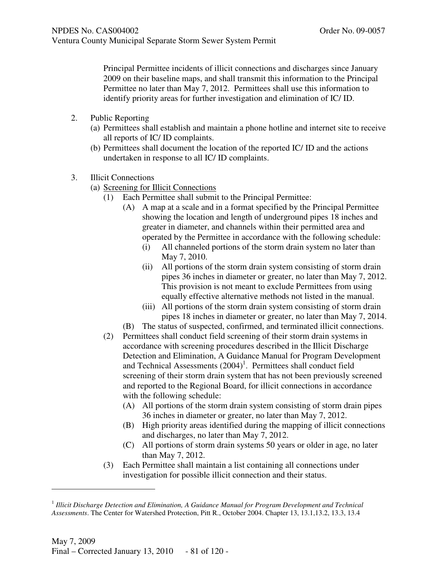Principal Permittee incidents of illicit connections and discharges since January 2009 on their baseline maps, and shall transmit this information to the Principal Permittee no later than May 7, 2012. Permittees shall use this information to identify priority areas for further investigation and elimination of IC/ ID.

- 2. Public Reporting
	- (a) Permittees shall establish and maintain a phone hotline and internet site to receive all reports of IC/ ID complaints.
	- (b) Permittees shall document the location of the reported IC/ ID and the actions undertaken in response to all IC/ ID complaints.
- 3. Illicit Connections
	- (a) Screening for Illicit Connections
		- (1) Each Permittee shall submit to the Principal Permittee:
			- (A) A map at a scale and in a format specified by the Principal Permittee showing the location and length of underground pipes 18 inches and greater in diameter, and channels within their permitted area and operated by the Permittee in accordance with the following schedule:
				- (i) All channeled portions of the storm drain system no later than May 7, 2010.
				- (ii) All portions of the storm drain system consisting of storm drain pipes 36 inches in diameter or greater, no later than May 7, 2012. This provision is not meant to exclude Permittees from using equally effective alternative methods not listed in the manual.
				- (iii) All portions of the storm drain system consisting of storm drain pipes 18 inches in diameter or greater, no later than May 7, 2014.
			- (B) The status of suspected, confirmed, and terminated illicit connections.
		- (2) Permittees shall conduct field screening of their storm drain systems in accordance with screening procedures described in the Illicit Discharge Detection and Elimination, A Guidance Manual for Program Development and Technical Assessments  $(2004)^1$ . Permittees shall conduct field screening of their storm drain system that has not been previously screened and reported to the Regional Board, for illicit connections in accordance with the following schedule:
			- (A) All portions of the storm drain system consisting of storm drain pipes 36 inches in diameter or greater, no later than May 7, 2012.
			- (B) High priority areas identified during the mapping of illicit connections and discharges, no later than May 7, 2012.
			- (C) All portions of storm drain systems 50 years or older in age, no later than May 7, 2012.
		- (3) Each Permittee shall maintain a list containing all connections under investigation for possible illicit connection and their status.

j

<sup>&</sup>lt;sup>1</sup> Illicit Discharge Detection and Elimination, A Guidance Manual for Program Development and Technical *Assessments*. The Center for Watershed Protection, Pitt R., October 2004. Chapter 13, 13.1,13.2, 13.3, 13.4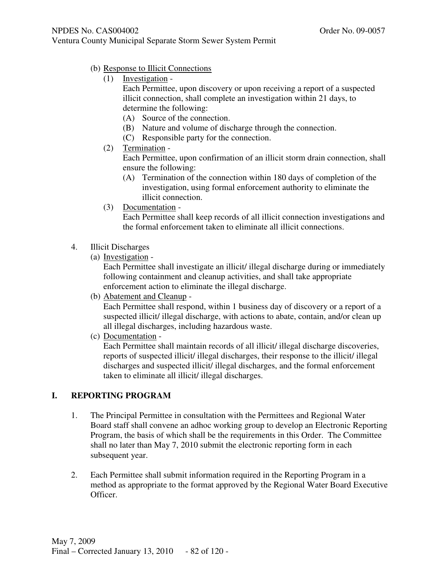- (b) Response to Illicit Connections
	- (1) Investigation -

Each Permittee, upon discovery or upon receiving a report of a suspected illicit connection, shall complete an investigation within 21 days, to determine the following:

- (A) Source of the connection.
- (B) Nature and volume of discharge through the connection.
- (C) Responsible party for the connection.
- (2) Termination -

Each Permittee, upon confirmation of an illicit storm drain connection, shall ensure the following:

- (A) Termination of the connection within 180 days of completion of the investigation, using formal enforcement authority to eliminate the illicit connection.
- (3) Documentation -

Each Permittee shall keep records of all illicit connection investigations and the formal enforcement taken to eliminate all illicit connections.

- 4. Illicit Discharges
	- (a) Investigation -

Each Permittee shall investigate an illicit/ illegal discharge during or immediately following containment and cleanup activities, and shall take appropriate enforcement action to eliminate the illegal discharge.

(b) Abatement and Cleanup -

Each Permittee shall respond, within 1 business day of discovery or a report of a suspected illicit/ illegal discharge, with actions to abate, contain, and/or clean up all illegal discharges, including hazardous waste.

(c) Documentation -

Each Permittee shall maintain records of all illicit/ illegal discharge discoveries, reports of suspected illicit/ illegal discharges, their response to the illicit/ illegal discharges and suspected illicit/ illegal discharges, and the formal enforcement taken to eliminate all illicit/ illegal discharges.

# **I. REPORTING PROGRAM**

- 1. The Principal Permittee in consultation with the Permittees and Regional Water Board staff shall convene an adhoc working group to develop an Electronic Reporting Program, the basis of which shall be the requirements in this Order. The Committee shall no later than May 7, 2010 submit the electronic reporting form in each subsequent year.
- 2. Each Permittee shall submit information required in the Reporting Program in a method as appropriate to the format approved by the Regional Water Board Executive Officer.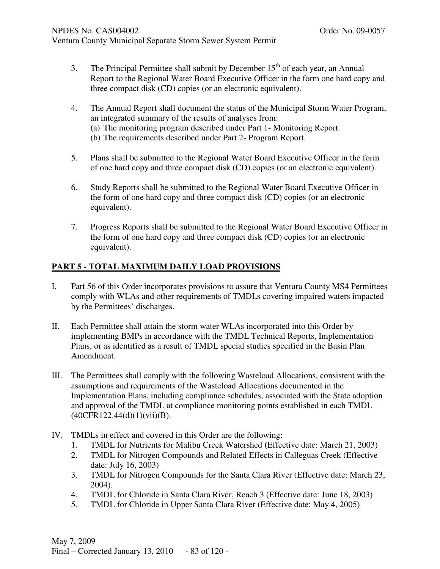- 3. The Principal Permittee shall submit by December  $15<sup>th</sup>$  of each year, an Annual Report to the Regional Water Board Executive Officer in the form one hard copy and three compact disk (CD) copies (or an electronic equivalent).
- 4. The Annual Report shall document the status of the Municipal Storm Water Program, an integrated summary of the results of analyses from: (a) The monitoring program described under Part 1- Monitoring Report. (b) The requirements described under Part 2- Program Report.
- 5. Plans shall be submitted to the Regional Water Board Executive Officer in the form of one hard copy and three compact disk (CD) copies (or an electronic equivalent).
- 6. Study Reports shall be submitted to the Regional Water Board Executive Officer in the form of one hard copy and three compact disk (CD) copies (or an electronic equivalent).
- 7. Progress Reports shall be submitted to the Regional Water Board Executive Officer in the form of one hard copy and three compact disk (CD) copies (or an electronic equivalent).

# **PART 5 - TOTAL MAXIMUM DAILY LOAD PROVISIONS**

- I. Part 56 of this Order incorporates provisions to assure that Ventura County MS4 Permittees comply with WLAs and other requirements of TMDLs covering impaired waters impacted by the Permittees' discharges.
- II. Each Permittee shall attain the storm water WLAs incorporated into this Order by implementing BMPs in accordance with the TMDL Technical Reports, Implementation Plans, or as identified as a result of TMDL special studies specified in the Basin Plan Amendment.
- III. The Permittees shall comply with the following Wasteload Allocations, consistent with the assumptions and requirements of the Wasteload Allocations documented in the Implementation Plans, including compliance schedules, associated with the State adoption and approval of the TMDL at compliance monitoring points established in each TMDL (40CFR122.44(d)(1)(vii)(B).
- IV. TMDLs in effect and covered in this Order are the following:
	- 1. TMDL for Nutrients for Malibu Creek Watershed (Effective date: March 21, 2003)
	- 2. TMDL for Nitrogen Compounds and Related Effects in Calleguas Creek (Effective date: July 16, 2003)
	- 3. TMDL for Nitrogen Compounds for the Santa Clara River (Effective date: March 23, 2004).
	- 4. TMDL for Chloride in Santa Clara River, Reach 3 (Effective date: June 18, 2003)
	- 5. TMDL for Chloride in Upper Santa Clara River (Effective date: May 4, 2005)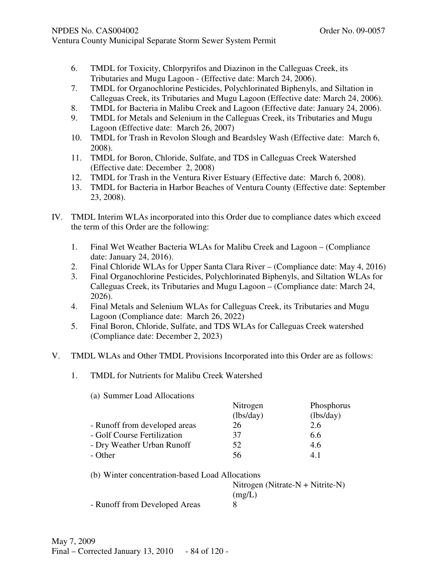- 6. TMDL for Toxicity, Chlorpyrifos and Diazinon in the Calleguas Creek, its Tributaries and Mugu Lagoon - (Effective date: March 24, 2006).
- 7. TMDL for Organochlorine Pesticides, Polychlorinated Biphenyls, and Siltation in Calleguas Creek, its Tributaries and Mugu Lagoon (Effective date: March 24, 2006).
- 8. TMDL for Bacteria in Malibu Creek and Lagoon (Effective date: January 24, 2006).
- 9. TMDL for Metals and Selenium in the Calleguas Creek, its Tributaries and Mugu Lagoon (Effective date: March 26, 2007)
- 10. TMDL for Trash in Revolon Slough and Beardsley Wash (Effective date: March 6, 2008).
- 11. TMDL for Boron, Chloride, Sulfate, and TDS in Calleguas Creek Watershed (Effective date: December 2, 2008)
- 12. TMDL for Trash in the Ventura River Estuary (Effective date: March 6, 2008).
- 13. TMDL for Bacteria in Harbor Beaches of Ventura County (Effective date: September 23, 2008).
- IV. TMDL Interim WLAs incorporated into this Order due to compliance dates which exceed the term of this Order are the following:
	- 1. Final Wet Weather Bacteria WLAs for Malibu Creek and Lagoon (Compliance date: January 24, 2016).
	- 2. Final Chloride WLAs for Upper Santa Clara River (Compliance date: May 4, 2016)
	- 3. Final Organochlorine Pesticides, Polychlorinated Biphenyls, and Siltation WLAs for Calleguas Creek, its Tributaries and Mugu Lagoon – (Compliance date: March 24, 2026).
	- 4. Final Metals and Selenium WLAs for Calleguas Creek, its Tributaries and Mugu Lagoon (Compliance date: March 26, 2022)
	- 5. Final Boron, Chloride, Sulfate, and TDS WLAs for Calleguas Creek watershed (Compliance date: December 2, 2023)
- V. TMDL WLAs and Other TMDL Provisions Incorporated into this Order are as follows:
	- 1. TMDL for Nutrients for Malibu Creek Watershed
		- (a) Summer Load Allocations Nitrogen Phosphorus (lbs/day) (lbs/day) - Runoff from developed areas 26 2.6 - Golf Course Fertilization 37 6.6 - Dry Weather Urban Runoff 52 4.6 - Other 56 4.1

| (b) Winter concentration-based Load Allocations |                                     |
|-------------------------------------------------|-------------------------------------|
|                                                 | Nitrogen (Nitrate- $N +$ Nitrite-N) |
|                                                 | (mg/L)                              |
| - Runoff from Developed Areas                   |                                     |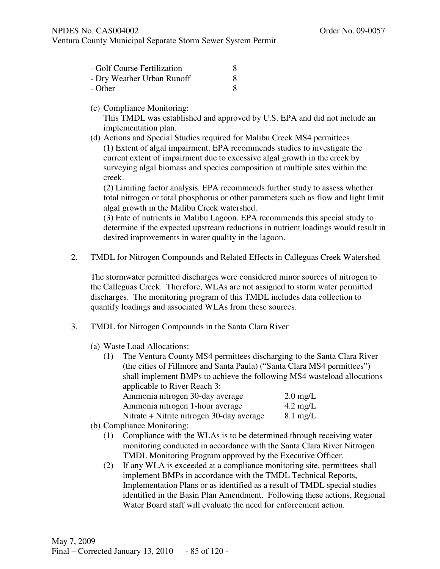Ventura County Municipal Separate Storm Sewer System Permit

| - Golf Course Fertilization |  |
|-----------------------------|--|
| - Dry Weather Urban Runoff  |  |
| - Other                     |  |

(c) Compliance Monitoring:

This TMDL was established and approved by U.S. EPA and did not include an implementation plan.

(d) Actions and Special Studies required for Malibu Creek MS4 permittees (1) Extent of algal impairment. EPA recommends studies to investigate the current extent of impairment due to excessive algal growth in the creek by surveying algal biomass and species composition at multiple sites within the creek.

(2) Limiting factor analysis*.* EPA recommends further study to assess whether total nitrogen or total phosphorus or other parameters such as flow and light limit algal growth in the Malibu Creek watershed.

(3) Fate of nutrients in Malibu Lagoon. EPA recommends this special study to determine if the expected upstream reductions in nutrient loadings would result in desired improvements in water quality in the lagoon.

2. TMDL for Nitrogen Compounds and Related Effects in Calleguas Creek Watershed

The stormwater permitted discharges were considered minor sources of nitrogen to the Calleguas Creek. Therefore, WLAs are not assigned to storm water permitted discharges. The monitoring program of this TMDL includes data collection to quantify loadings and associated WLAs from these sources.

- 3. TMDL for Nitrogen Compounds in the Santa Clara River
	- (a) Waste Load Allocations:
		- (1) The Ventura County MS4 permittees discharging to the Santa Clara River (the cities of Fillmore and Santa Paula) ("Santa Clara MS4 permittees") shall implement BMPs to achieve the following MS4 wasteload allocations applicable to River Reach 3:

| Ammonia nitrogen 30-day average           | $2.0 \text{ mg/L}$ |
|-------------------------------------------|--------------------|
| Ammonia nitrogen 1-hour average           | $4.2 \text{ mg/L}$ |
| Nitrate + Nitrite nitrogen 30-day average | $8.1 \text{ mg/L}$ |

- (b) Compliance Monitoring:
	- (1) Compliance with the WLAs is to be determined through receiving water monitoring conducted in accordance with the Santa Clara River Nitrogen TMDL Monitoring Program approved by the Executive Officer.
	- (2) If any WLA is exceeded at a compliance monitoring site, permittees shall implement BMPs in accordance with the TMDL Technical Reports, Implementation Plans or as identified as a result of TMDL special studies identified in the Basin Plan Amendment. Following these actions, Regional Water Board staff will evaluate the need for enforcement action.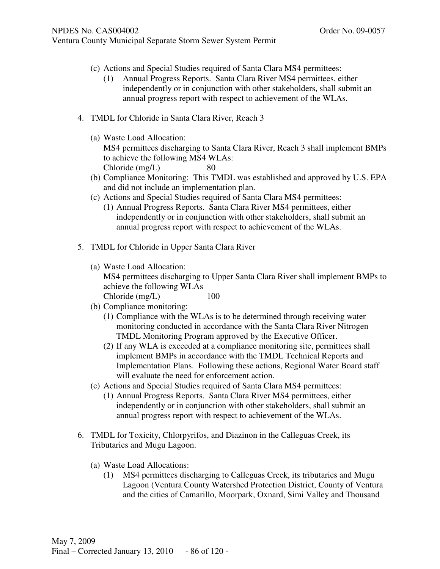- (c) Actions and Special Studies required of Santa Clara MS4 permittees:
	- (1) Annual Progress Reports. Santa Clara River MS4 permittees, either independently or in conjunction with other stakeholders, shall submit an annual progress report with respect to achievement of the WLAs.
- 4. TMDL for Chloride in Santa Clara River, Reach 3
	- (a) Waste Load Allocation: MS4 permittees discharging to Santa Clara River, Reach 3 shall implement BMPs to achieve the following MS4 WLAs: Chloride (mg/L) 80
	- (b) Compliance Monitoring: This TMDL was established and approved by U.S. EPA and did not include an implementation plan.
	- (c) Actions and Special Studies required of Santa Clara MS4 permittees:
		- (1) Annual Progress Reports. Santa Clara River MS4 permittees, either independently or in conjunction with other stakeholders, shall submit an annual progress report with respect to achievement of the WLAs.
- 5. TMDL for Chloride in Upper Santa Clara River
	- (a) Waste Load Allocation: MS4 permittees discharging to Upper Santa Clara River shall implement BMPs to achieve the following WLAs Chloride (mg/L) 100

- (b) Compliance monitoring:
	- (1) Compliance with the WLAs is to be determined through receiving water monitoring conducted in accordance with the Santa Clara River Nitrogen TMDL Monitoring Program approved by the Executive Officer.
	- (2) If any WLA is exceeded at a compliance monitoring site, permittees shall implement BMPs in accordance with the TMDL Technical Reports and Implementation Plans. Following these actions, Regional Water Board staff will evaluate the need for enforcement action.
- (c) Actions and Special Studies required of Santa Clara MS4 permittees:
	- (1) Annual Progress Reports. Santa Clara River MS4 permittees, either independently or in conjunction with other stakeholders, shall submit an annual progress report with respect to achievement of the WLAs.
- 6. TMDL for Toxicity, Chlorpyrifos, and Diazinon in the Calleguas Creek, its Tributaries and Mugu Lagoon.
	- (a) Waste Load Allocations:
		- (1) MS4 permittees discharging to Calleguas Creek, its tributaries and Mugu Lagoon (Ventura County Watershed Protection District, County of Ventura and the cities of Camarillo, Moorpark, Oxnard, Simi Valley and Thousand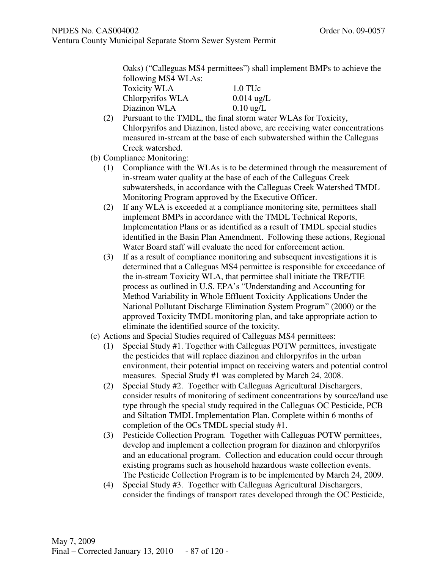Oaks) ("Calleguas MS4 permittees") shall implement BMPs to achieve the following MS4 WLAs:

| <b>Toxicity WLA</b> | $1.0$ TUc           |
|---------------------|---------------------|
| Chlorpyrifos WLA    | $0.014$ ug/L        |
| Diazinon WLA        | $0.10 \text{ ug/L}$ |

- (2) Pursuant to the TMDL, the final storm water WLAs for Toxicity, Chlorpyrifos and Diazinon, listed above, are receiving water concentrations measured in-stream at the base of each subwatershed within the Calleguas Creek watershed.
- (b) Compliance Monitoring:
	- (1) Compliance with the WLAs is to be determined through the measurement of in-stream water quality at the base of each of the Calleguas Creek subwatersheds, in accordance with the Calleguas Creek Watershed TMDL Monitoring Program approved by the Executive Officer.
	- (2) If any WLA is exceeded at a compliance monitoring site, permittees shall implement BMPs in accordance with the TMDL Technical Reports, Implementation Plans or as identified as a result of TMDL special studies identified in the Basin Plan Amendment. Following these actions, Regional Water Board staff will evaluate the need for enforcement action.
	- (3) If as a result of compliance monitoring and subsequent investigations it is determined that a Calleguas MS4 permittee is responsible for exceedance of the in-stream Toxicity WLA, that permittee shall initiate the TRE/TIE process as outlined in U.S. EPA's "Understanding and Accounting for Method Variability in Whole Effluent Toxicity Applications Under the National Pollutant Discharge Elimination System Program" (2000) or the approved Toxicity TMDL monitoring plan, and take appropriate action to eliminate the identified source of the toxicity.
- (c) Actions and Special Studies required of Calleguas MS4 permittees:
	- (1) Special Study #1. Together with Calleguas POTW permittees, investigate the pesticides that will replace diazinon and chlorpyrifos in the urban environment, their potential impact on receiving waters and potential control measures. Special Study #1 was completed by March 24, 2008.
	- (2) Special Study #2. Together with Calleguas Agricultural Dischargers, consider results of monitoring of sediment concentrations by source/land use type through the special study required in the Calleguas OC Pesticide, PCB and Siltation TMDL Implementation Plan. Complete within 6 months of completion of the OCs TMDL special study #1.
	- (3) Pesticide Collection Program. Together with Calleguas POTW permittees, develop and implement a collection program for diazinon and chlorpyrifos and an educational program. Collection and education could occur through existing programs such as household hazardous waste collection events. The Pesticide Collection Program is to be implemented by March 24, 2009.
	- (4) Special Study #3. Together with Calleguas Agricultural Dischargers, consider the findings of transport rates developed through the OC Pesticide,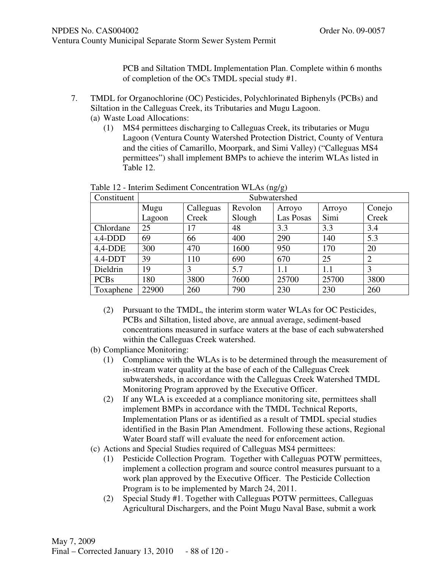PCB and Siltation TMDL Implementation Plan. Complete within 6 months of completion of the OCs TMDL special study #1.

- 7. TMDL for Organochlorine (OC) Pesticides, Polychlorinated Biphenyls (PCBs) and Siltation in the Calleguas Creek, its Tributaries and Mugu Lagoon. (a) Waste Load Allocations:
	- (1) MS4 permittees discharging to Calleguas Creek, its tributaries or Mugu Lagoon (Ventura County Watershed Protection District, County of Ventura and the cities of Camarillo, Moorpark, and Simi Valley) ("Calleguas MS4 permittees") shall implement BMPs to achieve the interim WLAs listed in Table 12.

| Constituent |        | Subwatershed |         |           |        |                |  |  |
|-------------|--------|--------------|---------|-----------|--------|----------------|--|--|
|             | Mugu   | Calleguas    | Revolon | Arroyo    | Arroyo | Conejo         |  |  |
|             | Lagoon | Creek        | Slough  | Las Posas | Simi   | Creek          |  |  |
| Chlordane   | 25     | 17           | 48      | 3.3       | 3.3    | 3.4            |  |  |
| $4,4$ -DDD  | 69     | 66           | 400     | 290       | 140    | 5.3            |  |  |
| $4,4-DDE$   | 300    | 470          | 1600    | 950       | 170    | 20             |  |  |
| $4.4-DDT$   | 39     | 110          | 690     | 670       | 25     | $\overline{2}$ |  |  |
| Dieldrin    | 19     | 3            | 5.7     | 1.1       | 1.1    | 3              |  |  |
| <b>PCBs</b> | 180    | 3800         | 7600    | 25700     | 25700  | 3800           |  |  |
| Toxaphene   | 22900  | 260          | 790     | 230       | 230    | 260            |  |  |

Table 12 - Interim Sediment Concentration WLAs (ng/g)

- (2) Pursuant to the TMDL, the interim storm water WLAs for OC Pesticides, PCBs and Siltation, listed above, are annual average, sediment-based concentrations measured in surface waters at the base of each subwatershed within the Calleguas Creek watershed.
- (b) Compliance Monitoring:
	- (1) Compliance with the WLAs is to be determined through the measurement of in-stream water quality at the base of each of the Calleguas Creek subwatersheds, in accordance with the Calleguas Creek Watershed TMDL Monitoring Program approved by the Executive Officer.
	- (2) If any WLA is exceeded at a compliance monitoring site, permittees shall implement BMPs in accordance with the TMDL Technical Reports, Implementation Plans or as identified as a result of TMDL special studies identified in the Basin Plan Amendment. Following these actions, Regional Water Board staff will evaluate the need for enforcement action.
- (c) Actions and Special Studies required of Calleguas MS4 permittees:
	- (1) Pesticide Collection Program. Together with Calleguas POTW permittees, implement a collection program and source control measures pursuant to a work plan approved by the Executive Officer. The Pesticide Collection Program is to be implemented by March 24, 2011.
	- (2) Special Study #1. Together with Calleguas POTW permittees, Calleguas Agricultural Dischargers, and the Point Mugu Naval Base, submit a work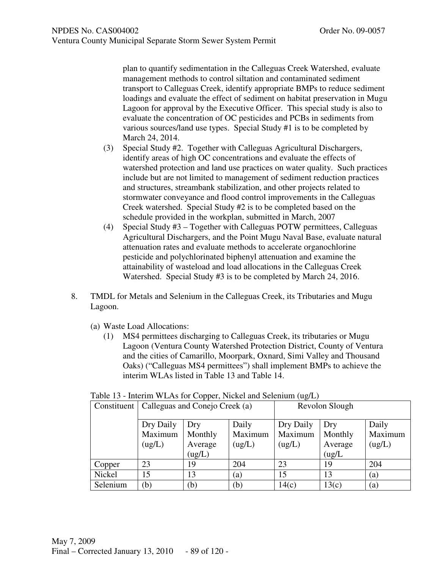plan to quantify sedimentation in the Calleguas Creek Watershed, evaluate management methods to control siltation and contaminated sediment transport to Calleguas Creek, identify appropriate BMPs to reduce sediment loadings and evaluate the effect of sediment on habitat preservation in Mugu Lagoon for approval by the Executive Officer. This special study is also to evaluate the concentration of OC pesticides and PCBs in sediments from various sources/land use types. Special Study #1 is to be completed by March 24, 2014.

- (3) Special Study #2. Together with Calleguas Agricultural Dischargers, identify areas of high OC concentrations and evaluate the effects of watershed protection and land use practices on water quality. Such practices include but are not limited to management of sediment reduction practices and structures, streambank stabilization, and other projects related to stormwater conveyance and flood control improvements in the Calleguas Creek watershed. Special Study #2 is to be completed based on the schedule provided in the workplan, submitted in March, 2007
- (4) Special Study #3 Together with Calleguas POTW permittees, Calleguas Agricultural Dischargers, and the Point Mugu Naval Base, evaluate natural attenuation rates and evaluate methods to accelerate organochlorine pesticide and polychlorinated biphenyl attenuation and examine the attainability of wasteload and load allocations in the Calleguas Creek Watershed. Special Study #3 is to be completed by March 24, 2016.
- 8. TMDL for Metals and Selenium in the Calleguas Creek, its Tributaries and Mugu Lagoon.
	- (a) Waste Load Allocations:
		- (1) MS4 permittees discharging to Calleguas Creek, its tributaries or Mugu Lagoon (Ventura County Watershed Protection District, County of Ventura and the cities of Camarillo, Moorpark, Oxnard, Simi Valley and Thousand Oaks) ("Calleguas MS4 permittees") shall implement BMPs to achieve the interim WLAs listed in Table 13 and Table 14.

| TUUIV IJ<br>$\mu$ must have not copper, increased and serving $\mu$ ( $\mu$ g/ $\mu$ ) |                                              |         |         |           |                |         |
|----------------------------------------------------------------------------------------|----------------------------------------------|---------|---------|-----------|----------------|---------|
|                                                                                        | Constituent   Calleguas and Conejo Creek (a) |         |         |           | Revolon Slough |         |
|                                                                                        | Dry Daily                                    | Dry     | Daily   | Dry Daily | Dry            | Daily   |
|                                                                                        | Maximum                                      | Monthly | Maximum | Maximum   | Monthly        | Maximum |
|                                                                                        | (ug/L)                                       | Average | (ug/L)  | (ug/L)    | Average        | (ug/L)  |
|                                                                                        |                                              | (ug/L)  |         |           | (ug/L)         |         |
| Copper                                                                                 | 23                                           | 19      | 204     | 23        | 19             | 204     |
| Nickel                                                                                 | 15                                           | 13      | (a)     | 15        | 13             | (a)     |
| Selenium                                                                               | b)                                           | (b)     | (b)     | 14(c)     | 13(c)          | (a)     |

#### Table 13 - Interim WLAs for Copper, Nickel and Selenium (ug/L)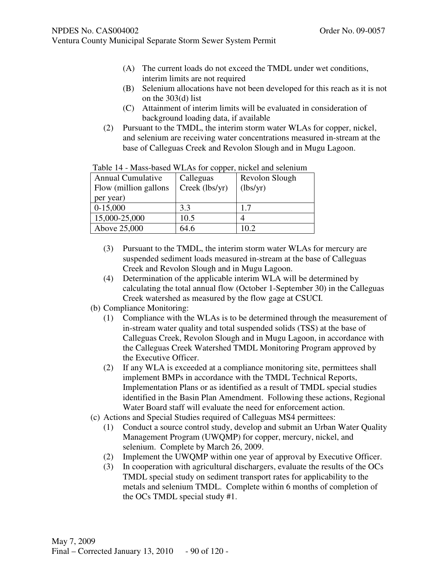Ventura County Municipal Separate Storm Sewer System Permit

- (A) The current loads do not exceed the TMDL under wet conditions, interim limits are not required
- (B) Selenium allocations have not been developed for this reach as it is not on the 303(d) list
- (C) Attainment of interim limits will be evaluated in consideration of background loading data, if available
- (2) Pursuant to the TMDL, the interim storm water WLAs for copper, nickel, and selenium are receiving water concentrations measured in-stream at the base of Calleguas Creek and Revolon Slough and in Mugu Lagoon.

| <b>Annual Cumulative</b> | Calleguas      | Revolon Slough |
|--------------------------|----------------|----------------|
| Flow (million gallons    | Creek (lbs/yr) | (lbs/yr)       |
| per year)                |                |                |
| $0-15,000$               | 3.3            | 1.7            |
| 15,000-25,000            | 10.5           |                |
| Above 25,000             | 64.6           | 10.2           |

Table 14 - Mass-based WLAs for copper, nickel and selenium

- (3) Pursuant to the TMDL, the interim storm water WLAs for mercury are suspended sediment loads measured in-stream at the base of Calleguas Creek and Revolon Slough and in Mugu Lagoon.
- (4) Determination of the applicable interim WLA will be determined by calculating the total annual flow (October 1-September 30) in the Calleguas Creek watershed as measured by the flow gage at CSUCI.
- (b) Compliance Monitoring:
	- (1) Compliance with the WLAs is to be determined through the measurement of in-stream water quality and total suspended solids (TSS) at the base of Calleguas Creek, Revolon Slough and in Mugu Lagoon, in accordance with the Calleguas Creek Watershed TMDL Monitoring Program approved by the Executive Officer.
	- (2) If any WLA is exceeded at a compliance monitoring site, permittees shall implement BMPs in accordance with the TMDL Technical Reports, Implementation Plans or as identified as a result of TMDL special studies identified in the Basin Plan Amendment. Following these actions, Regional Water Board staff will evaluate the need for enforcement action.
- (c) Actions and Special Studies required of Calleguas MS4 permittees:
	- (1) Conduct a source control study, develop and submit an Urban Water Quality Management Program (UWQMP) for copper, mercury, nickel, and selenium. Complete by March 26, 2009.
	- (2) Implement the UWQMP within one year of approval by Executive Officer.
	- (3) In cooperation with agricultural dischargers, evaluate the results of the OCs TMDL special study on sediment transport rates for applicability to the metals and selenium TMDL. Complete within 6 months of completion of the OCs TMDL special study #1.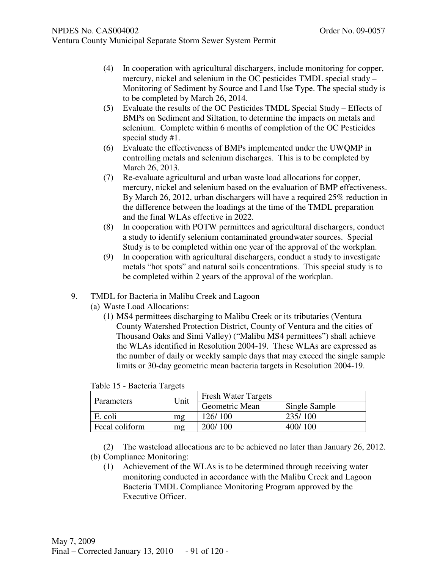- (4) In cooperation with agricultural dischargers, include monitoring for copper, mercury, nickel and selenium in the OC pesticides TMDL special study – Monitoring of Sediment by Source and Land Use Type. The special study is to be completed by March 26, 2014.
- (5) Evaluate the results of the OC Pesticides TMDL Special Study Effects of BMPs on Sediment and Siltation, to determine the impacts on metals and selenium. Complete within 6 months of completion of the OC Pesticides special study #1.
- (6) Evaluate the effectiveness of BMPs implemented under the UWQMP in controlling metals and selenium discharges. This is to be completed by March 26, 2013.
- (7) Re-evaluate agricultural and urban waste load allocations for copper, mercury, nickel and selenium based on the evaluation of BMP effectiveness. By March 26, 2012, urban dischargers will have a required 25% reduction in the difference between the loadings at the time of the TMDL preparation and the final WLAs effective in 2022.
- (8) In cooperation with POTW permittees and agricultural dischargers, conduct a study to identify selenium contaminated groundwater sources. Special Study is to be completed within one year of the approval of the workplan.
- (9) In cooperation with agricultural dischargers, conduct a study to investigate metals "hot spots" and natural soils concentrations. This special study is to be completed within 2 years of the approval of the workplan.
- 9. TMDL for Bacteria in Malibu Creek and Lagoon
	- (a) Waste Load Allocations:
		- (1) MS4 permittees discharging to Malibu Creek or its tributaries (Ventura County Watershed Protection District, County of Ventura and the cities of Thousand Oaks and Simi Valley) ("Malibu MS4 permittees") shall achieve the WLAs identified in Resolution 2004-19. These WLAs are expressed as the number of daily or weekly sample days that may exceed the single sample limits or 30-day geometric mean bacteria targets in Resolution 2004-19.

| Parameters     | Unit | <b>Fresh Water Targets</b> |               |  |
|----------------|------|----------------------------|---------------|--|
|                |      | Geometric Mean             | Single Sample |  |
| E. coli        | mg   | 126/100                    | 235/100       |  |
| Fecal coliform | mg   | 200/100                    | 400/100       |  |

Table 15 - Bacteria Targets

(2) The wasteload allocations are to be achieved no later than January 26, 2012. (b) Compliance Monitoring:

(1) Achievement of the WLAs is to be determined through receiving water monitoring conducted in accordance with the Malibu Creek and Lagoon Bacteria TMDL Compliance Monitoring Program approved by the Executive Officer.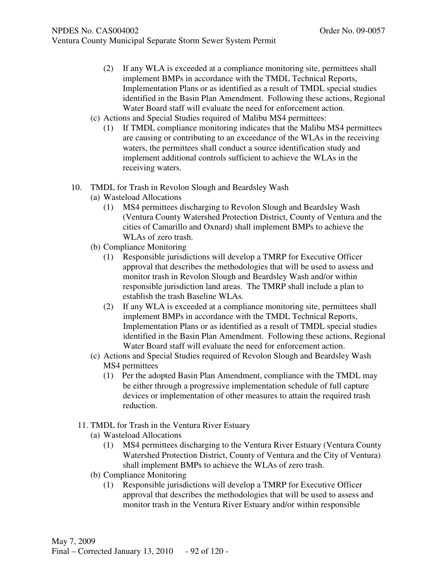- (2) If any WLA is exceeded at a compliance monitoring site, permittees shall implement BMPs in accordance with the TMDL Technical Reports, Implementation Plans or as identified as a result of TMDL special studies identified in the Basin Plan Amendment. Following these actions, Regional Water Board staff will evaluate the need for enforcement action.
- (c) Actions and Special Studies required of Malibu MS4 permittees:
	- (1) If TMDL compliance monitoring indicates that the Malibu MS4 permittees are causing or contributing to an exceedance of the WLAs in the receiving waters, the permittees shall conduct a source identification study and implement additional controls sufficient to achieve the WLAs in the receiving waters.
- 10. TMDL for Trash in Revolon Slough and Beardsley Wash
	- (a) Wasteload Allocations
		- (1) MS4 permittees discharging to Revolon Slough and Beardsley Wash (Ventura County Watershed Protection District, County of Ventura and the cities of Camarillo and Oxnard) shall implement BMPs to achieve the WLAs of zero trash.
	- (b) Compliance Monitoring
		- (1) Responsible jurisdictions will develop a TMRP for Executive Officer approval that describes the methodologies that will be used to assess and monitor trash in Revolon Slough and Beardsley Wash and/or within responsible jurisdiction land areas. The TMRP shall include a plan to establish the trash Baseline WLAs.
		- (2) If any WLA is exceeded at a compliance monitoring site, permittees shall implement BMPs in accordance with the TMDL Technical Reports, Implementation Plans or as identified as a result of TMDL special studies identified in the Basin Plan Amendment. Following these actions, Regional Water Board staff will evaluate the need for enforcement action.
	- (c) Actions and Special Studies required of Revolon Slough and Beardsley Wash MS4 permittees
		- (1) Per the adopted Basin Plan Amendment, compliance with the TMDL may be either through a progressive implementation schedule of full capture devices or implementation of other measures to attain the required trash reduction.
	- 11. TMDL for Trash in the Ventura River Estuary
		- (a) Wasteload Allocations
			- (1) MS4 permittees discharging to the Ventura River Estuary (Ventura County Watershed Protection District, County of Ventura and the City of Ventura) shall implement BMPs to achieve the WLAs of zero trash.
		- (b) Compliance Monitoring
			- (1) Responsible jurisdictions will develop a TMRP for Executive Officer approval that describes the methodologies that will be used to assess and monitor trash in the Ventura River Estuary and/or within responsible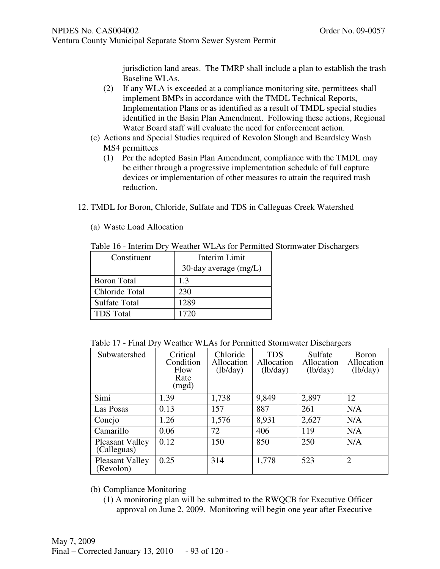jurisdiction land areas. The TMRP shall include a plan to establish the trash Baseline WLAs.

- (2) If any WLA is exceeded at a compliance monitoring site, permittees shall implement BMPs in accordance with the TMDL Technical Reports, Implementation Plans or as identified as a result of TMDL special studies identified in the Basin Plan Amendment. Following these actions, Regional Water Board staff will evaluate the need for enforcement action.
- (c) Actions and Special Studies required of Revolon Slough and Beardsley Wash MS4 permittees
	- (1) Per the adopted Basin Plan Amendment, compliance with the TMDL may be either through a progressive implementation schedule of full capture devices or implementation of other measures to attain the required trash reduction.
- 12. TMDL for Boron, Chloride, Sulfate and TDS in Calleguas Creek Watershed
	- (a) Waste Load Allocation

| Table 16 - Interim Dry Weather WLAs for Permitted Stormwater Dischargers |  |  |  |  |  |  |  |  |  |  |
|--------------------------------------------------------------------------|--|--|--|--|--|--|--|--|--|--|
|--------------------------------------------------------------------------|--|--|--|--|--|--|--|--|--|--|

| Constituent          | Interim Limit         |
|----------------------|-----------------------|
|                      | 30-day average (mg/L) |
| <b>Boron Total</b>   | 1.3                   |
| Chloride Total       | 230                   |
| <b>Sulfate Total</b> | 1289                  |
| <b>TDS</b> Total     | 1720                  |

| Table 17 - Final Dry Weather WLAs for Permitted Stormwater Dischargers |  |  |  |  |
|------------------------------------------------------------------------|--|--|--|--|
|------------------------------------------------------------------------|--|--|--|--|

| Subwatershed                          | Critical<br>Condition<br>Flow<br>Rate<br>(mgd) | Chloride<br>Allocation<br>(lb/day) | <b>TDS</b><br>Allocation<br>(lb/day) | Sulfate<br>Allocation<br>(lb/day) | <b>B</b> oron<br>Allocation<br>(lb/day) |
|---------------------------------------|------------------------------------------------|------------------------------------|--------------------------------------|-----------------------------------|-----------------------------------------|
| Simi                                  | 1.39                                           | 1,738                              | 9,849                                | 2,897                             | 12                                      |
| Las Posas                             | 0.13                                           | 157                                | 887                                  | 261                               | N/A                                     |
| Conejo                                | 1.26                                           | 1,576                              | 8,931                                | 2,627                             | N/A                                     |
| Camarillo                             | 0.06                                           | 72                                 | 406                                  | 119                               | N/A                                     |
| <b>Pleasant Valley</b><br>(Calleguas) | 0.12                                           | 150                                | 850                                  | 250                               | N/A                                     |
| <b>Pleasant Valley</b><br>(Revolon)   | 0.25                                           | 314                                | 1,778                                | 523                               | $\mathcal{D}_{\mathcal{L}}$             |

(b) Compliance Monitoring

(1) A monitoring plan will be submitted to the RWQCB for Executive Officer approval on June 2, 2009. Monitoring will begin one year after Executive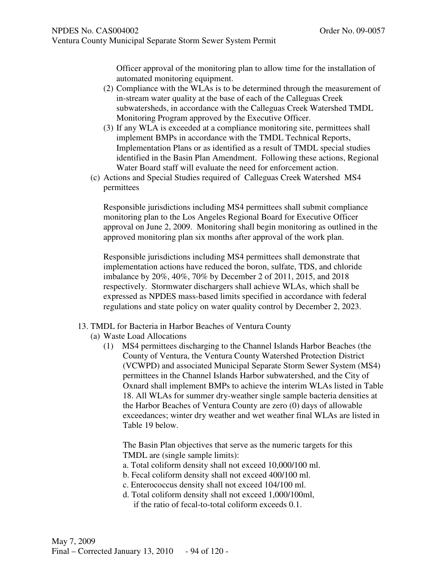Officer approval of the monitoring plan to allow time for the installation of automated monitoring equipment.

- (2) Compliance with the WLAs is to be determined through the measurement of in-stream water quality at the base of each of the Calleguas Creek subwatersheds, in accordance with the Calleguas Creek Watershed TMDL Monitoring Program approved by the Executive Officer.
- (3) If any WLA is exceeded at a compliance monitoring site, permittees shall implement BMPs in accordance with the TMDL Technical Reports, Implementation Plans or as identified as a result of TMDL special studies identified in the Basin Plan Amendment. Following these actions, Regional Water Board staff will evaluate the need for enforcement action.
- (c) Actions and Special Studies required of Calleguas Creek Watershed MS4 permittees

Responsible jurisdictions including MS4 permittees shall submit compliance monitoring plan to the Los Angeles Regional Board for Executive Officer approval on June 2, 2009. Monitoring shall begin monitoring as outlined in the approved monitoring plan six months after approval of the work plan.

Responsible jurisdictions including MS4 permittees shall demonstrate that implementation actions have reduced the boron, sulfate, TDS, and chloride imbalance by 20%, 40%, 70% by December 2 of 2011, 2015, and 2018 respectively. Stormwater dischargers shall achieve WLAs, which shall be expressed as NPDES mass-based limits specified in accordance with federal regulations and state policy on water quality control by December 2, 2023.

- 13. TMDL for Bacteria in Harbor Beaches of Ventura County
	- (a) Waste Load Allocations
		- (1) MS4 permittees discharging to the Channel Islands Harbor Beaches (the County of Ventura, the Ventura County Watershed Protection District (VCWPD) and associated Municipal Separate Storm Sewer System (MS4) permittees in the Channel Islands Harbor subwatershed, and the City of Oxnard shall implement BMPs to achieve the interim WLAs listed in Table 18. All WLAs for summer dry-weather single sample bacteria densities at the Harbor Beaches of Ventura County are zero (0) days of allowable exceedances; winter dry weather and wet weather final WLAs are listed in Table 19 below.

The Basin Plan objectives that serve as the numeric targets for this TMDL are (single sample limits):

- a. Total coliform density shall not exceed 10,000/100 ml.
- b. Fecal coliform density shall not exceed 400/100 ml.
- c. Enterococcus density shall not exceed 104/100 ml.
- d. Total coliform density shall not exceed 1,000/100ml, if the ratio of fecal-to-total coliform exceeds 0.1.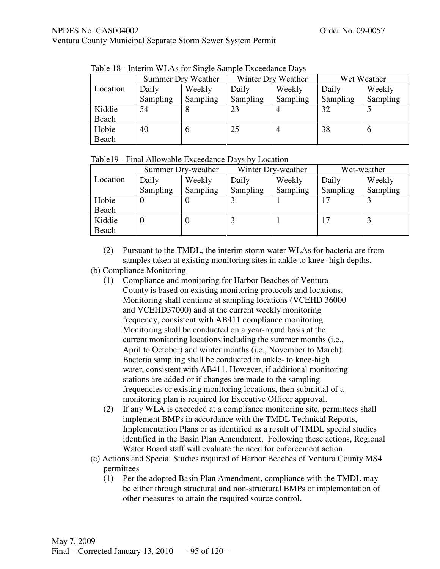# NPDES No. CAS004002 Order No. 09-0057

Ventura County Municipal Separate Storm Sewer System Permit

|          | THEN TO THINGHII WE AN TOT DILIGIO DUITIDIO EXCOGUINO DU VO |                    |          |                    |          |             |  |  |
|----------|-------------------------------------------------------------|--------------------|----------|--------------------|----------|-------------|--|--|
|          |                                                             | Summer Dry Weather |          | Winter Dry Weather |          | Wet Weather |  |  |
| Location | Daily                                                       | Weekly             | Daily    | Weekly             | Daily    | Weekly      |  |  |
|          | Sampling                                                    | Sampling           | Sampling | Sampling           | Sampling | Sampling    |  |  |
| Kiddie   | 54                                                          |                    | 23       |                    | 32       |             |  |  |
| Beach    |                                                             |                    |          |                    |          |             |  |  |
| Hobie    | 40                                                          | O                  | 25       |                    | 38       | 0           |  |  |
| Beach    |                                                             |                    |          |                    |          |             |  |  |

Table 18 - Interim WLAs for Single Sample Exceedance Days

|          | Summer Dry-weather |          | Winter Dry-weather |          | Wet-weather |          |
|----------|--------------------|----------|--------------------|----------|-------------|----------|
| Location | Daily              | Weekly   | Daily              | Weekly   | Daily       | Weekly   |
|          | Sampling           | Sampling | Sampling           | Sampling | Sampling    | Sampling |
| Hobie    |                    |          |                    |          |             |          |
| Beach    |                    |          |                    |          |             |          |
| Kiddie   |                    |          |                    |          |             |          |
| Beach    |                    |          |                    |          |             |          |

(2) Pursuant to the TMDL, the interim storm water WLAs for bacteria are from samples taken at existing monitoring sites in ankle to knee- high depths.

### (b) Compliance Monitoring

- (1) Compliance and monitoring for Harbor Beaches of Ventura County is based on existing monitoring protocols and locations. Monitoring shall continue at sampling locations (VCEHD 36000 and VCEHD37000) and at the current weekly monitoring frequency, consistent with AB411 compliance monitoring. Monitoring shall be conducted on a year-round basis at the current monitoring locations including the summer months (i.e., April to October) and winter months (i.e., November to March). Bacteria sampling shall be conducted in ankle- to knee-high water, consistent with AB411. However, if additional monitoring stations are added or if changes are made to the sampling frequencies or existing monitoring locations, then submittal of a monitoring plan is required for Executive Officer approval.
- (2) If any WLA is exceeded at a compliance monitoring site, permittees shall implement BMPs in accordance with the TMDL Technical Reports, Implementation Plans or as identified as a result of TMDL special studies identified in the Basin Plan Amendment. Following these actions, Regional Water Board staff will evaluate the need for enforcement action.
- (c) Actions and Special Studies required of Harbor Beaches of Ventura County MS4 permittees
	- (1) Per the adopted Basin Plan Amendment, compliance with the TMDL may be either through structural and non-structural BMPs or implementation of other measures to attain the required source control.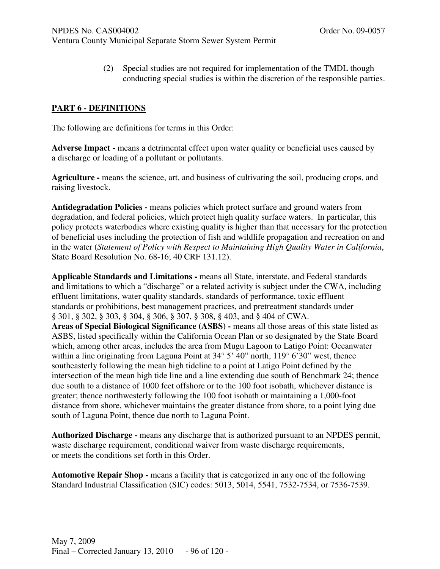(2) Special studies are not required for implementation of the TMDL though conducting special studies is within the discretion of the responsible parties.

### **PART 6 - DEFINITIONS**

The following are definitions for terms in this Order:

Adverse Impact - means a detrimental effect upon water quality or beneficial uses caused by a discharge or loading of a pollutant or pollutants.

**Agriculture -** means the science, art, and business of cultivating the soil, producing crops, and raising livestock.

**Antidegradation Policies -** means policies which protect surface and ground waters from degradation, and federal policies, which protect high quality surface waters. In particular, this policy protects waterbodies where existing quality is higher than that necessary for the protection of beneficial uses including the protection of fish and wildlife propagation and recreation on and in the water (*Statement of Policy with Respect to Maintaining High Quality Water in California*, State Board Resolution No. 68-16; 40 CRF 131.12).

**Applicable Standards and Limitations -** means all State, interstate, and Federal standards and limitations to which a "discharge" or a related activity is subject under the CWA, including effluent limitations, water quality standards, standards of performance, toxic effluent standards or prohibitions, best management practices, and pretreatment standards under § 301, § 302, § 303, § 304, § 306, § 307, § 308, § 403, and § 404 of CWA. **Areas of Special Biological Significance (ASBS) -** means all those areas of this state listed as ASBS, listed specifically within the California Ocean Plan or so designated by the State Board which, among other areas, includes the area from Mugu Lagoon to Latigo Point: Oceanwater within a line originating from Laguna Point at  $34^{\circ}$  5' 40" north, 119° 6'30" west, thence southeasterly following the mean high tideline to a point at Latigo Point defined by the intersection of the mean high tide line and a line extending due south of Benchmark 24; thence due south to a distance of 1000 feet offshore or to the 100 foot isobath, whichever distance is greater; thence northwesterly following the 100 foot isobath or maintaining a 1,000-foot distance from shore, whichever maintains the greater distance from shore, to a point lying due south of Laguna Point, thence due north to Laguna Point.

**Authorized Discharge -** means any discharge that is authorized pursuant to an NPDES permit, waste discharge requirement, conditional waiver from waste discharge requirements, or meets the conditions set forth in this Order.

**Automotive Repair Shop -** means a facility that is categorized in any one of the following Standard Industrial Classification (SIC) codes: 5013, 5014, 5541, 7532-7534, or 7536-7539.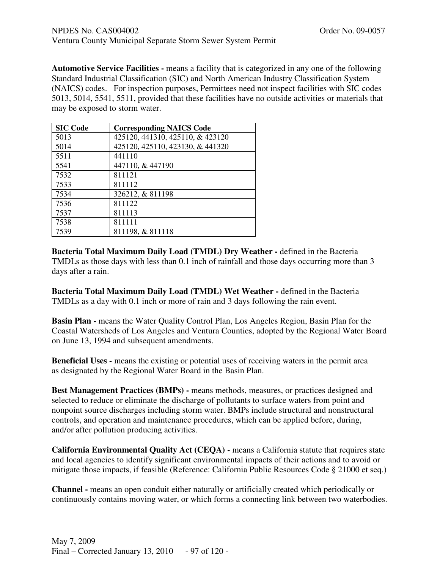**Automotive Service Facilities -** means a facility that is categorized in any one of the following Standard Industrial Classification (SIC) and North American Industry Classification System (NAICS) codes. For inspection purposes, Permittees need not inspect facilities with SIC codes 5013, 5014, 5541, 5511, provided that these facilities have no outside activities or materials that may be exposed to storm water.

| <b>SIC Code</b> | <b>Corresponding NAICS Code</b>  |
|-----------------|----------------------------------|
| 5013            | 425120, 441310, 425110, & 423120 |
| 5014            | 425120, 425110, 423130, & 441320 |
| 5511            | 441110                           |
| 5541            | 447110, & 447190                 |
| 7532            | 811121                           |
| 7533            | 811112                           |
| 7534            | 326212, & 811198                 |
| 7536            | 811122                           |
| 7537            | 811113                           |
| 7538            | 811111                           |
| 7539            | 811198, & 811118                 |

**Bacteria Total Maximum Daily Load (TMDL) Dry Weather -** defined in the Bacteria TMDLs as those days with less than 0.1 inch of rainfall and those days occurring more than 3 days after a rain.

**Bacteria Total Maximum Daily Load (TMDL) Wet Weather -** defined in the Bacteria TMDLs as a day with 0.1 inch or more of rain and 3 days following the rain event.

**Basin Plan -** means the Water Quality Control Plan, Los Angeles Region, Basin Plan for the Coastal Watersheds of Los Angeles and Ventura Counties, adopted by the Regional Water Board on June 13, 1994 and subsequent amendments.

**Beneficial Uses -** means the existing or potential uses of receiving waters in the permit area as designated by the Regional Water Board in the Basin Plan.

**Best Management Practices (BMPs) -** means methods, measures, or practices designed and selected to reduce or eliminate the discharge of pollutants to surface waters from point and nonpoint source discharges including storm water. BMPs include structural and nonstructural controls, and operation and maintenance procedures, which can be applied before, during, and/or after pollution producing activities.

**California Environmental Quality Act (CEQA) -** means a California statute that requires state and local agencies to identify significant environmental impacts of their actions and to avoid or mitigate those impacts, if feasible (Reference: California Public Resources Code § 21000 et seq.)

**Channel -** means an open conduit either naturally or artificially created which periodically or continuously contains moving water, or which forms a connecting link between two waterbodies.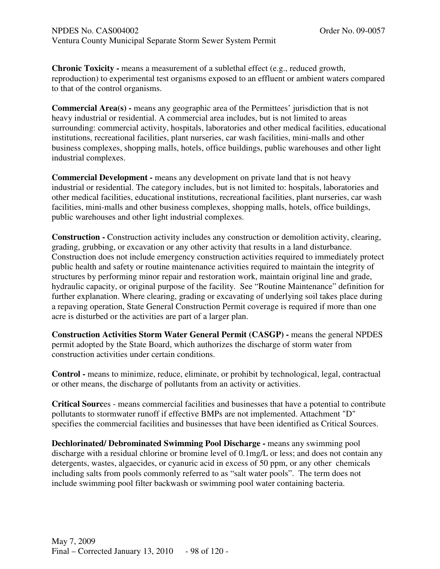**Chronic Toxicity -** means a measurement of a sublethal effect (e.g., reduced growth, reproduction) to experimental test organisms exposed to an effluent or ambient waters compared to that of the control organisms.

**Commercial Area(s) -** means any geographic area of the Permittees' jurisdiction that is not heavy industrial or residential. A commercial area includes, but is not limited to areas surrounding: commercial activity, hospitals, laboratories and other medical facilities, educational institutions, recreational facilities, plant nurseries, car wash facilities, mini-malls and other business complexes, shopping malls, hotels, office buildings, public warehouses and other light industrial complexes.

**Commercial Development -** means any development on private land that is not heavy industrial or residential. The category includes, but is not limited to: hospitals, laboratories and other medical facilities, educational institutions, recreational facilities, plant nurseries, car wash facilities, mini-malls and other business complexes, shopping malls, hotels, office buildings, public warehouses and other light industrial complexes.

**Construction -** Construction activity includes any construction or demolition activity, clearing, grading, grubbing, or excavation or any other activity that results in a land disturbance. Construction does not include emergency construction activities required to immediately protect public health and safety or routine maintenance activities required to maintain the integrity of structures by performing minor repair and restoration work, maintain original line and grade, hydraulic capacity, or original purpose of the facility. See "Routine Maintenance" definition for further explanation. Where clearing, grading or excavating of underlying soil takes place during a repaving operation, State General Construction Permit coverage is required if more than one acre is disturbed or the activities are part of a larger plan.

**Construction Activities Storm Water General Permit (CASGP) - means the general NPDES** permit adopted by the State Board, which authorizes the discharge of storm water from construction activities under certain conditions.

**Control -** means to minimize, reduce, eliminate, or prohibit by technological, legal, contractual or other means, the discharge of pollutants from an activity or activities.

**Critical Sourc**es - means commercial facilities and businesses that have a potential to contribute pollutants to stormwater runoff if effective BMPs are not implemented. Attachment "D" specifies the commercial facilities and businesses that have been identified as Critical Sources.

**Dechlorinated/ Debrominated Swimming Pool Discharge -** means any swimming pool discharge with a residual chlorine or bromine level of 0.1mg/L or less; and does not contain any detergents, wastes, algaecides, or cyanuric acid in excess of 50 ppm, or any other chemicals including salts from pools commonly referred to as "salt water pools". The term does not include swimming pool filter backwash or swimming pool water containing bacteria.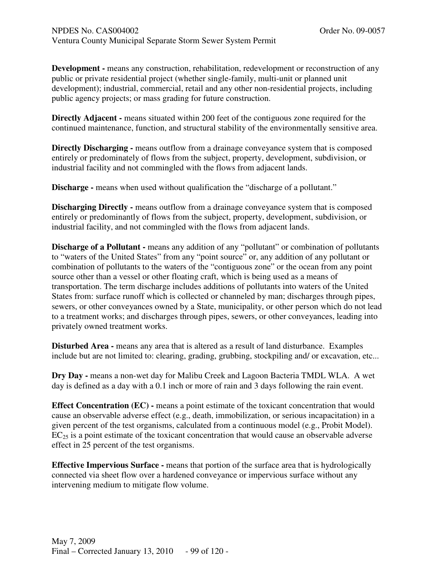**Development -** means any construction, rehabilitation, redevelopment or reconstruction of any public or private residential project (whether single-family, multi-unit or planned unit development); industrial, commercial, retail and any other non-residential projects, including public agency projects; or mass grading for future construction.

**Directly Adjacent -** means situated within 200 feet of the contiguous zone required for the continued maintenance, function, and structural stability of the environmentally sensitive area.

**Directly Discharging -** means outflow from a drainage conveyance system that is composed entirely or predominately of flows from the subject, property, development, subdivision, or industrial facility and not commingled with the flows from adjacent lands.

**Discharge** - means when used without qualification the "discharge of a pollutant."

**Discharging Directly - means outflow from a drainage conveyance system that is composed** entirely or predominantly of flows from the subject, property, development, subdivision, or industrial facility, and not commingled with the flows from adjacent lands.

**Discharge of a Pollutant -** means any addition of any "pollutant" or combination of pollutants to "waters of the United States" from any "point source" or, any addition of any pollutant or combination of pollutants to the waters of the "contiguous zone" or the ocean from any point source other than a vessel or other floating craft, which is being used as a means of transportation. The term discharge includes additions of pollutants into waters of the United States from: surface runoff which is collected or channeled by man; discharges through pipes, sewers, or other conveyances owned by a State, municipality, or other person which do not lead to a treatment works; and discharges through pipes, sewers, or other conveyances, leading into privately owned treatment works.

**Disturbed Area -** means any area that is altered as a result of land disturbance. Examples include but are not limited to: clearing, grading, grubbing, stockpiling and/ or excavation, etc...

**Dry Day -** means a non-wet day for Malibu Creek and Lagoon Bacteria TMDL WLA. A wet day is defined as a day with a 0.1 inch or more of rain and 3 days following the rain event.

**Effect Concentration (EC) - means a point estimate of the toxicant concentration that would** cause an observable adverse effect (e.g., death, immobilization, or serious incapacitation) in a given percent of the test organisms, calculated from a continuous model (e.g., Probit Model).  $EC_{25}$  is a point estimate of the toxicant concentration that would cause an observable adverse effect in 25 percent of the test organisms.

**Effective Impervious Surface -** means that portion of the surface area that is hydrologically connected via sheet flow over a hardened conveyance or impervious surface without any intervening medium to mitigate flow volume.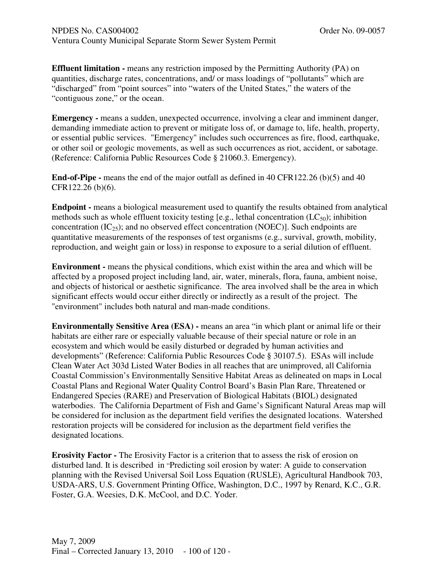**Effluent limitation -** means any restriction imposed by the Permitting Authority (PA) on quantities, discharge rates, concentrations, and/ or mass loadings of "pollutants" which are "discharged" from "point sources" into "waters of the United States," the waters of the "contiguous zone," or the ocean.

**Emergency -** means a sudden, unexpected occurrence, involving a clear and imminent danger, demanding immediate action to prevent or mitigate loss of, or damage to, life, health, property, or essential public services. "Emergency" includes such occurrences as fire, flood, earthquake, or other soil or geologic movements, as well as such occurrences as riot, accident, or sabotage. (Reference: California Public Resources Code § 21060.3. Emergency).

**End-of-Pipe -** means the end of the major outfall as defined in 40 CFR122.26 (b)(5) and 40 CFR122.26 (b)(6).

**Endpoint -** means a biological measurement used to quantify the results obtained from analytical methods such as whole effluent toxicity testing [e.g., lethal concentration  $(LC_{50})$ ; inhibition concentration  $(IC_{25})$ ; and no observed effect concentration  $(NOEC)$ ]. Such endpoints are quantitative measurements of the responses of test organisms (e.g., survival, growth, mobility, reproduction, and weight gain or loss) in response to exposure to a serial dilution of effluent.

**Environment -** means the physical conditions, which exist within the area and which will be affected by a proposed project including land, air, water, minerals, flora, fauna, ambient noise, and objects of historical or aesthetic significance. The area involved shall be the area in which significant effects would occur either directly or indirectly as a result of the project. The "environment" includes both natural and man-made conditions.

**Environmentally Sensitive Area (ESA) -** means an area "in which plant or animal life or their habitats are either rare or especially valuable because of their special nature or role in an ecosystem and which would be easily disturbed or degraded by human activities and developments" (Reference: California Public Resources Code § 30107.5). ESAs will include Clean Water Act 303d Listed Water Bodies in all reaches that are unimproved, all California Coastal Commission's Environmentally Sensitive Habitat Areas as delineated on maps in Local Coastal Plans and Regional Water Quality Control Board's Basin Plan Rare, Threatened or Endangered Species (RARE) and Preservation of Biological Habitats (BIOL) designated waterbodies. The California Department of Fish and Game's Significant Natural Areas map will be considered for inclusion as the department field verifies the designated locations. Watershed restoration projects will be considered for inclusion as the department field verifies the designated locations.

**Erosivity Factor -** The Erosivity Factor is a criterion that to assess the risk of erosion on disturbed land. It is described in "Predicting soil erosion by water: A guide to conservation planning with the Revised Universal Soil Loss Equation (RUSLE), Agricultural Handbook 703, USDA-ARS, U.S. Government Printing Office, Washington, D.C., 1997 by Renard, K.C., G.R. Foster, G.A. Weesies, D.K. McCool, and D.C. Yoder.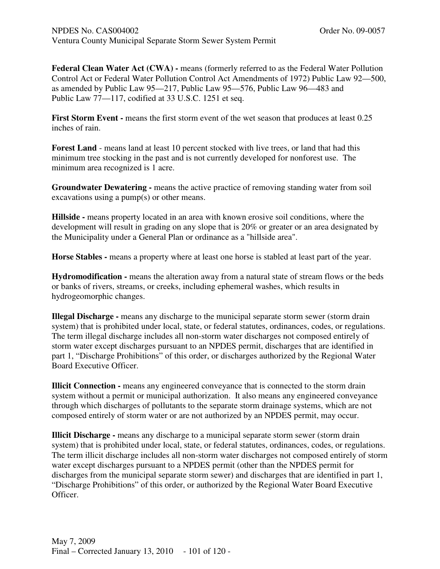**Federal Clean Water Act (CWA) -** means (formerly referred to as the Federal Water Pollution Control Act or Federal Water Pollution Control Act Amendments of 1972) Public Law 92—500, as amended by Public Law 95—217, Public Law 95—576, Public Law 96—483 and Public Law 77—117, codified at 33 U.S.C. 1251 et seq.

First Storm Event - means the first storm event of the wet season that produces at least 0.25 inches of rain.

**Forest Land** - means land at least 10 percent stocked with live trees, or land that had this minimum tree stocking in the past and is not currently developed for nonforest use. The minimum area recognized is 1 acre.

**Groundwater Dewatering -** means the active practice of removing standing water from soil excavations using a pump(s) or other means.

**Hillside -** means property located in an area with known erosive soil conditions, where the development will result in grading on any slope that is 20% or greater or an area designated by the Municipality under a General Plan or ordinance as a "hillside area".

Horse Stables - means a property where at least one horse is stabled at least part of the year.

**Hydromodification -** means the alteration away from a natural state of stream flows or the beds or banks of rivers, streams, or creeks, including ephemeral washes, which results in hydrogeomorphic changes.

**Illegal Discharge -** means any discharge to the municipal separate storm sewer (storm drain system) that is prohibited under local, state, or federal statutes, ordinances, codes, or regulations. The term illegal discharge includes all non-storm water discharges not composed entirely of storm water except discharges pursuant to an NPDES permit, discharges that are identified in part 1, "Discharge Prohibitions" of this order, or discharges authorized by the Regional Water Board Executive Officer.

**Illicit Connection -** means any engineered conveyance that is connected to the storm drain system without a permit or municipal authorization. It also means any engineered conveyance through which discharges of pollutants to the separate storm drainage systems, which are not composed entirely of storm water or are not authorized by an NPDES permit, may occur.

**Illicit Discharge -** means any discharge to a municipal separate storm sewer (storm drain system) that is prohibited under local, state, or federal statutes, ordinances, codes, or regulations. The term illicit discharge includes all non-storm water discharges not composed entirely of storm water except discharges pursuant to a NPDES permit (other than the NPDES permit for discharges from the municipal separate storm sewer) and discharges that are identified in part 1, "Discharge Prohibitions" of this order, or authorized by the Regional Water Board Executive Officer.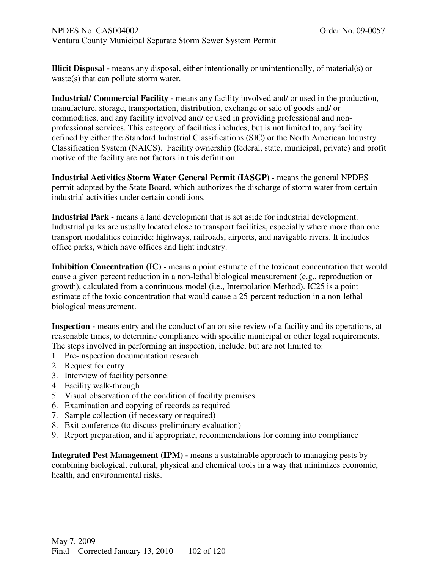**Illicit Disposal -** means any disposal, either intentionally or unintentionally, of material(s) or waste(s) that can pollute storm water.

**Industrial/ Commercial Facility -** means any facility involved and/ or used in the production, manufacture, storage, transportation, distribution, exchange or sale of goods and/ or commodities, and any facility involved and/ or used in providing professional and nonprofessional services. This category of facilities includes, but is not limited to, any facility defined by either the Standard Industrial Classifications (SIC) or the North American Industry Classification System (NAICS). Facility ownership (federal, state, municipal, private) and profit motive of the facility are not factors in this definition.

**Industrial Activities Storm Water General Permit (IASGP) -** means the general NPDES permit adopted by the State Board, which authorizes the discharge of storm water from certain industrial activities under certain conditions.

**Industrial Park -** means a land development that is set aside for industrial development. Industrial parks are usually located close to transport facilities, especially where more than one transport modalities coincide: highways, railroads, airports, and navigable rivers. It includes office parks, which have offices and light industry.

**Inhibition Concentration (IC) - means a point estimate of the toxicant concentration that would** cause a given percent reduction in a non-lethal biological measurement (e.g., reproduction or growth), calculated from a continuous model (i.e., Interpolation Method). IC25 is a point estimate of the toxic concentration that would cause a 25-percent reduction in a non-lethal biological measurement.

**Inspection - means entry and the conduct of an on-site review of a facility and its operations, at** reasonable times, to determine compliance with specific municipal or other legal requirements. The steps involved in performing an inspection, include, but are not limited to:

- 1. Pre-inspection documentation research
- 2. Request for entry
- 3. Interview of facility personnel
- 4. Facility walk-through
- 5. Visual observation of the condition of facility premises
- 6. Examination and copying of records as required
- 7. Sample collection (if necessary or required)
- 8. Exit conference (to discuss preliminary evaluation)
- 9. Report preparation, and if appropriate, recommendations for coming into compliance

**Integrated Pest Management (IPM) -** means a sustainable approach to managing pests by combining biological, cultural, physical and chemical tools in a way that minimizes economic, health, and environmental risks.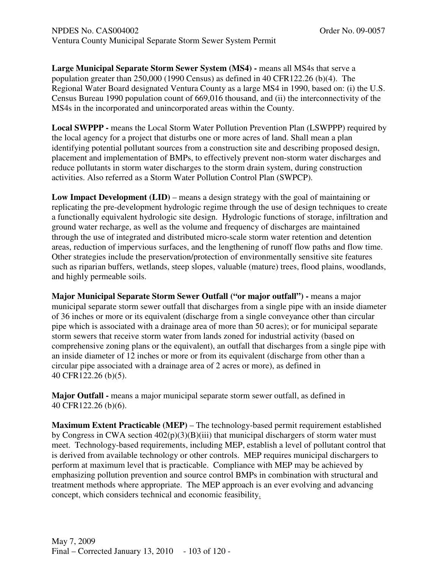**Large Municipal Separate Storm Sewer System (MS4) -** means all MS4s that serve a population greater than 250,000 (1990 Census) as defined in 40 CFR122.26 (b)(4). The Regional Water Board designated Ventura County as a large MS4 in 1990, based on: (i) the U.S. Census Bureau 1990 population count of 669,016 thousand, and (ii) the interconnectivity of the MS4s in the incorporated and unincorporated areas within the County.

**Local SWPPP -** means the Local Storm Water Pollution Prevention Plan (LSWPPP) required by the local agency for a project that disturbs one or more acres of land. Shall mean a plan identifying potential pollutant sources from a construction site and describing proposed design, placement and implementation of BMPs, to effectively prevent non-storm water discharges and reduce pollutants in storm water discharges to the storm drain system, during construction activities. Also referred as a Storm Water Pollution Control Plan (SWPCP).

**Low Impact Development (LID)** – means a design strategy with the goal of maintaining or replicating the pre-development hydrologic regime through the use of design techniques to create a functionally equivalent hydrologic site design. Hydrologic functions of storage, infiltration and ground water recharge, as well as the volume and frequency of discharges are maintained through the use of integrated and distributed micro-scale storm water retention and detention areas, reduction of impervious surfaces, and the lengthening of runoff flow paths and flow time. Other strategies include the preservation/protection of environmentally sensitive site features such as riparian buffers, wetlands, steep slopes, valuable (mature) trees, flood plains, woodlands, and highly permeable soils.

**Major Municipal Separate Storm Sewer Outfall ("or major outfall") -** means a major municipal separate storm sewer outfall that discharges from a single pipe with an inside diameter of 36 inches or more or its equivalent (discharge from a single conveyance other than circular pipe which is associated with a drainage area of more than 50 acres); or for municipal separate storm sewers that receive storm water from lands zoned for industrial activity (based on comprehensive zoning plans or the equivalent), an outfall that discharges from a single pipe with an inside diameter of 12 inches or more or from its equivalent (discharge from other than a circular pipe associated with a drainage area of 2 acres or more), as defined in 40 CFR122.26 (b)(5).

**Major Outfall -** means a major municipal separate storm sewer outfall, as defined in 40 CFR122.26 (b)(6).

**Maximum Extent Practicable (MEP)** – The technology-based permit requirement established by Congress in CWA section  $402(p)(3)(B)(iii)$  that municipal dischargers of storm water must meet. Technology-based requirements, including MEP, establish a level of pollutant control that is derived from available technology or other controls. MEP requires municipal dischargers to perform at maximum level that is practicable. Compliance with MEP may be achieved by emphasizing pollution prevention and source control BMPs in combination with structural and treatment methods where appropriate. The MEP approach is an ever evolving and advancing concept, which considers technical and economic feasibility.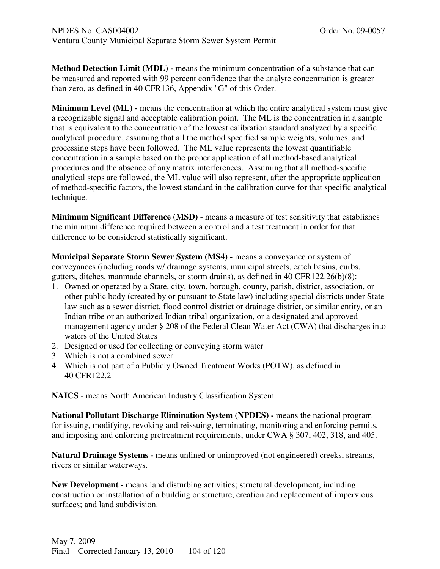**Method Detection Limit (MDL) -** means the minimum concentration of a substance that can be measured and reported with 99 percent confidence that the analyte concentration is greater than zero, as defined in 40 CFR136, Appendix "G" of this Order.

**Minimum Level (ML) - means the concentration at which the entire analytical system must give** a recognizable signal and acceptable calibration point. The ML is the concentration in a sample that is equivalent to the concentration of the lowest calibration standard analyzed by a specific analytical procedure, assuming that all the method specified sample weights, volumes, and processing steps have been followed. The ML value represents the lowest quantifiable concentration in a sample based on the proper application of all method-based analytical procedures and the absence of any matrix interferences. Assuming that all method-specific analytical steps are followed, the ML value will also represent, after the appropriate application of method-specific factors, the lowest standard in the calibration curve for that specific analytical technique.

**Minimum Significant Difference (MSD)** - means a measure of test sensitivity that establishes the minimum difference required between a control and a test treatment in order for that difference to be considered statistically significant.

**Municipal Separate Storm Sewer System (MS4) - means a conveyance or system of** conveyances (including roads w/ drainage systems, municipal streets, catch basins, curbs, gutters, ditches, manmade channels, or storm drains), as defined in 40 CFR122.26(b)(8):

- 1. Owned or operated by a State, city, town, borough, county, parish, district, association, or other public body (created by or pursuant to State law) including special districts under State law such as a sewer district, flood control district or drainage district, or similar entity, or an Indian tribe or an authorized Indian tribal organization, or a designated and approved management agency under § 208 of the Federal Clean Water Act (CWA) that discharges into waters of the United States
- 2. Designed or used for collecting or conveying storm water
- 3. Which is not a combined sewer
- 4. Which is not part of a Publicly Owned Treatment Works (POTW), as defined in 40 CFR122.2

**NAICS** - means North American Industry Classification System.

**National Pollutant Discharge Elimination System (NPDES) -** means the national program for issuing, modifying, revoking and reissuing, terminating, monitoring and enforcing permits, and imposing and enforcing pretreatment requirements, under CWA § 307, 402, 318, and 405.

**Natural Drainage Systems -** means unlined or unimproved (not engineered) creeks, streams, rivers or similar waterways.

**New Development -** means land disturbing activities; structural development, including construction or installation of a building or structure, creation and replacement of impervious surfaces; and land subdivision.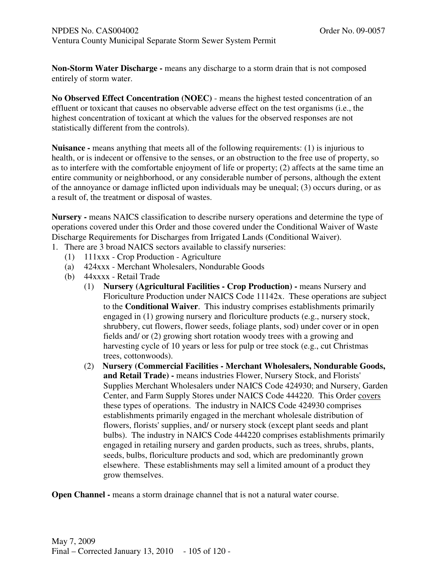**Non-Storm Water Discharge -** means any discharge to a storm drain that is not composed entirely of storm water.

**No Observed Effect Concentration (NOEC)** - means the highest tested concentration of an effluent or toxicant that causes no observable adverse effect on the test organisms (i.e., the highest concentration of toxicant at which the values for the observed responses are not statistically different from the controls).

**Nuisance -** means anything that meets all of the following requirements: (1) is injurious to health, or is indecent or offensive to the senses, or an obstruction to the free use of property, so as to interfere with the comfortable enjoyment of life or property; (2) affects at the same time an entire community or neighborhood, or any considerable number of persons, although the extent of the annoyance or damage inflicted upon individuals may be unequal; (3) occurs during, or as a result of, the treatment or disposal of wastes.

**Nursery -** means NAICS classification to describe nursery operations and determine the type of operations covered under this Order and those covered under the Conditional Waiver of Waste Discharge Requirements for Discharges from Irrigated Lands (Conditional Waiver).

- 1. There are 3 broad NAICS sectors available to classify nurseries:
	- (1) 111xxx Crop Production Agriculture
	- (a) 424xxx Merchant Wholesalers, Nondurable Goods
	- (b) 44xxxx Retail Trade
		- (1) **Nursery (Agricultural Facilities Crop Production)** means Nursery and Floriculture Production under NAICS Code 11142x. These operations are subject to the **Conditional Waiver**. This industry comprises establishments primarily engaged in (1) growing nursery and floriculture products (e.g., nursery stock, shrubbery, cut flowers, flower seeds, foliage plants, sod) under cover or in open fields and/ or (2) growing short rotation woody trees with a growing and harvesting cycle of 10 years or less for pulp or tree stock (e.g., cut Christmas trees, cottonwoods).
		- (2) **Nursery (Commercial Facilities Merchant Wholesalers, Nondurable Goods, and Retail Trade) -** means industries Flower, Nursery Stock, and Florists' Supplies Merchant Wholesalers under NAICS Code 424930; and Nursery, Garden Center, and Farm Supply Stores under NAICS Code 444220. This Order covers these types of operations. The industry in NAICS Code 424930 comprises establishments primarily engaged in the merchant wholesale distribution of flowers, florists' supplies, and/ or nursery stock (except plant seeds and plant bulbs). The industry in NAICS Code 444220 comprises establishments primarily engaged in retailing nursery and garden products, such as trees, shrubs, plants, seeds, bulbs, floriculture products and sod, which are predominantly grown elsewhere. These establishments may sell a limited amount of a product they grow themselves.

**Open Channel -** means a storm drainage channel that is not a natural water course.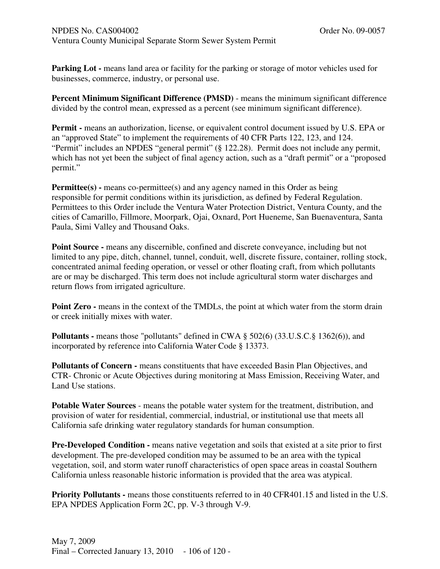**Parking Lot -** means land area or facility for the parking or storage of motor vehicles used for businesses, commerce, industry, or personal use.

**Percent Minimum Significant Difference (PMSD)** - means the minimum significant difference divided by the control mean, expressed as a percent (see minimum significant difference).

**Permit -** means an authorization, license, or equivalent control document issued by U.S. EPA or an "approved State" to implement the requirements of 40 CFR Parts 122, 123, and 124. "Permit" includes an NPDES "general permit" (§ 122.28). Permit does not include any permit, which has not yet been the subject of final agency action, such as a "draft permit" or a "proposed permit."

**Permittee(s) - means co-permittee(s) and any agency named in this Order as being** responsible for permit conditions within its jurisdiction, as defined by Federal Regulation. Permittees to this Order include the Ventura Water Protection District, Ventura County, and the cities of Camarillo, Fillmore, Moorpark, Ojai, Oxnard, Port Hueneme, San Buenaventura, Santa Paula, Simi Valley and Thousand Oaks.

**Point Source - means any discernible, confined and discrete conveyance, including but not** limited to any pipe, ditch, channel, tunnel, conduit, well, discrete fissure, container, rolling stock, concentrated animal feeding operation, or vessel or other floating craft, from which pollutants are or may be discharged. This term does not include agricultural storm water discharges and return flows from irrigated agriculture.

**Point Zero - means in the context of the TMDLs, the point at which water from the storm drain** or creek initially mixes with water.

**Pollutants - means those "pollutants" defined in CWA § 502(6) (33.U.S.C.§ 1362(6)), and** incorporated by reference into California Water Code § 13373.

**Pollutants of Concern -** means constituents that have exceeded Basin Plan Objectives, and CTR- Chronic or Acute Objectives during monitoring at Mass Emission, Receiving Water, and Land Use stations.

**Potable Water Sources** - means the potable water system for the treatment, distribution, and provision of water for residential, commercial, industrial, or institutional use that meets all California safe drinking water regulatory standards for human consumption.

**Pre-Developed Condition -** means native vegetation and soils that existed at a site prior to first development. The pre-developed condition may be assumed to be an area with the typical vegetation, soil, and storm water runoff characteristics of open space areas in coastal Southern California unless reasonable historic information is provided that the area was atypical.

**Priority Pollutants -** means those constituents referred to in 40 CFR401.15 and listed in the U.S. EPA NPDES Application Form 2C, pp. V-3 through V-9.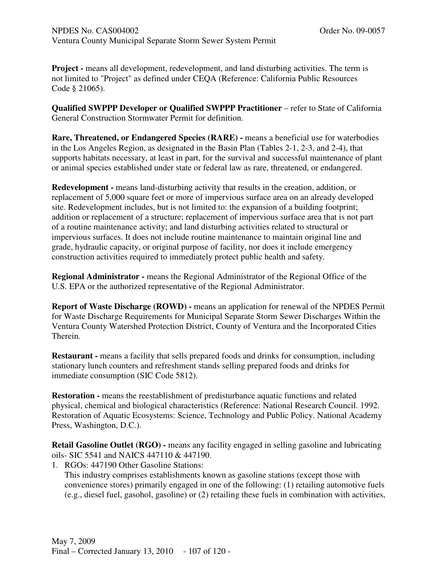**Project -** means all development, redevelopment, and land disturbing activities. The term is not limited to "Project" as defined under CEQA (Reference: California Public Resources Code § 21065).

**Qualified SWPPP Developer or Qualified SWPPP Practitioner** – refer to State of California General Construction Stormwater Permit for definition.

**Rare, Threatened, or Endangered Species (RARE) -** means a beneficial use for waterbodies in the Los Angeles Region, as designated in the Basin Plan (Tables 2-1, 2-3, and 2-4), that supports habitats necessary, at least in part, for the survival and successful maintenance of plant or animal species established under state or federal law as rare, threatened, or endangered.

**Redevelopment -** means land-disturbing activity that results in the creation, addition, or replacement of 5,000 square feet or more of impervious surface area on an already developed site. Redevelopment includes, but is not limited to: the expansion of a building footprint; addition or replacement of a structure; replacement of impervious surface area that is not part of a routine maintenance activity; and land disturbing activities related to structural or impervious surfaces. It does not include routine maintenance to maintain original line and grade, hydraulic capacity, or original purpose of facility, nor does it include emergency construction activities required to immediately protect public health and safety.

**Regional Administrator -** means the Regional Administrator of the Regional Office of the U.S. EPA or the authorized representative of the Regional Administrator.

**Report of Waste Discharge (ROWD) -** means an application for renewal of the NPDES Permit for Waste Discharge Requirements for Municipal Separate Storm Sewer Discharges Within the Ventura County Watershed Protection District, County of Ventura and the Incorporated Cities Therein.

**Restaurant -** means a facility that sells prepared foods and drinks for consumption, including stationary lunch counters and refreshment stands selling prepared foods and drinks for immediate consumption (SIC Code 5812).

**Restoration -** means the reestablishment of predisturbance aquatic functions and related physical, chemical and biological characteristics (Reference: National Research Council. 1992. Restoration of Aquatic Ecosystems: Science, Technology and Public Policy. National Academy Press, Washington, D.C.).

**Retail Gasoline Outlet (RGO) - means any facility engaged in selling gasoline and lubricating** oils- SIC 5541 and NAICS 447110 & 447190.

1. RGOs: 447190 Other Gasoline Stations:

This industry comprises establishments known as gasoline stations (except those with convenience stores) primarily engaged in one of the following: (1) retailing automotive fuels (e.g., diesel fuel, gasohol, gasoline) or (2) retailing these fuels in combination with activities,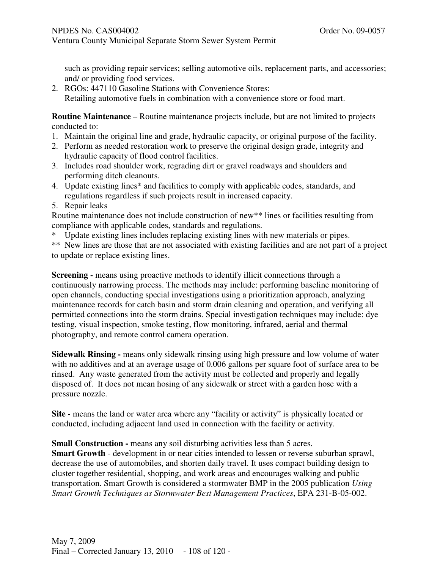such as providing repair services; selling automotive oils, replacement parts, and accessories; and/ or providing food services.

2. RGOs: 447110 Gasoline Stations with Convenience Stores: Retailing automotive fuels in combination with a convenience store or food mart.

**Routine Maintenance** – Routine maintenance projects include, but are not limited to projects conducted to:

- 1. Maintain the original line and grade, hydraulic capacity, or original purpose of the facility.
- 2. Perform as needed restoration work to preserve the original design grade, integrity and hydraulic capacity of flood control facilities.
- 3. Includes road shoulder work, regrading dirt or gravel roadways and shoulders and performing ditch cleanouts.
- 4. Update existing lines\* and facilities to comply with applicable codes, standards, and regulations regardless if such projects result in increased capacity.
- 5. Repair leaks

Routine maintenance does not include construction of new\*\* lines or facilities resulting from compliance with applicable codes, standards and regulations.

Update existing lines includes replacing existing lines with new materials or pipes.

\*\* New lines are those that are not associated with existing facilities and are not part of a project to update or replace existing lines.

**Screening -** means using proactive methods to identify illicit connections through a continuously narrowing process. The methods may include: performing baseline monitoring of open channels, conducting special investigations using a prioritization approach, analyzing maintenance records for catch basin and storm drain cleaning and operation, and verifying all permitted connections into the storm drains. Special investigation techniques may include: dye testing, visual inspection, smoke testing, flow monitoring, infrared, aerial and thermal photography, and remote control camera operation.

**Sidewalk Rinsing -** means only sidewalk rinsing using high pressure and low volume of water with no additives and at an average usage of 0.006 gallons per square foot of surface area to be rinsed. Any waste generated from the activity must be collected and properly and legally disposed of. It does not mean hosing of any sidewalk or street with a garden hose with a pressure nozzle.

**Site - means the land or water area where any "facility or activity" is physically located or** conducted, including adjacent land used in connection with the facility or activity.

**Small Construction -** means any soil disturbing activities less than 5 acres.

**Smart Growth** - development in or near cities intended to lessen or reverse suburban sprawl, decrease the use of automobiles, and shorten daily travel. It uses compact building design to cluster together residential, shopping, and work areas and encourages walking and public transportation. Smart Growth is considered a stormwater BMP in the 2005 publication *Using Smart Growth Techniques as Stormwater Best Management Practices*, EPA 231-B-05-002.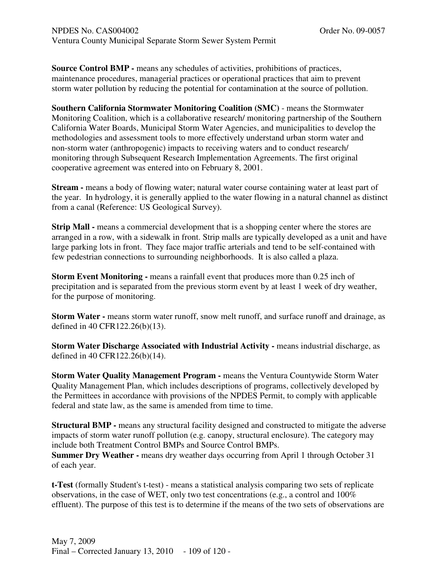**Source Control BMP -** means any schedules of activities, prohibitions of practices, maintenance procedures, managerial practices or operational practices that aim to prevent storm water pollution by reducing the potential for contamination at the source of pollution.

**Southern California Stormwater Monitoring Coalition (SMC)** - means the Stormwater Monitoring Coalition, which is a collaborative research/ monitoring partnership of the Southern California Water Boards, Municipal Storm Water Agencies, and municipalities to develop the methodologies and assessment tools to more effectively understand urban storm water and non-storm water (anthropogenic) impacts to receiving waters and to conduct research/ monitoring through Subsequent Research Implementation Agreements. The first original cooperative agreement was entered into on February 8, 2001.

**Stream -** means a body of flowing water; natural water course containing water at least part of the year. In hydrology, it is generally applied to the water flowing in a natural channel as distinct from a canal (Reference: US Geological Survey).

**Strip Mall - means a commercial development that is a shopping center where the stores are** arranged in a row, with a sidewalk in front. Strip malls are typically developed as a unit and have large parking lots in front. They face major traffic arterials and tend to be self-contained with few pedestrian connections to surrounding neighborhoods. It is also called a plaza.

**Storm Event Monitoring -** means a rainfall event that produces more than 0.25 inch of precipitation and is separated from the previous storm event by at least 1 week of dry weather, for the purpose of monitoring.

**Storm Water -** means storm water runoff, snow melt runoff, and surface runoff and drainage, as defined in 40 CFR122.26(b)(13).

**Storm Water Discharge Associated with Industrial Activity - means industrial discharge, as** defined in 40 CFR122.26(b)(14).

**Storm Water Quality Management Program -** means the Ventura Countywide Storm Water Quality Management Plan, which includes descriptions of programs, collectively developed by the Permittees in accordance with provisions of the NPDES Permit, to comply with applicable federal and state law, as the same is amended from time to time.

**Structural BMP** - means any structural facility designed and constructed to mitigate the adverse impacts of storm water runoff pollution (e.g. canopy, structural enclosure). The category may include both Treatment Control BMPs and Source Control BMPs.

**Summer Dry Weather -** means dry weather days occurring from April 1 through October 31 of each year.

**t-Test** (formally Student's t-test) - means a statistical analysis comparing two sets of replicate observations, in the case of WET, only two test concentrations (e.g., a control and 100% effluent). The purpose of this test is to determine if the means of the two sets of observations are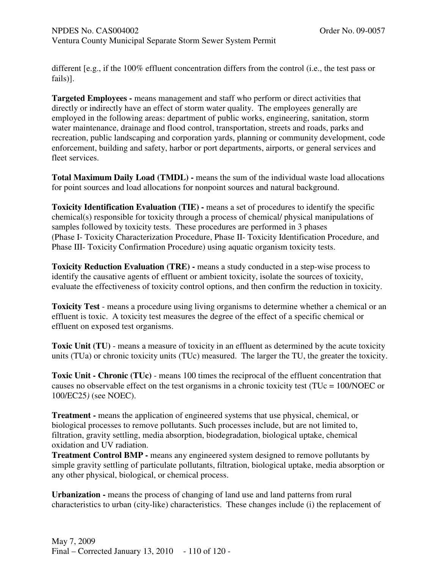different [e.g., if the 100% effluent concentration differs from the control (i.e., the test pass or fails)].

**Targeted Employees -** means management and staff who perform or direct activities that directly or indirectly have an effect of storm water quality. The employees generally are employed in the following areas: department of public works, engineering, sanitation, storm water maintenance, drainage and flood control, transportation, streets and roads, parks and recreation, public landscaping and corporation yards, planning or community development, code enforcement, building and safety, harbor or port departments, airports, or general services and fleet services.

**Total Maximum Daily Load (TMDL) -** means the sum of the individual waste load allocations for point sources and load allocations for nonpoint sources and natural background.

**Toxicity Identification Evaluation (TIE) -** means a set of procedures to identify the specific chemical(s) responsible for toxicity through a process of chemical/ physical manipulations of samples followed by toxicity tests. These procedures are performed in 3 phases (Phase I- Toxicity Characterization Procedure, Phase II- Toxicity Identification Procedure, and Phase III- Toxicity Confirmation Procedure) using aquatic organism toxicity tests.

**Toxicity Reduction Evaluation (TRE) -** means a study conducted in a step-wise process to identify the causative agents of effluent or ambient toxicity, isolate the sources of toxicity, evaluate the effectiveness of toxicity control options, and then confirm the reduction in toxicity.

**Toxicity Test** - means a procedure using living organisms to determine whether a chemical or an effluent is toxic. A toxicity test measures the degree of the effect of a specific chemical or effluent on exposed test organisms.

**Toxic Unit (TU)** - means a measure of toxicity in an effluent as determined by the acute toxicity units (TUa) or chronic toxicity units (TUc) measured. The larger the TU, the greater the toxicity.

**Toxic Unit - Chronic (TUc)** - means 100 times the reciprocal of the effluent concentration that causes no observable effect on the test organisms in a chronic toxicity test (TUc = 100/NOEC or 100/EC25*)* (see NOEC).

**Treatment** - means the application of engineered systems that use physical, chemical, or biological processes to remove pollutants. Such processes include, but are not limited to, filtration, gravity settling, media absorption, biodegradation, biological uptake, chemical oxidation and UV radiation.

**Treatment Control BMP -** means any engineered system designed to remove pollutants by simple gravity settling of particulate pollutants, filtration, biological uptake, media absorption or any other physical, biological, or chemical process.

**Urbanization -** means the process of changing of land use and land patterns from rural characteristics to urban (city-like) characteristics. These changes include (i) the replacement of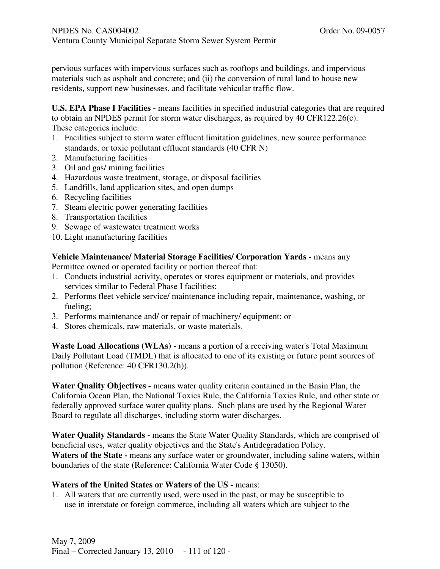pervious surfaces with impervious surfaces such as rooftops and buildings, and impervious materials such as asphalt and concrete; and (ii) the conversion of rural land to house new residents, support new businesses, and facilitate vehicular traffic flow.

**U.S. EPA Phase I Facilities -** means facilities in specified industrial categories that are required to obtain an NPDES permit for storm water discharges, as required by 40 CFR122.26(c). These categories include:

- 1. Facilities subject to storm water effluent limitation guidelines, new source performance standards, or toxic pollutant effluent standards (40 CFR N)
- 2. Manufacturing facilities
- 3. Oil and gas/ mining facilities
- 4. Hazardous waste treatment, storage, or disposal facilities
- 5. Landfills, land application sites, and open dumps
- 6. Recycling facilities
- 7. Steam electric power generating facilities
- 8. Transportation facilities
- 9. Sewage of wastewater treatment works
- 10. Light manufacturing facilities

### **Vehicle Maintenance/ Material Storage Facilities/ Corporation Yards -** means any

Permittee owned or operated facility or portion thereof that:

- 1. Conducts industrial activity, operates or stores equipment or materials, and provides services similar to Federal Phase I facilities;
- 2.Performs fleet vehicle service/ maintenance including repair, maintenance, washing, or fueling;
- 3.Performs maintenance and/ or repair of machinery/ equipment; or
- 4. Stores chemicals, raw materials, or waste materials.

**Waste Load Allocations (WLAs) -** means a portion of a receiving water's Total Maximum Daily Pollutant Load (TMDL) that is allocated to one of its existing or future point sources of pollution (Reference: 40 CFR130.2(h)).

**Water Quality Objectives -** means water quality criteria contained in the Basin Plan, the California Ocean Plan, the National Toxics Rule, the California Toxics Rule, and other state or federally approved surface water quality plans. Such plans are used by the Regional Water Board to regulate all discharges, including storm water discharges.

**Water Quality Standards -** means the State Water Quality Standards, which are comprised of beneficial uses, water quality objectives and the State's Antidegradation Policy. Waters of the State - means any surface water or groundwater, including saline waters, within boundaries of the state (Reference: California Water Code § 13050).

#### **Waters of the United States or Waters of the US -** means:

1. All waters that are currently used, were used in the past, or may be susceptible to use in interstate or foreign commerce, including all waters which are subject to the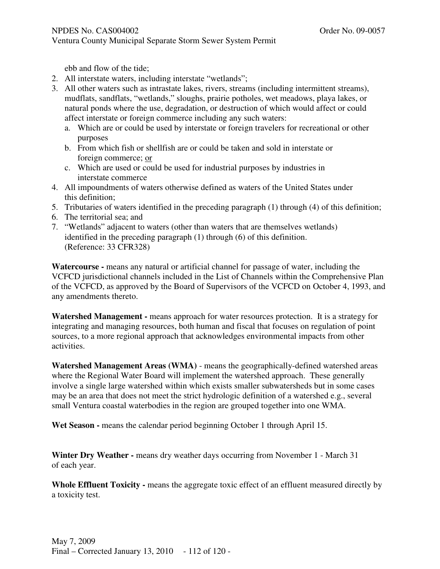Ventura County Municipal Separate Storm Sewer System Permit

ebb and flow of the tide;

- 2. All interstate waters, including interstate "wetlands";
- 3. All other waters such as intrastate lakes, rivers, streams (including intermittent streams), mudflats, sandflats, "wetlands," sloughs, prairie potholes, wet meadows, playa lakes, or natural ponds where the use, degradation, or destruction of which would affect or could affect interstate or foreign commerce including any such waters:
	- a. Which are or could be used by interstate or foreign travelers for recreational or other purposes
	- b. From which fish or shellfish are or could be taken and sold in interstate or foreign commerce; or
	- c. Which are used or could be used for industrial purposes by industries in interstate commerce
- 4. All impoundments of waters otherwise defined as waters of the United States under this definition;
- 5. Tributaries of waters identified in the preceding paragraph (1) through (4) of this definition;
- 6. The territorial sea; and
- 7. "Wetlands" adjacent to waters (other than waters that are themselves wetlands) identified in the preceding paragraph (1) through (6) of this definition. (Reference: 33 CFR328)

**Watercourse -** means any natural or artificial channel for passage of water, including the VCFCD jurisdictional channels included in the List of Channels within the Comprehensive Plan of the VCFCD, as approved by the Board of Supervisors of the VCFCD on October 4, 1993, and any amendments thereto.

**Watershed Management -** means approach for water resources protection. It is a strategy for integrating and managing resources, both human and fiscal that focuses on regulation of point sources, to a more regional approach that acknowledges environmental impacts from other activities.

**Watershed Management Areas (WMA)** - means the geographically-defined watershed areas where the Regional Water Board will implement the watershed approach. These generally involve a single large watershed within which exists smaller subwatersheds but in some cases may be an area that does not meet the strict hydrologic definition of a watershed e.g., several small Ventura coastal waterbodies in the region are grouped together into one WMA.

**Wet Season -** means the calendar period beginning October 1 through April 15.

**Winter Dry Weather -** means dry weather days occurring from November 1 - March 31 of each year.

Whole Effluent Toxicity - means the aggregate toxic effect of an effluent measured directly by a toxicity test.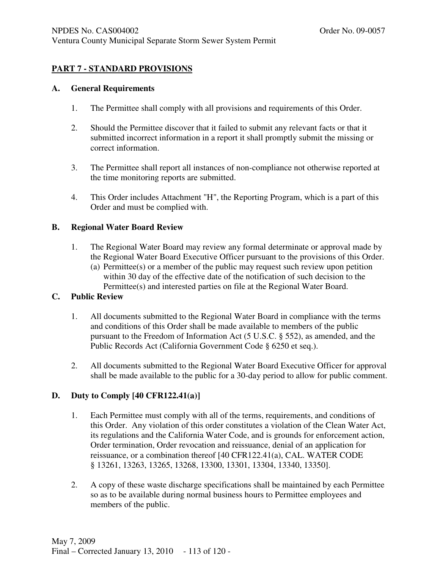# **PART 7 - STANDARD PROVISIONS**

#### **A. General Requirements**

- 1. The Permittee shall comply with all provisions and requirements of this Order.
- 2. Should the Permittee discover that it failed to submit any relevant facts or that it submitted incorrect information in a report it shall promptly submit the missing or correct information.
- 3. The Permittee shall report all instances of non-compliance not otherwise reported at the time monitoring reports are submitted.
- 4. This Order includes Attachment "H", the Reporting Program, which is a part of this Order and must be complied with.

## **B. Regional Water Board Review**

- 1. The Regional Water Board may review any formal determinate or approval made by the Regional Water Board Executive Officer pursuant to the provisions of this Order.
	- (a) Permittee(s) or a member of the public may request such review upon petition within 30 day of the effective date of the notification of such decision to the Permittee(s) and interested parties on file at the Regional Water Board.

## **C. Public Review**

- 1. All documents submitted to the Regional Water Board in compliance with the terms and conditions of this Order shall be made available to members of the public pursuant to the Freedom of Information Act (5 U.S.C. § 552), as amended, and the Public Records Act (California Government Code § 6250 et seq.).
- 2. All documents submitted to the Regional Water Board Executive Officer for approval shall be made available to the public for a 30-day period to allow for public comment.

## **D. Duty to Comply [40 CFR122.41(a)]**

- 1. Each Permittee must comply with all of the terms, requirements, and conditions of this Order. Any violation of this order constitutes a violation of the Clean Water Act, its regulations and the California Water Code, and is grounds for enforcement action, Order termination, Order revocation and reissuance, denial of an application for reissuance, or a combination thereof [40 CFR122.41(a), CAL. WATER CODE § 13261, 13263, 13265, 13268, 13300, 13301, 13304, 13340, 13350].
- 2. A copy of these waste discharge specifications shall be maintained by each Permittee so as to be available during normal business hours to Permittee employees and members of the public.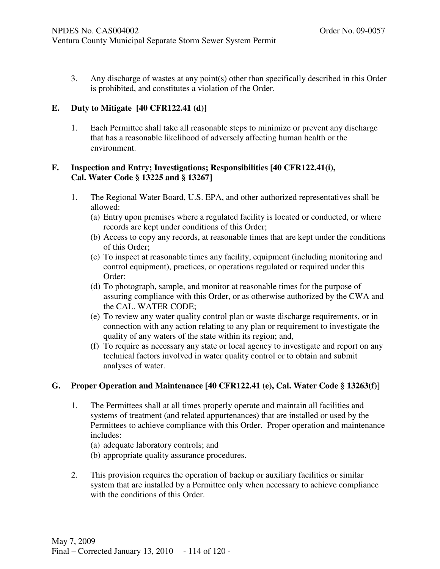3. Any discharge of wastes at any point(s) other than specifically described in this Order is prohibited, and constitutes a violation of the Order.

### **E. Duty to Mitigate [40 CFR122.41 (d)]**

1. Each Permittee shall take all reasonable steps to minimize or prevent any discharge that has a reasonable likelihood of adversely affecting human health or the environment.

#### **F. Inspection and Entry; Investigations; Responsibilities [40 CFR122.41(i), Cal. Water Code § 13225 and § 13267]**

- 1. The Regional Water Board, U.S. EPA, and other authorized representatives shall be allowed:
	- (a) Entry upon premises where a regulated facility is located or conducted, or where records are kept under conditions of this Order;
	- (b) Access to copy any records, at reasonable times that are kept under the conditions of this Order;
	- (c) To inspect at reasonable times any facility, equipment (including monitoring and control equipment), practices, or operations regulated or required under this Order;
	- (d) To photograph, sample, and monitor at reasonable times for the purpose of assuring compliance with this Order, or as otherwise authorized by the CWA and the CAL. WATER CODE;
	- (e) To review any water quality control plan or waste discharge requirements, or in connection with any action relating to any plan or requirement to investigate the quality of any waters of the state within its region; and,
	- (f) To require as necessary any state or local agency to investigate and report on any technical factors involved in water quality control or to obtain and submit analyses of water.

## **G. Proper Operation and Maintenance [40 CFR122.41 (e), Cal. Water Code § 13263(f)]**

- 1. The Permittees shall at all times properly operate and maintain all facilities and systems of treatment (and related appurtenances) that are installed or used by the Permittees to achieve compliance with this Order. Proper operation and maintenance includes:
	- (a) adequate laboratory controls; and
	- (b) appropriate quality assurance procedures.
- 2. This provision requires the operation of backup or auxiliary facilities or similar system that are installed by a Permittee only when necessary to achieve compliance with the conditions of this Order.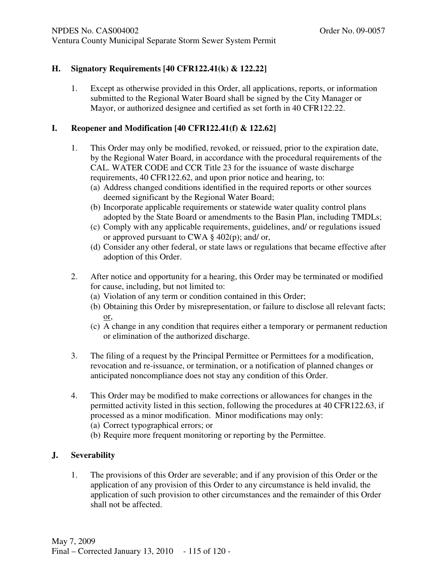### NPDES No. CAS004002 **Order No. 09-0057**

Ventura County Municipal Separate Storm Sewer System Permit

# **H. Signatory Requirements [40 CFR122.41(k) & 122.22]**

1. Except as otherwise provided in this Order, all applications, reports, or information submitted to the Regional Water Board shall be signed by the City Manager or Mayor, or authorized designee and certified as set forth in 40 CFR122.22.

# **I. Reopener and Modification [40 CFR122.41(f) & 122.62]**

- 1. This Order may only be modified, revoked, or reissued, prior to the expiration date, by the Regional Water Board, in accordance with the procedural requirements of the CAL. WATER CODE and CCR Title 23 for the issuance of waste discharge requirements, 40 CFR122.62, and upon prior notice and hearing, to:
	- (a) Address changed conditions identified in the required reports or other sources deemed significant by the Regional Water Board;
	- (b) Incorporate applicable requirements or statewide water quality control plans adopted by the State Board or amendments to the Basin Plan, including TMDLs;
	- (c) Comply with any applicable requirements, guidelines, and/ or regulations issued or approved pursuant to CWA § 402(p); and/ or,
	- (d) Consider any other federal, or state laws or regulations that became effective after adoption of this Order.
- 2. After notice and opportunity for a hearing, this Order may be terminated or modified for cause, including, but not limited to:
	- (a) Violation of any term or condition contained in this Order;
	- (b) Obtaining this Order by misrepresentation, or failure to disclose all relevant facts; or,
	- (c) A change in any condition that requires either a temporary or permanent reduction or elimination of the authorized discharge.
- 3. The filing of a request by the Principal Permittee or Permittees for a modification, revocation and re-issuance, or termination, or a notification of planned changes or anticipated noncompliance does not stay any condition of this Order.
- 4. This Order may be modified to make corrections or allowances for changes in the permitted activity listed in this section, following the procedures at 40 CFR122.63, if processed as a minor modification. Minor modifications may only:

(a) Correct typographical errors; or

(b) Require more frequent monitoring or reporting by the Permittee.

# **J. Severability**

1. The provisions of this Order are severable; and if any provision of this Order or the application of any provision of this Order to any circumstance is held invalid, the application of such provision to other circumstances and the remainder of this Order shall not be affected.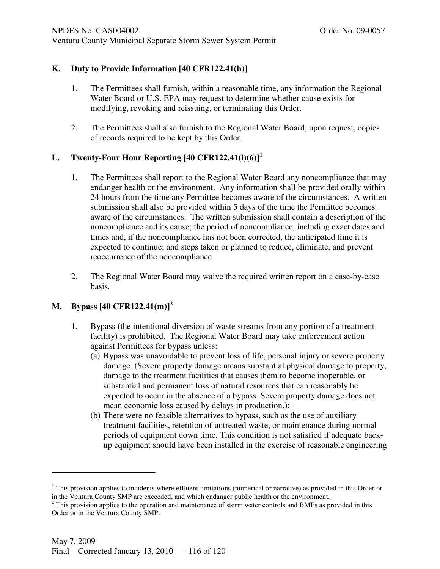# Ventura County Municipal Separate Storm Sewer System Permit

# **K. Duty to Provide Information [40 CFR122.41(h)]**

- 1. The Permittees shall furnish, within a reasonable time, any information the Regional Water Board or U.S. EPA may request to determine whether cause exists for modifying, revoking and reissuing, or terminating this Order.
- 2. The Permittees shall also furnish to the Regional Water Board, upon request, copies of records required to be kept by this Order.

# **L. Twenty-Four Hour Reporting [40 CFR122.41(l)(6)]<sup>1</sup>**

- 1. The Permittees shall report to the Regional Water Board any noncompliance that may endanger health or the environment. Any information shall be provided orally within 24 hours from the time any Permittee becomes aware of the circumstances. A written submission shall also be provided within 5 days of the time the Permittee becomes aware of the circumstances. The written submission shall contain a description of the noncompliance and its cause; the period of noncompliance, including exact dates and times and, if the noncompliance has not been corrected, the anticipated time it is expected to continue; and steps taken or planned to reduce, eliminate, and prevent reoccurrence of the noncompliance.
- 2. The Regional Water Board may waive the required written report on a case-by-case basis.

# **M. Bypass [40 CFR122.41(m)]<sup>2</sup>**

-

- 1. Bypass (the intentional diversion of waste streams from any portion of a treatment facility) is prohibited. The Regional Water Board may take enforcement action against Permittees for bypass unless:
	- (a) Bypass was unavoidable to prevent loss of life, personal injury or severe property damage. (Severe property damage means substantial physical damage to property, damage to the treatment facilities that causes them to become inoperable, or substantial and permanent loss of natural resources that can reasonably be expected to occur in the absence of a bypass. Severe property damage does not mean economic loss caused by delays in production.);
	- (b) There were no feasible alternatives to bypass, such as the use of auxiliary treatment facilities, retention of untreated waste, or maintenance during normal periods of equipment down time. This condition is not satisfied if adequate backup equipment should have been installed in the exercise of reasonable engineering

<sup>&</sup>lt;sup>1</sup> This provision applies to incidents where effluent limitations (numerical or narrative) as provided in this Order or in the Ventura County SMP are exceeded, and which endanger public health or the environment.<br><sup>2</sup> This provision applies to the operation and maintenance of storm water controls and BMPs as provided in this

Order or in the Ventura County SMP.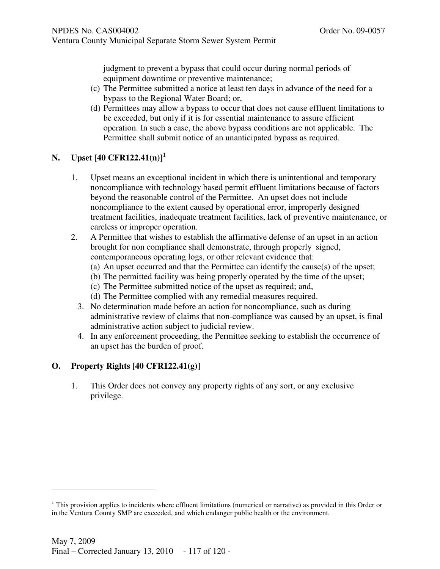judgment to prevent a bypass that could occur during normal periods of equipment downtime or preventive maintenance;

- (c) The Permittee submitted a notice at least ten days in advance of the need for a bypass to the Regional Water Board; or,
- (d) Permittees may allow a bypass to occur that does not cause effluent limitations to be exceeded, but only if it is for essential maintenance to assure efficient operation. In such a case, the above bypass conditions are not applicable. The Permittee shall submit notice of an unanticipated bypass as required.

# **N. Upset [40 CFR122.41(n)]<sup>1</sup>**

- 1. Upset means an exceptional incident in which there is unintentional and temporary noncompliance with technology based permit effluent limitations because of factors beyond the reasonable control of the Permittee. An upset does not include noncompliance to the extent caused by operational error, improperly designed treatment facilities, inadequate treatment facilities, lack of preventive maintenance, or careless or improper operation.
- 2. A Permittee that wishes to establish the affirmative defense of an upset in an action brought for non compliance shall demonstrate, through properly signed, contemporaneous operating logs, or other relevant evidence that:
	- (a) An upset occurred and that the Permittee can identify the cause(s) of the upset;
	- (b) The permitted facility was being properly operated by the time of the upset;
	- (c) The Permittee submitted notice of the upset as required; and,
	- (d) The Permittee complied with any remedial measures required.
	- 3. No determination made before an action for noncompliance, such as during administrative review of claims that non-compliance was caused by an upset, is final administrative action subject to judicial review.
	- 4. In any enforcement proceeding, the Permittee seeking to establish the occurrence of an upset has the burden of proof.

# **O. Property Rights [40 CFR122.41(g)]**

j

1. This Order does not convey any property rights of any sort, or any exclusive privilege.

 $1$  This provision applies to incidents where effluent limitations (numerical or narrative) as provided in this Order or in the Ventura County SMP are exceeded, and which endanger public health or the environment.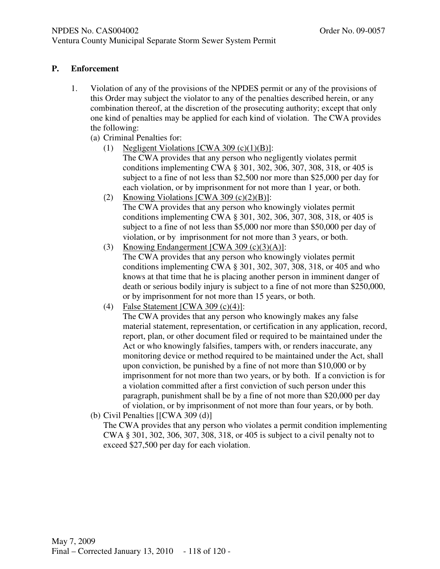# Ventura County Municipal Separate Storm Sewer System Permit

# **P. Enforcement**

- 1. Violation of any of the provisions of the NPDES permit or any of the provisions of this Order may subject the violator to any of the penalties described herein, or any combination thereof, at the discretion of the prosecuting authority; except that only one kind of penalties may be applied for each kind of violation. The CWA provides the following:
	- (a) Criminal Penalties for:
		- (1) Negligent Violations  $[CWA 309 (c)(1)(B)]$ : The CWA provides that any person who negligently violates permit conditions implementing CWA § 301, 302, 306, 307, 308, 318, or 405 is subject to a fine of not less than \$2,500 nor more than \$25,000 per day for each violation, or by imprisonment for not more than 1 year, or both.
		- (2) Knowing Violations  $[CWA 309 (c)(2)(B)]$ : The CWA provides that any person who knowingly violates permit conditions implementing CWA § 301, 302, 306, 307, 308, 318, or 405 is subject to a fine of not less than \$5,000 nor more than \$50,000 per day of violation, or by imprisonment for not more than 3 years, or both.
		- (3) Knowing Endangerment  $[CWA 309 (c)(3)(A)]$ : The CWA provides that any person who knowingly violates permit conditions implementing CWA § 301, 302, 307, 308, 318, or 405 and who knows at that time that he is placing another person in imminent danger of death or serious bodily injury is subject to a fine of not more than \$250,000, or by imprisonment for not more than 15 years, or both.
		- (4) False Statement [CWA 309 (c)(4)]:

The CWA provides that any person who knowingly makes any false material statement, representation, or certification in any application, record, report, plan, or other document filed or required to be maintained under the Act or who knowingly falsifies, tampers with, or renders inaccurate, any monitoring device or method required to be maintained under the Act, shall upon conviction, be punished by a fine of not more than \$10,000 or by imprisonment for not more than two years, or by both. If a conviction is for a violation committed after a first conviction of such person under this paragraph, punishment shall be by a fine of not more than \$20,000 per day of violation, or by imprisonment of not more than four years, or by both.

(b) Civil Penalties [[CWA 309 (d)]

The CWA provides that any person who violates a permit condition implementing CWA § 301, 302, 306, 307, 308, 318, or 405 is subject to a civil penalty not to exceed \$27,500 per day for each violation.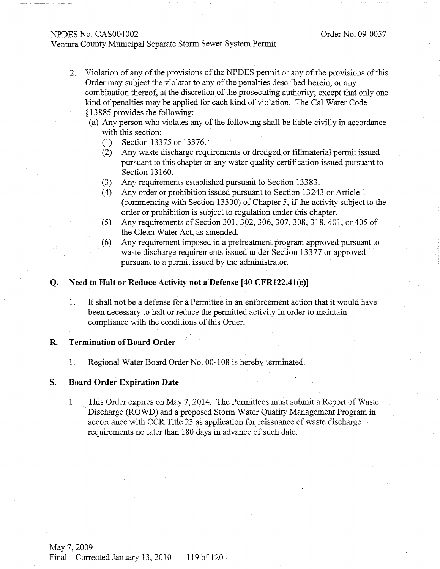#### NPDES No. CAS004002

#### Ventura County Municipal Separate Storm Sewer System Permit

- Violation of any of the provisions of the NPDES permit or any of the provisions of this 2. Order may subject the violator to any of the penalties described herein, or any combination thereof, at the discretion of the prosecuting authority; except that only one kind of penalties may be applied for each kind of violation. The Cal Water Code §13885 provides the following:
	- (a) Any person who violates any of the following shall be liable civilly in accordance with this section:
		- $(1)$ Section 13375 or 13376.
		- Any waste discharge requirements or dredged or fillmaterial permit issued  $(2)$ pursuant to this chapter or any water quality certification issued pursuant to Section 13160.
		- Any requirements established pursuant to Section 13383.  $(3)$
		- Any order or prohibition issued pursuant to Section 13243 or Article 1  $(4)$ (commencing with Section 13300) of Chapter 5, if the activity subject to the order or prohibition is subject to regulation under this chapter.
		- Any requirements of Section 301, 302, 306, 307, 308, 318, 401, or 405 of  $(5)$ the Clean Water Act, as amended.
		- Any requirement imposed in a pretreatment program approved pursuant to  $(6)$ waste discharge requirements issued under Section 13377 or approved pursuant to a permit issued by the administrator.

#### Need to Halt or Reduce Activity not a Defense [40 CFR122.41(c)] О.

It shall not be a defense for a Permittee in an enforcement action that it would have 1. been necessary to halt or reduce the permitted activity in order to maintain compliance with the conditions of this Order.

#### **Termination of Board Order** R.

1. Regional Water Board Order No. 00-108 is hereby terminated.

#### **Board Order Expiration Date** S.

This Order expires on May 7, 2014. The Permittees must submit a Report of Waste 1. Discharge (ROWD) and a proposed Storm Water Quality Management Program in accordance with CCR Title 23 as application for reissuance of waste discharge requirements no later than 180 days in advance of such date.